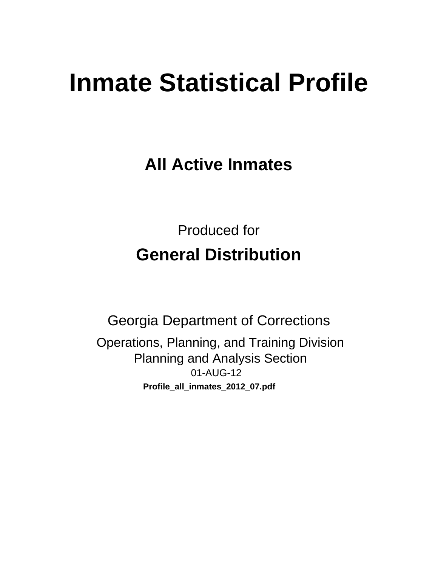# **Inmate Statistical Profile**

**All Active Inmates** 

**Produced for General Distribution** 

**Georgia Department of Corrections** Operations, Planning, and Training Division **Planning and Analysis Section** 01-AUG-12 Profile\_all\_inmates\_2012\_07.pdf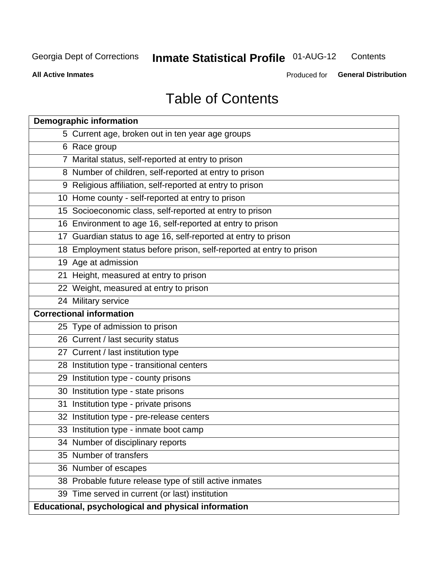#### **Inmate Statistical Profile 01-AUG-12** Contents

**All Active Inmates** 

Produced for General Distribution

# **Table of Contents**

| <b>Demographic information</b>                                       |
|----------------------------------------------------------------------|
| 5 Current age, broken out in ten year age groups                     |
| 6 Race group                                                         |
| 7 Marital status, self-reported at entry to prison                   |
| 8 Number of children, self-reported at entry to prison               |
| 9 Religious affiliation, self-reported at entry to prison            |
| 10 Home county - self-reported at entry to prison                    |
| 15 Socioeconomic class, self-reported at entry to prison             |
| 16 Environment to age 16, self-reported at entry to prison           |
| 17 Guardian status to age 16, self-reported at entry to prison       |
| 18 Employment status before prison, self-reported at entry to prison |
| 19 Age at admission                                                  |
| 21 Height, measured at entry to prison                               |
| 22 Weight, measured at entry to prison                               |
| 24 Military service                                                  |
| <b>Correctional information</b>                                      |
| 25 Type of admission to prison                                       |
| 26 Current / last security status                                    |
| 27 Current / last institution type                                   |
| 28 Institution type - transitional centers                           |
| 29 Institution type - county prisons                                 |
| 30 Institution type - state prisons                                  |
| 31 Institution type - private prisons                                |
| 32 Institution type - pre-release centers                            |
| 33 Institution type - inmate boot camp                               |
| 34 Number of disciplinary reports                                    |
| 35 Number of transfers                                               |
| 36 Number of escapes                                                 |
| 38 Probable future release type of still active inmates              |
| 39 Time served in current (or last) institution                      |
| Educational, psychological and physical information                  |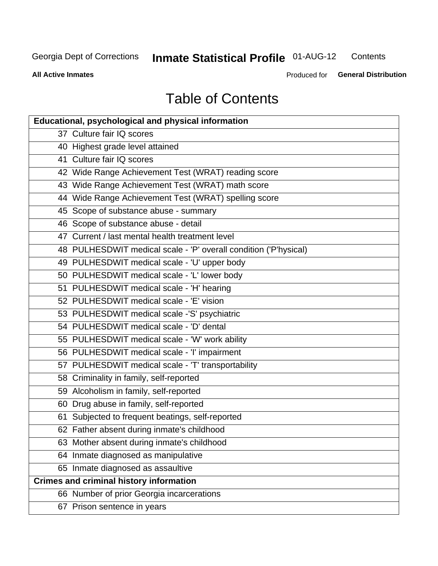#### **Inmate Statistical Profile 01-AUG-12** Contents

**All Active Inmates** 

Produced for General Distribution

# **Table of Contents**

| <b>Educational, psychological and physical information</b>       |
|------------------------------------------------------------------|
| 37 Culture fair IQ scores                                        |
| 40 Highest grade level attained                                  |
| 41 Culture fair IQ scores                                        |
| 42 Wide Range Achievement Test (WRAT) reading score              |
| 43 Wide Range Achievement Test (WRAT) math score                 |
| 44 Wide Range Achievement Test (WRAT) spelling score             |
| 45 Scope of substance abuse - summary                            |
| 46 Scope of substance abuse - detail                             |
| 47 Current / last mental health treatment level                  |
| 48 PULHESDWIT medical scale - 'P' overall condition ('P'hysical) |
| 49 PULHESDWIT medical scale - 'U' upper body                     |
| 50 PULHESDWIT medical scale - 'L' lower body                     |
| 51 PULHESDWIT medical scale - 'H' hearing                        |
| 52 PULHESDWIT medical scale - 'E' vision                         |
| 53 PULHESDWIT medical scale -'S' psychiatric                     |
| 54 PULHESDWIT medical scale - 'D' dental                         |
| 55 PULHESDWIT medical scale - 'W' work ability                   |
| 56 PULHESDWIT medical scale - 'I' impairment                     |
| 57 PULHESDWIT medical scale - 'T' transportability               |
| 58 Criminality in family, self-reported                          |
| 59 Alcoholism in family, self-reported                           |
| 60 Drug abuse in family, self-reported                           |
| 61 Subjected to frequent beatings, self-reported                 |
| 62 Father absent during inmate's childhood                       |
| 63 Mother absent during inmate's childhood                       |
| 64 Inmate diagnosed as manipulative                              |
| 65 Inmate diagnosed as assaultive                                |
| <b>Crimes and criminal history information</b>                   |
| 66 Number of prior Georgia incarcerations                        |
| 67 Prison sentence in years                                      |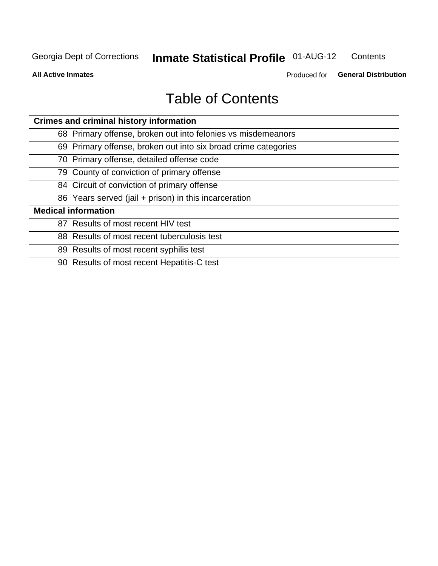#### **Inmate Statistical Profile 01-AUG-12** Contents

**All Active Inmates** 

Produced for General Distribution

# **Table of Contents**

| <b>Crimes and criminal history information</b>                 |
|----------------------------------------------------------------|
| 68 Primary offense, broken out into felonies vs misdemeanors   |
| 69 Primary offense, broken out into six broad crime categories |
| 70 Primary offense, detailed offense code                      |
| 79 County of conviction of primary offense                     |
| 84 Circuit of conviction of primary offense                    |
| 86 Years served (jail + prison) in this incarceration          |
| <b>Medical information</b>                                     |
| 87 Results of most recent HIV test                             |
| 88 Results of most recent tuberculosis test                    |
| 89 Results of most recent syphilis test                        |
| 90 Results of most recent Hepatitis-C test                     |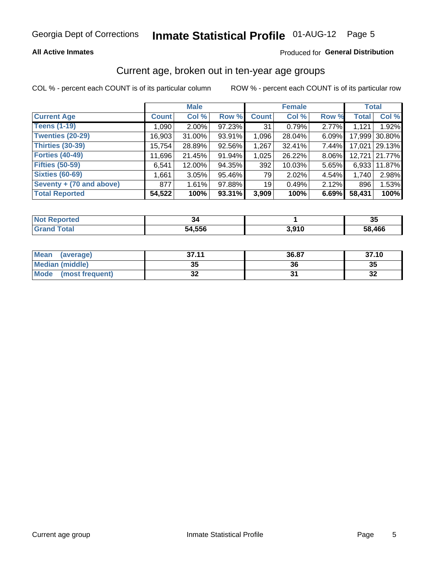### **All Active Inmates**

### Produced for General Distribution

### Current age, broken out in ten-year age groups

COL % - percent each COUNT is of its particular column

|                            |              | <b>Male</b> |        |                 | <b>Female</b> |       | <b>Total</b> |        |
|----------------------------|--------------|-------------|--------|-----------------|---------------|-------|--------------|--------|
| <b>Current Age</b>         | <b>Count</b> | Col %       | Row %  | <b>Count</b>    | Col %         | Row % | <b>Total</b> | Col %  |
| <b>Teens (1-19)</b>        | 1,090        | $2.00\%$    | 97.23% | 31              | 0.79%         | 2.77% | 1,121        | 1.92%  |
| <b>Twenties (20-29)</b>    | 16,903       | $31.00\%$   | 93.91% | 1,096           | 28.04%        | 6.09% | 17,999       | 30.80% |
| <b>Thirties (30-39)</b>    | 15,754       | 28.89%      | 92.56% | 1,267           | 32.41%        | 7.44% | 17.021       | 29.13% |
| <b>Forties (40-49)</b>     | 11,696       | 21.45%      | 91.94% | 1,025           | 26.22%        | 8.06% | 12,721       | 21.77% |
| <b>Fifties (50-59)</b>     | 6,541        | 12.00%      | 94.35% | 392             | 10.03%        | 5.65% | 6,933        | 11.87% |
| <b>Sixties (60-69)</b>     | 1,661        | 3.05%       | 95.46% | 79              | 2.02%         | 4.54% | 1.740        | 2.98%  |
| Seventy $+$ (70 and above) | 877          | 1.61%       | 97.88% | 19 <sub>1</sub> | 0.49%         | 2.12% | 896          | 1.53%  |
| <b>Total Reported</b>      | 54,522       | 100%        | 93.31% | 3,909           | 100%          | 6.69% | 58,431       | 100%   |

| <b>Not Reported</b> |        |       | ופ<br>◡ |
|---------------------|--------|-------|---------|
| Total               | 54,556 | 3,910 | 58,466  |

| <b>Mean</b><br>(average)       | 37.11     | 36.87 | 37.10        |
|--------------------------------|-----------|-------|--------------|
| Median (middle)                | -25<br>vu | 36    | 35           |
| <b>Mode</b><br>(most frequent) | n,<br>◡▴  |       | $\sim$<br>⊾ت |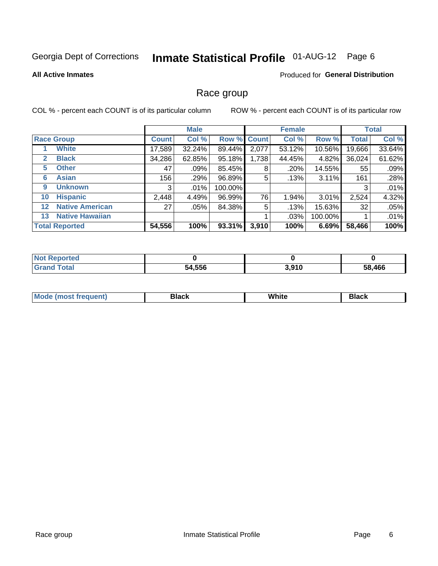# Inmate Statistical Profile 01-AUG-12 Page 6

### **All Active Inmates**

### Produced for General Distribution

### Race group

COL % - percent each COUNT is of its particular column

|                   |                        |              | <b>Male</b> |         |             | <b>Female</b> |         |              | <b>Total</b> |
|-------------------|------------------------|--------------|-------------|---------|-------------|---------------|---------|--------------|--------------|
|                   | <b>Race Group</b>      | <b>Count</b> | Col %       |         | Row % Count | Col %         | Row %   | <b>Total</b> | Col %        |
|                   | <b>White</b>           | 17,589       | 32.24%      | 89.44%  | 2,077       | 53.12%        | 10.56%  | 19,666       | 33.64%       |
| 2                 | <b>Black</b>           | 34,286       | 62.85%      | 95.18%  | 1,738       | 44.45%        | 4.82%   | 36,024       | 61.62%       |
| 5                 | <b>Other</b>           | 47           | .09%        | 85.45%  | 8           | .20%          | 14.55%  | 55           | .09%         |
| 6                 | <b>Asian</b>           | 156          | .29%        | 96.89%  | 5           | .13%          | 3.11%   | 161          | .28%         |
| 9                 | <b>Unknown</b>         | 3            | $.01\%$     | 100.00% |             |               |         | 3            | .01%         |
| 10                | <b>Hispanic</b>        | 2,448        | 4.49%       | 96.99%  | 76          | 1.94%         | 3.01%   | 2,524        | 4.32%        |
| $12 \overline{ }$ | <b>Native American</b> | 27           | .05%        | 84.38%  | 5           | .13%          | 15.63%  | 32           | .05%         |
| 13                | <b>Native Hawaiian</b> |              |             |         |             | .03%          | 100.00% |              | .01%         |
|                   | <b>Total Reported</b>  | 54,556       | 100%        | 93.31%  | 3,910       | 100%          | 6.69%   | 58,466       | 100%         |

| ?eported<br><b>NOT</b> |        |       |        |
|------------------------|--------|-------|--------|
| <b>Total</b>           | 54,556 | 3,910 | 58.466 |

| Mode (<br>tenti<br>most tren | こうへん | White<br>$\sim$ $\sim$ $\sim$ | <b>Black</b> |
|------------------------------|------|-------------------------------|--------------|
|                              |      |                               |              |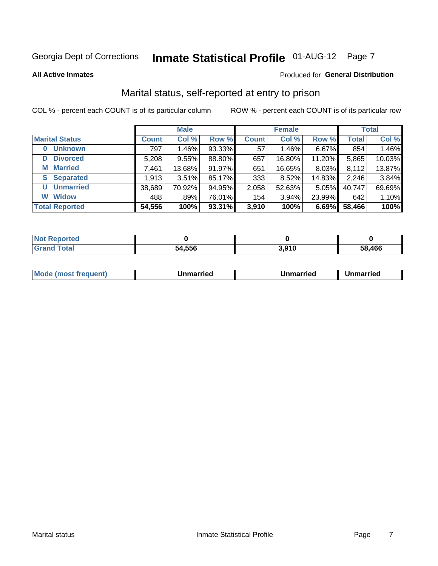# Inmate Statistical Profile 01-AUG-12 Page 7

#### **All Active Inmates**

#### Produced for General Distribution

### Marital status, self-reported at entry to prison

COL % - percent each COUNT is of its particular column

|                            |              | <b>Male</b> |        |              | <b>Female</b> |        |              | <b>Total</b> |
|----------------------------|--------------|-------------|--------|--------------|---------------|--------|--------------|--------------|
| <b>Marital Status</b>      | <b>Count</b> | Col %       | Row %  | <b>Count</b> | Col %         | Row %  | <b>Total</b> | Col %        |
| <b>Unknown</b><br>$\bf{0}$ | 797          | 1.46%       | 93.33% | 57           | 1.46%         | 6.67%  | 854          | 1.46%        |
| <b>Divorced</b><br>D       | 5,208        | 9.55%       | 88.80% | 657          | 16.80%        | 11.20% | 5,865        | 10.03%       |
| <b>Married</b><br>М        | 7,461        | 13.68%      | 91.97% | 651          | 16.65%        | 8.03%  | 8,112        | 13.87%       |
| <b>Separated</b><br>S.     | 1,913        | 3.51%       | 85.17% | 333          | 8.52%         | 14.83% | 2,246        | 3.84%        |
| <b>Unmarried</b><br>U      | 38,689       | 70.92%      | 94.95% | 2,058        | 52.63%        | 5.05%  | 40,747       | 69.69%       |
| <b>Widow</b><br>W          | 488          | .89%        | 76.01% | 154          | 3.94%         | 23.99% | 642          | 1.10%        |
| <b>Total Reported</b>      | 54,556       | 100%        | 93.31% | 3,910        | 100%          | 6.69%  | 58,466       | 100%         |

| orted<br><b>NOT</b> |             |        |        |
|---------------------|-------------|--------|--------|
| $\sim$ 100          | 4.556<br>٠л | ה גה כ | 58.466 |

|--|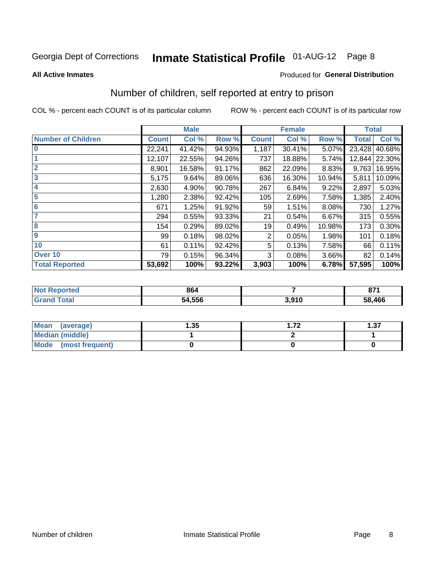# Inmate Statistical Profile 01-AUG-12 Page 8

#### **All Active Inmates**

#### Produced for General Distribution

### Number of children, self reported at entry to prison

COL % - percent each COUNT is of its particular column

|                           |              | <b>Male</b> |        |              | <b>Female</b> |        | <b>Total</b> |               |
|---------------------------|--------------|-------------|--------|--------------|---------------|--------|--------------|---------------|
| <b>Number of Children</b> | <b>Count</b> | Col %       | Row %  | <b>Count</b> | Col %         | Row %  | <b>Total</b> | Col %         |
| l 0                       | 22,241       | 41.42%      | 94.93% | 1,187        | 30.41%        | 5.07%  | 23,428       | 40.68%        |
|                           | 12,107       | 22.55%      | 94.26% | 737          | 18.88%        | 5.74%  |              | 12,844 22.30% |
| $\overline{2}$            | 8,901        | 16.58%      | 91.17% | 862          | 22.09%        | 8.83%  | 9,763        | 16.95%        |
| $\overline{\mathbf{3}}$   | 5,175        | 9.64%       | 89.06% | 636          | 16.30%        | 10.94% | 5,811        | 10.09%        |
| $\overline{\bf 4}$        | 2,630        | 4.90%       | 90.78% | 267          | 6.84%         | 9.22%  | 2,897        | 5.03%         |
| 5                         | 1,280        | 2.38%       | 92.42% | 105          | 2.69%         | 7.58%  | 1,385        | 2.40%         |
| $6\phantom{1}6$           | 671          | 1.25%       | 91.92% | 59           | 1.51%         | 8.08%  | 730          | 1.27%         |
| 7                         | 294          | 0.55%       | 93.33% | 21           | 0.54%         | 6.67%  | 315          | 0.55%         |
| 8                         | 154          | 0.29%       | 89.02% | 19           | 0.49%         | 10.98% | 173          | 0.30%         |
| 9                         | 99           | 0.18%       | 98.02% | 2            | 0.05%         | 1.98%  | 101          | 0.18%         |
| 10                        | 61           | 0.11%       | 92.42% | 5            | 0.13%         | 7.58%  | 66           | 0.11%         |
| Over 10                   | 79           | 0.15%       | 96.34% | 3            | 0.08%         | 3.66%  | 82           | 0.14%         |
| <b>Total Reported</b>     | 53,692       | 100%        | 93.22% | 3,903        | 100%          | 6.78%  | 57,595       | 100%          |

| 864    |                  | 074<br>$\mathbf{u}$ |
|--------|------------------|---------------------|
| 54.556 | 201 <sup>c</sup> | 58,466              |

| <b>Mean</b><br>(average)       | .35 | -70 | 1.37 |
|--------------------------------|-----|-----|------|
| <b>Median (middle)</b>         |     |     |      |
| <b>Mode</b><br>(most frequent) |     |     |      |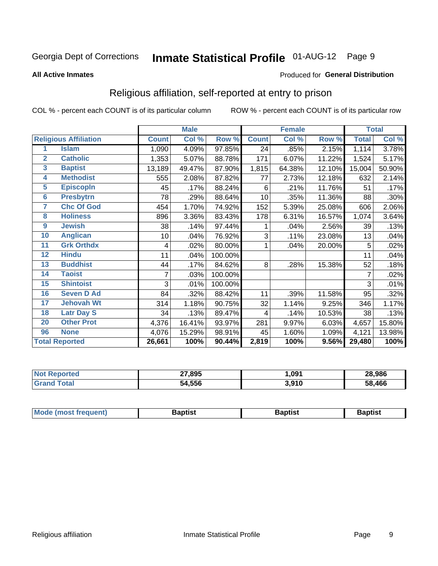# Inmate Statistical Profile 01-AUG-12 Page 9

#### **All Active Inmates**

#### Produced for General Distribution

### Religious affiliation, self-reported at entry to prison

COL % - percent each COUNT is of its particular column

|                         |                              |              | <b>Male</b> |         |                         | <b>Female</b> |        |              | <b>Total</b> |  |
|-------------------------|------------------------------|--------------|-------------|---------|-------------------------|---------------|--------|--------------|--------------|--|
|                         | <b>Religious Affiliation</b> | <b>Count</b> | Col %       | Row %   | <b>Count</b>            | Col %         | Row %  | <b>Total</b> | Col %        |  |
| 1                       | <b>Islam</b>                 | 1,090        | 4.09%       | 97.85%  | 24                      | .85%          | 2.15%  | 1,114        | 3.78%        |  |
| $\overline{2}$          | <b>Catholic</b>              | 1,353        | 5.07%       | 88.78%  | 171                     | 6.07%         | 11.22% | 1,524        | 5.17%        |  |
| $\overline{\mathbf{3}}$ | <b>Baptist</b>               | 13,189       | 49.47%      | 87.90%  | 1,815                   | 64.38%        | 12.10% | 15,004       | 50.90%       |  |
| $\overline{\mathbf{4}}$ | <b>Methodist</b>             | 555          | 2.08%       | 87.82%  | 77                      | 2.73%         | 12.18% | 632          | 2.14%        |  |
| $\overline{5}$          | <b>EpiscopIn</b>             | 45           | .17%        | 88.24%  | 6                       | .21%          | 11.76% | 51           | .17%         |  |
| $6\overline{6}$         | <b>Presbytrn</b>             | 78           | .29%        | 88.64%  | 10                      | .35%          | 11.36% | 88           | .30%         |  |
| 7                       | <b>Chc Of God</b>            | 454          | 1.70%       | 74.92%  | 152                     | 5.39%         | 25.08% | 606          | 2.06%        |  |
| 8                       | <b>Holiness</b>              | 896          | 3.36%       | 83.43%  | 178                     | 6.31%         | 16.57% | 1,074        | 3.64%        |  |
| $\boldsymbol{9}$        | <b>Jewish</b>                | 38           | .14%        | 97.44%  |                         | .04%          | 2.56%  | 39           | .13%         |  |
| 10                      | <b>Anglican</b>              | 10           | .04%        | 76.92%  | 3                       | .11%          | 23.08% | 13           | .04%         |  |
| 11                      | <b>Grk Orthdx</b>            | 4            | .02%        | 80.00%  | 1                       | .04%          | 20.00% | 5            | .02%         |  |
| 12                      | <b>Hindu</b>                 | 11           | .04%        | 100.00% |                         |               |        | 11           | .04%         |  |
| 13                      | <b>Buddhist</b>              | 44           | .17%        | 84.62%  | 8                       | .28%          | 15.38% | 52           | .18%         |  |
| 14                      | <b>Taoist</b>                | 7            | .03%        | 100.00% |                         |               |        | 7            | .02%         |  |
| 15                      | <b>Shintoist</b>             | 3            | .01%        | 100.00% |                         |               |        | 3            | .01%         |  |
| 16                      | <b>Seven D Ad</b>            | 84           | .32%        | 88.42%  | 11                      | .39%          | 11.58% | 95           | .32%         |  |
| 17                      | <b>Jehovah Wt</b>            | 314          | 1.18%       | 90.75%  | 32                      | 1.14%         | 9.25%  | 346          | 1.17%        |  |
| 18                      | <b>Latr Day S</b>            | 34           | .13%        | 89.47%  | $\overline{\mathbf{4}}$ | .14%          | 10.53% | 38           | .13%         |  |
| 20                      | <b>Other Prot</b>            | 4,376        | 16.41%      | 93.97%  | 281                     | 9.97%         | 6.03%  | 4,657        | 15.80%       |  |
| 96                      | <b>None</b>                  | 4,076        | 15.29%      | 98.91%  | 45                      | 1.60%         | 1.09%  | 4,121        | 13.98%       |  |
| <b>Total Reported</b>   |                              | 26,661       | 100%        | 90.44%  | 2,819                   | 100%          | 9.56%  | 29,480       | 100%         |  |

|                 | 27,895<br> | .091         | 28,986     |
|-----------------|------------|--------------|------------|
| $\sim$ 4 $\sim$ | 54.556     | 540 ہ<br>,,, | ,466<br>58 |

| Mode (most frequent) | <b>3aptist</b> | 3aptist | <b>Baptist</b> |
|----------------------|----------------|---------|----------------|
|                      |                |         |                |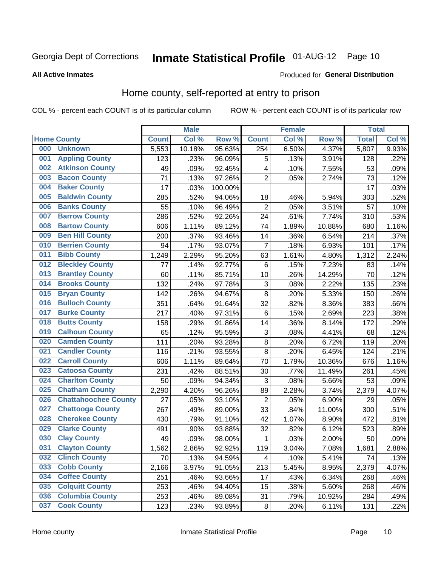# Inmate Statistical Profile 01-AUG-12 Page 10

#### **All Active Inmates**

### **Produced for General Distribution**

### Home county, self-reported at entry to prison

COL % - percent each COUNT is of its particular column

|     |                             |              | <b>Male</b> |         |                | <b>Female</b> |        | <b>Total</b> |       |
|-----|-----------------------------|--------------|-------------|---------|----------------|---------------|--------|--------------|-------|
|     | <b>Home County</b>          | <b>Count</b> | Col %       | Row %   | <b>Count</b>   | Col %         | Row %  | <b>Total</b> | Col % |
| 000 | <b>Unknown</b>              | 5,553        | 10.18%      | 95.63%  | 254            | 6.50%         | 4.37%  | 5,807        | 9.93% |
| 001 | <b>Appling County</b>       | 123          | .23%        | 96.09%  | 5              | .13%          | 3.91%  | 128          | .22%  |
| 002 | <b>Atkinson County</b>      | 49           | .09%        | 92.45%  | 4              | .10%          | 7.55%  | 53           | .09%  |
| 003 | <b>Bacon County</b>         | 71           | .13%        | 97.26%  | $\overline{2}$ | .05%          | 2.74%  | 73           | .12%  |
| 004 | <b>Baker County</b>         | 17           | .03%        | 100.00% |                |               |        | 17           | .03%  |
| 005 | <b>Baldwin County</b>       | 285          | .52%        | 94.06%  | 18             | .46%          | 5.94%  | 303          | .52%  |
| 006 | <b>Banks County</b>         | 55           | .10%        | 96.49%  | $\overline{2}$ | .05%          | 3.51%  | 57           | .10%  |
| 007 | <b>Barrow County</b>        | 286          | .52%        | 92.26%  | 24             | .61%          | 7.74%  | 310          | .53%  |
| 008 | <b>Bartow County</b>        | 606          | 1.11%       | 89.12%  | 74             | 1.89%         | 10.88% | 680          | 1.16% |
| 009 | <b>Ben Hill County</b>      | 200          | .37%        | 93.46%  | 14             | .36%          | 6.54%  | 214          | .37%  |
| 010 | <b>Berrien County</b>       | 94           | .17%        | 93.07%  | 7              | .18%          | 6.93%  | 101          | .17%  |
| 011 | <b>Bibb County</b>          | 1,249        | 2.29%       | 95.20%  | 63             | 1.61%         | 4.80%  | 1,312        | 2.24% |
| 012 | <b>Bleckley County</b>      | 77           | .14%        | 92.77%  | $\,6$          | .15%          | 7.23%  | 83           | .14%  |
| 013 | <b>Brantley County</b>      | 60           | .11%        | 85.71%  | 10             | .26%          | 14.29% | 70           | .12%  |
| 014 | <b>Brooks County</b>        | 132          | .24%        | 97.78%  | $\mathbf{3}$   | .08%          | 2.22%  | 135          | .23%  |
| 015 | <b>Bryan County</b>         | 142          | .26%        | 94.67%  | 8              | .20%          | 5.33%  | 150          | .26%  |
| 016 | <b>Bulloch County</b>       | 351          | .64%        | 91.64%  | 32             | .82%          | 8.36%  | 383          | .66%  |
| 017 | <b>Burke County</b>         | 217          | .40%        | 97.31%  | 6              | .15%          | 2.69%  | 223          | .38%  |
| 018 | <b>Butts County</b>         | 158          | .29%        | 91.86%  | 14             | .36%          | 8.14%  | 172          | .29%  |
| 019 | <b>Calhoun County</b>       | 65           | .12%        | 95.59%  | 3              | .08%          | 4.41%  | 68           | .12%  |
| 020 | <b>Camden County</b>        | 111          | .20%        | 93.28%  | $\bf 8$        | .20%          | 6.72%  | 119          | .20%  |
| 021 | <b>Candler County</b>       | 116          | .21%        | 93.55%  | 8              | .20%          | 6.45%  | 124          | .21%  |
| 022 | <b>Carroll County</b>       | 606          | 1.11%       | 89.64%  | 70             | 1.79%         | 10.36% | 676          | 1.16% |
| 023 | <b>Catoosa County</b>       | 231          | .42%        | 88.51%  | 30             | .77%          | 11.49% | 261          | .45%  |
| 024 | <b>Charlton County</b>      | 50           | .09%        | 94.34%  | 3              | .08%          | 5.66%  | 53           | .09%  |
| 025 | <b>Chatham County</b>       | 2,290        | 4.20%       | 96.26%  | 89             | 2.28%         | 3.74%  | 2,379        | 4.07% |
| 026 | <b>Chattahoochee County</b> | 27           | .05%        | 93.10%  | $\overline{2}$ | .05%          | 6.90%  | 29           | .05%  |
| 027 | <b>Chattooga County</b>     | 267          | .49%        | 89.00%  | 33             | .84%          | 11.00% | 300          | .51%  |
| 028 | <b>Cherokee County</b>      | 430          | .79%        | 91.10%  | 42             | 1.07%         | 8.90%  | 472          | .81%  |
| 029 | <b>Clarke County</b>        | 491          | .90%        | 93.88%  | 32             | .82%          | 6.12%  | 523          | .89%  |
| 030 | <b>Clay County</b>          | 49           | .09%        | 98.00%  | $\mathbf{1}$   | .03%          | 2.00%  | 50           | .09%  |
| 031 | <b>Clayton County</b>       | 1,562        | 2.86%       | 92.92%  | 119            | 3.04%         | 7.08%  | 1,681        | 2.88% |
| 032 | <b>Clinch County</b>        | 70           | .13%        | 94.59%  | 4              | .10%          | 5.41%  | 74           | .13%  |
| 033 | <b>Cobb County</b>          | 2,166        | 3.97%       | 91.05%  | 213            | 5.45%         | 8.95%  | 2,379        | 4.07% |
| 034 | <b>Coffee County</b>        | 251          | .46%        | 93.66%  | 17             | .43%          | 6.34%  | 268          | .46%  |
| 035 | <b>Colquitt County</b>      | 253          | .46%        | 94.40%  | 15             | .38%          | 5.60%  | 268          | .46%  |
| 036 | <b>Columbia County</b>      | 253          | .46%        | 89.08%  | 31             | .79%          | 10.92% | 284          | .49%  |
| 037 | <b>Cook County</b>          | 123          | .23%        | 93.89%  | $\bf 8$        | .20%          | 6.11%  | 131          | .22%  |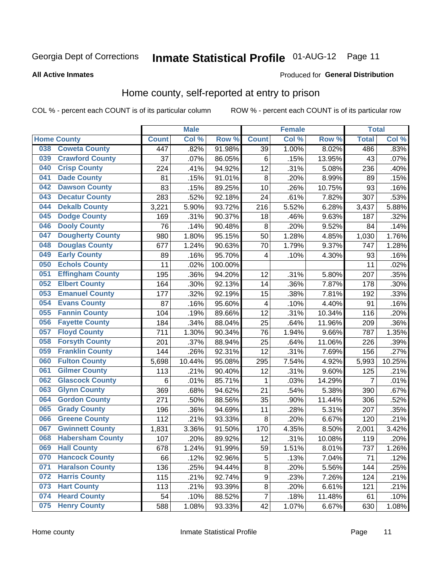# Inmate Statistical Profile 01-AUG-12 Page 11

**All Active Inmates** 

#### Produced for General Distribution

### Home county, self-reported at entry to prison

COL % - percent each COUNT is of its particular column

|     |                         |              | <b>Male</b> |         |                  | <b>Female</b> |        | <b>Total</b>   |        |
|-----|-------------------------|--------------|-------------|---------|------------------|---------------|--------|----------------|--------|
|     | <b>Home County</b>      | <b>Count</b> | Col %       | Row %   | <b>Count</b>     | Col %         | Row %  | <b>Total</b>   | Col %  |
| 038 | <b>Coweta County</b>    | 447          | .82%        | 91.98%  | 39               | 1.00%         | 8.02%  | 486            | .83%   |
| 039 | <b>Crawford County</b>  | 37           | .07%        | 86.05%  | $\,6$            | .15%          | 13.95% | 43             | .07%   |
| 040 | <b>Crisp County</b>     | 224          | .41%        | 94.92%  | 12               | .31%          | 5.08%  | 236            | .40%   |
| 041 | <b>Dade County</b>      | 81           | .15%        | 91.01%  | 8                | .20%          | 8.99%  | 89             | .15%   |
| 042 | <b>Dawson County</b>    | 83           | .15%        | 89.25%  | 10               | .26%          | 10.75% | 93             | .16%   |
| 043 | <b>Decatur County</b>   | 283          | .52%        | 92.18%  | 24               | .61%          | 7.82%  | 307            | .53%   |
| 044 | <b>Dekalb County</b>    | 3,221        | 5.90%       | 93.72%  | 216              | 5.52%         | 6.28%  | 3,437          | 5.88%  |
| 045 | <b>Dodge County</b>     | 169          | .31%        | 90.37%  | 18               | .46%          | 9.63%  | 187            | .32%   |
| 046 | <b>Dooly County</b>     | 76           | .14%        | 90.48%  | $\bf 8$          | .20%          | 9.52%  | 84             | .14%   |
| 047 | <b>Dougherty County</b> | 980          | 1.80%       | 95.15%  | 50               | 1.28%         | 4.85%  | 1,030          | 1.76%  |
| 048 | <b>Douglas County</b>   | 677          | 1.24%       | 90.63%  | 70               | 1.79%         | 9.37%  | 747            | 1.28%  |
| 049 | <b>Early County</b>     | 89           | .16%        | 95.70%  | 4                | .10%          | 4.30%  | 93             | .16%   |
| 050 | <b>Echols County</b>    | 11           | .02%        | 100.00% |                  |               |        | 11             | .02%   |
| 051 | <b>Effingham County</b> | 195          | .36%        | 94.20%  | 12               | .31%          | 5.80%  | 207            | .35%   |
| 052 | <b>Elbert County</b>    | 164          | .30%        | 92.13%  | 14               | .36%          | 7.87%  | 178            | .30%   |
| 053 | <b>Emanuel County</b>   | 177          | .32%        | 92.19%  | 15               | .38%          | 7.81%  | 192            | .33%   |
| 054 | <b>Evans County</b>     | 87           | .16%        | 95.60%  | 4                | .10%          | 4.40%  | 91             | .16%   |
| 055 | <b>Fannin County</b>    | 104          | .19%        | 89.66%  | 12               | .31%          | 10.34% | 116            | .20%   |
| 056 | <b>Fayette County</b>   | 184          | .34%        | 88.04%  | 25               | .64%          | 11.96% | 209            | .36%   |
| 057 | <b>Floyd County</b>     | 711          | 1.30%       | 90.34%  | 76               | 1.94%         | 9.66%  | 787            | 1.35%  |
| 058 | <b>Forsyth County</b>   | 201          | .37%        | 88.94%  | 25               | .64%          | 11.06% | 226            | .39%   |
| 059 | <b>Franklin County</b>  | 144          | .26%        | 92.31%  | 12               | .31%          | 7.69%  | 156            | .27%   |
| 060 | <b>Fulton County</b>    | 5,698        | 10.44%      | 95.08%  | 295              | 7.54%         | 4.92%  | 5,993          | 10.25% |
| 061 | <b>Gilmer County</b>    | 113          | .21%        | 90.40%  | 12               | .31%          | 9.60%  | 125            | .21%   |
| 062 | <b>Glascock County</b>  | 6            | .01%        | 85.71%  | 1                | .03%          | 14.29% | $\overline{7}$ | .01%   |
| 063 | <b>Glynn County</b>     | 369          | .68%        | 94.62%  | 21               | .54%          | 5.38%  | 390            | .67%   |
| 064 | <b>Gordon County</b>    | 271          | .50%        | 88.56%  | 35               | .90%          | 11.44% | 306            | .52%   |
| 065 | <b>Grady County</b>     | 196          | .36%        | 94.69%  | 11               | .28%          | 5.31%  | 207            | .35%   |
| 066 | <b>Greene County</b>    | 112          | .21%        | 93.33%  | $\bf 8$          | .20%          | 6.67%  | 120            | .21%   |
| 067 | <b>Gwinnett County</b>  | 1,831        | 3.36%       | 91.50%  | 170              | 4.35%         | 8.50%  | 2,001          | 3.42%  |
| 068 | <b>Habersham County</b> | 107          | .20%        | 89.92%  | 12               | .31%          | 10.08% | 119            | .20%   |
| 069 | <b>Hall County</b>      | 678          | 1.24%       | 91.99%  | 59               | 1.51%         | 8.01%  | 737            | 1.26%  |
| 070 | <b>Hancock County</b>   | 66           | .12%        | 92.96%  | 5                | .13%          | 7.04%  | 71             | .12%   |
| 071 | <b>Haralson County</b>  | 136          | .25%        | 94.44%  | $\bf 8$          | .20%          | 5.56%  | 144            | .25%   |
| 072 | <b>Harris County</b>    | 115          | .21%        | 92.74%  | $\boldsymbol{9}$ | .23%          | 7.26%  | 124            | .21%   |
| 073 | <b>Hart County</b>      | 113          | .21%        | 93.39%  | $\bf 8$          | .20%          | 6.61%  | 121            | .21%   |
| 074 | <b>Heard County</b>     | 54           | .10%        | 88.52%  | $\overline{7}$   | .18%          | 11.48% | 61             | .10%   |
| 075 | <b>Henry County</b>     | 588          | 1.08%       | 93.33%  | 42               | 1.07%         | 6.67%  | 630            | 1.08%  |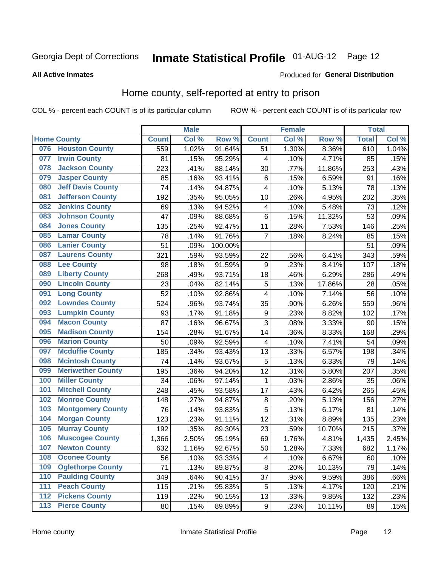# Inmate Statistical Profile 01-AUG-12 Page 12

**All Active Inmates** 

#### Produced for General Distribution

### Home county, self-reported at entry to prison

COL % - percent each COUNT is of its particular column

|     |                          |              | <b>Male</b> |                  |                         | <b>Female</b> |        | <b>Total</b> |       |
|-----|--------------------------|--------------|-------------|------------------|-------------------------|---------------|--------|--------------|-------|
|     | <b>Home County</b>       | <b>Count</b> | Col %       | Row <sup>%</sup> | <b>Count</b>            | Col %         | Row %  | <b>Total</b> | Col % |
|     | 076 Houston County       | 559          | 1.02%       | 91.64%           | 51                      | 1.30%         | 8.36%  | 610          | 1.04% |
| 077 | <b>Irwin County</b>      | 81           | .15%        | 95.29%           | $\overline{\mathbf{4}}$ | .10%          | 4.71%  | 85           | .15%  |
| 078 | <b>Jackson County</b>    | 223          | .41%        | 88.14%           | 30                      | .77%          | 11.86% | 253          | .43%  |
| 079 | <b>Jasper County</b>     | 85           | .16%        | 93.41%           | $\,6$                   | .15%          | 6.59%  | 91           | .16%  |
| 080 | <b>Jeff Davis County</b> | 74           | .14%        | 94.87%           | $\overline{\mathbf{4}}$ | .10%          | 5.13%  | 78           | .13%  |
| 081 | <b>Jefferson County</b>  | 192          | .35%        | 95.05%           | 10                      | .26%          | 4.95%  | 202          | .35%  |
| 082 | <b>Jenkins County</b>    | 69           | .13%        | 94.52%           | 4                       | .10%          | 5.48%  | 73           | .12%  |
| 083 | <b>Johnson County</b>    | 47           | .09%        | 88.68%           | $\,6$                   | .15%          | 11.32% | 53           | .09%  |
| 084 | <b>Jones County</b>      | 135          | .25%        | 92.47%           | 11                      | .28%          | 7.53%  | 146          | .25%  |
| 085 | <b>Lamar County</b>      | 78           | .14%        | 91.76%           | $\overline{7}$          | .18%          | 8.24%  | 85           | .15%  |
| 086 | <b>Lanier County</b>     | 51           | .09%        | 100.00%          |                         |               |        | 51           | .09%  |
| 087 | <b>Laurens County</b>    | 321          | .59%        | 93.59%           | 22                      | .56%          | 6.41%  | 343          | .59%  |
| 088 | <b>Lee County</b>        | 98           | .18%        | 91.59%           | $\boldsymbol{9}$        | .23%          | 8.41%  | 107          | .18%  |
| 089 | <b>Liberty County</b>    | 268          | .49%        | 93.71%           | 18                      | .46%          | 6.29%  | 286          | .49%  |
| 090 | <b>Lincoln County</b>    | 23           | .04%        | 82.14%           | 5                       | .13%          | 17.86% | 28           | .05%  |
| 091 | <b>Long County</b>       | 52           | .10%        | 92.86%           | 4                       | .10%          | 7.14%  | 56           | .10%  |
| 092 | <b>Lowndes County</b>    | 524          | .96%        | 93.74%           | 35                      | .90%          | 6.26%  | 559          | .96%  |
| 093 | <b>Lumpkin County</b>    | 93           | .17%        | 91.18%           | $\boldsymbol{9}$        | .23%          | 8.82%  | 102          | .17%  |
| 094 | <b>Macon County</b>      | 87           | .16%        | 96.67%           | 3                       | .08%          | 3.33%  | 90           | .15%  |
| 095 | <b>Madison County</b>    | 154          | .28%        | 91.67%           | 14                      | .36%          | 8.33%  | 168          | .29%  |
| 096 | <b>Marion County</b>     | 50           | .09%        | 92.59%           | $\overline{\mathbf{4}}$ | .10%          | 7.41%  | 54           | .09%  |
| 097 | <b>Mcduffie County</b>   | 185          | .34%        | 93.43%           | 13                      | .33%          | 6.57%  | 198          | .34%  |
| 098 | <b>Mcintosh County</b>   | 74           | .14%        | 93.67%           | 5                       | .13%          | 6.33%  | 79           | .14%  |
| 099 | <b>Meriwether County</b> | 195          | .36%        | 94.20%           | 12                      | .31%          | 5.80%  | 207          | .35%  |
| 100 | <b>Miller County</b>     | 34           | .06%        | 97.14%           | 1                       | .03%          | 2.86%  | 35           | .06%  |
| 101 | <b>Mitchell County</b>   | 248          | .45%        | 93.58%           | 17                      | .43%          | 6.42%  | 265          | .45%  |
| 102 | <b>Monroe County</b>     | 148          | .27%        | 94.87%           | 8                       | .20%          | 5.13%  | 156          | .27%  |
| 103 | <b>Montgomery County</b> | 76           | .14%        | 93.83%           | 5                       | .13%          | 6.17%  | 81           | .14%  |
| 104 | <b>Morgan County</b>     | 123          | .23%        | 91.11%           | 12                      | .31%          | 8.89%  | 135          | .23%  |
| 105 | <b>Murray County</b>     | 192          | .35%        | 89.30%           | 23                      | .59%          | 10.70% | 215          | .37%  |
| 106 | <b>Muscogee County</b>   | 1,366        | 2.50%       | 95.19%           | 69                      | 1.76%         | 4.81%  | 1,435        | 2.45% |
| 107 | <b>Newton County</b>     | 632          | 1.16%       | 92.67%           | 50                      | 1.28%         | 7.33%  | 682          | 1.17% |
| 108 | <b>Oconee County</b>     | 56           | .10%        | 93.33%           | 4                       | .10%          | 6.67%  | 60           | .10%  |
| 109 | <b>Oglethorpe County</b> | 71           | .13%        | 89.87%           | 8                       | .20%          | 10.13% | 79           | .14%  |
| 110 | <b>Paulding County</b>   | 349          | .64%        | 90.41%           | 37                      | .95%          | 9.59%  | 386          | .66%  |
| 111 | <b>Peach County</b>      | 115          | .21%        | 95.83%           | 5                       | .13%          | 4.17%  | 120          | .21%  |
| 112 | <b>Pickens County</b>    | 119          | .22%        | 90.15%           | 13                      | .33%          | 9.85%  | 132          | .23%  |
| 113 | <b>Pierce County</b>     | 80           | .15%        | 89.89%           | $\boldsymbol{9}$        | .23%          | 10.11% | 89           | .15%  |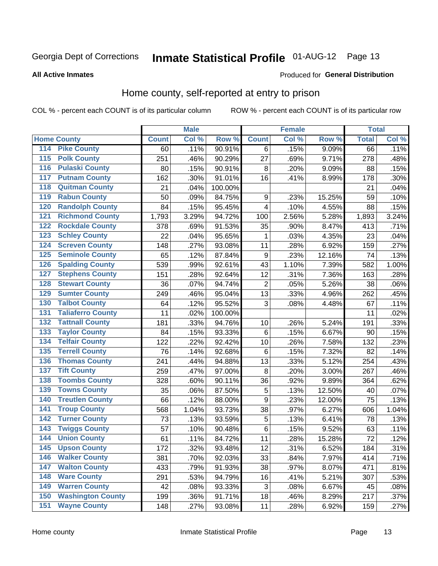# Inmate Statistical Profile 01-AUG-12 Page 13

#### **All Active Inmates**

#### Produced for General Distribution

### Home county, self-reported at entry to prison

COL % - percent each COUNT is of its particular column

|                  |                          |              | <b>Male</b> |         |                  | <b>Female</b> |        | <b>Total</b> |          |
|------------------|--------------------------|--------------|-------------|---------|------------------|---------------|--------|--------------|----------|
|                  | <b>Home County</b>       | <b>Count</b> | Col %       | Row %   | <b>Count</b>     | Col %         | Row %  | <b>Total</b> | Col %    |
| 114              | <b>Pike County</b>       | 60           | .11%        | 90.91%  | 6                | .15%          | 9.09%  | 66           | .11%     |
| $\overline{115}$ | <b>Polk County</b>       | 251          | .46%        | 90.29%  | 27               | .69%          | 9.71%  | 278          | .48%     |
| 116              | <b>Pulaski County</b>    | 80           | .15%        | 90.91%  | 8                | .20%          | 9.09%  | 88           | .15%     |
| 117              | <b>Putnam County</b>     | 162          | .30%        | 91.01%  | 16               | .41%          | 8.99%  | 178          | .30%     |
| 118              | <b>Quitman County</b>    | 21           | .04%        | 100.00% |                  |               |        | 21           | .04%     |
| 119              | <b>Rabun County</b>      | 50           | .09%        | 84.75%  | $\boldsymbol{9}$ | .23%          | 15.25% | 59           | .10%     |
| 120              | <b>Randolph County</b>   | 84           | .15%        | 95.45%  | 4                | .10%          | 4.55%  | 88           | .15%     |
| 121              | <b>Richmond County</b>   | 1,793        | 3.29%       | 94.72%  | 100              | 2.56%         | 5.28%  | 1,893        | $3.24\%$ |
| 122              | <b>Rockdale County</b>   | 378          | .69%        | 91.53%  | 35               | .90%          | 8.47%  | 413          | .71%     |
| 123              | <b>Schley County</b>     | 22           | .04%        | 95.65%  | 1                | .03%          | 4.35%  | 23           | .04%     |
| 124              | <b>Screven County</b>    | 148          | .27%        | 93.08%  | 11               | .28%          | 6.92%  | 159          | .27%     |
| 125              | <b>Seminole County</b>   | 65           | .12%        | 87.84%  | $\boldsymbol{9}$ | .23%          | 12.16% | 74           | .13%     |
| 126              | <b>Spalding County</b>   | 539          | .99%        | 92.61%  | 43               | 1.10%         | 7.39%  | 582          | 1.00%    |
| 127              | <b>Stephens County</b>   | 151          | .28%        | 92.64%  | 12               | .31%          | 7.36%  | 163          | .28%     |
| 128              | <b>Stewart County</b>    | 36           | .07%        | 94.74%  | $\overline{2}$   | .05%          | 5.26%  | 38           | .06%     |
| 129              | <b>Sumter County</b>     | 249          | .46%        | 95.04%  | 13               | .33%          | 4.96%  | 262          | .45%     |
| 130              | <b>Talbot County</b>     | 64           | .12%        | 95.52%  | 3                | .08%          | 4.48%  | 67           | .11%     |
| 131              | <b>Taliaferro County</b> | 11           | .02%        | 100.00% |                  |               |        | 11           | .02%     |
| 132              | <b>Tattnall County</b>   | 181          | .33%        | 94.76%  | 10               | .26%          | 5.24%  | 191          | .33%     |
| 133              | <b>Taylor County</b>     | 84           | .15%        | 93.33%  | $\,6$            | .15%          | 6.67%  | 90           | .15%     |
| 134              | <b>Telfair County</b>    | 122          | .22%        | 92.42%  | 10               | .26%          | 7.58%  | 132          | .23%     |
| 135              | <b>Terrell County</b>    | 76           | .14%        | 92.68%  | $\,6$            | .15%          | 7.32%  | 82           | .14%     |
| 136              | <b>Thomas County</b>     | 241          | .44%        | 94.88%  | 13               | .33%          | 5.12%  | 254          | .43%     |
| 137              | <b>Tift County</b>       | 259          | .47%        | 97.00%  | 8                | .20%          | 3.00%  | 267          | .46%     |
| 138              | <b>Toombs County</b>     | 328          | .60%        | 90.11%  | 36               | .92%          | 9.89%  | 364          | .62%     |
| 139              | <b>Towns County</b>      | 35           | .06%        | 87.50%  | 5                | .13%          | 12.50% | 40           | .07%     |
| 140              | <b>Treutlen County</b>   | 66           | .12%        | 88.00%  | $\boldsymbol{9}$ | .23%          | 12.00% | 75           | .13%     |
| 141              | <b>Troup County</b>      | 568          | 1.04%       | 93.73%  | 38               | .97%          | 6.27%  | 606          | 1.04%    |
| $\overline{142}$ | <b>Turner County</b>     | 73           | .13%        | 93.59%  | 5                | .13%          | 6.41%  | 78           | .13%     |
| 143              | <b>Twiggs County</b>     | 57           | .10%        | 90.48%  | $\,6$            | .15%          | 9.52%  | 63           | .11%     |
| 144              | <b>Union County</b>      | 61           | .11%        | 84.72%  | 11               | .28%          | 15.28% | 72           | .12%     |
| 145              | <b>Upson County</b>      | 172          | .32%        | 93.48%  | 12               | .31%          | 6.52%  | 184          | .31%     |
| 146              | <b>Walker County</b>     | 381          | .70%        | 92.03%  | 33               | .84%          | 7.97%  | 414          | .71%     |
| 147              | <b>Walton County</b>     | 433          | .79%        | 91.93%  | 38               | .97%          | 8.07%  | 471          | .81%     |
| 148              | <b>Ware County</b>       | 291          | .53%        | 94.79%  | 16               | .41%          | 5.21%  | 307          | .53%     |
| 149              | <b>Warren County</b>     | 42           | .08%        | 93.33%  | 3                | .08%          | 6.67%  | 45           | .08%     |
| 150              | <b>Washington County</b> | 199          | .36%        | 91.71%  | 18               | .46%          | 8.29%  | 217          | .37%     |
| 151              | <b>Wayne County</b>      | 148          | .27%        | 93.08%  | 11               | .28%          | 6.92%  | 159          | .27%     |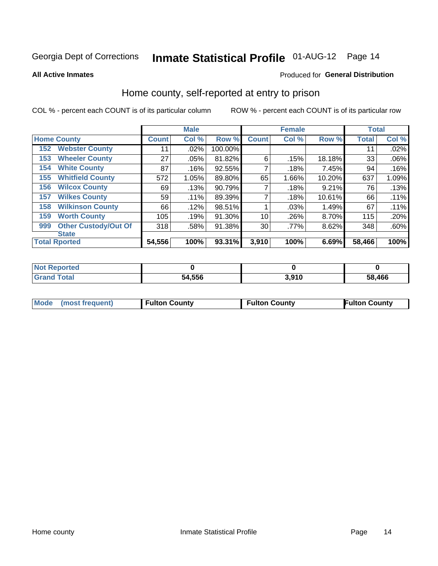# Inmate Statistical Profile 01-AUG-12 Page 14

**All Active Inmates** 

#### Produced for General Distribution

### Home county, self-reported at entry to prison

COL % - percent each COUNT is of its particular column

|     |                             |              | <b>Male</b> |         |              | <b>Female</b> |        | <b>Total</b> |       |
|-----|-----------------------------|--------------|-------------|---------|--------------|---------------|--------|--------------|-------|
|     | <b>Home County</b>          | <b>Count</b> | Col %       | Row %   | <b>Count</b> | Col %         | Row %  | <b>Total</b> | Col % |
| 152 | <b>Webster County</b>       | 11           | .02%        | 100.00% |              |               |        | 11           | .02%  |
| 153 | <b>Wheeler County</b>       | 27           | .05%        | 81.82%  | 6            | .15%          | 18.18% | 33           | .06%  |
| 154 | <b>White County</b>         | 87           | .16%        | 92.55%  | 7            | .18%          | 7.45%  | 94           | .16%  |
| 155 | <b>Whitfield County</b>     | 572          | 1.05%       | 89.80%  | 65           | 1.66%         | 10.20% | 637          | 1.09% |
| 156 | <b>Wilcox County</b>        | 69           | .13%        | 90.79%  |              | .18%          | 9.21%  | 76           | .13%  |
| 157 | <b>Wilkes County</b>        | 59           | .11%        | 89.39%  | 7            | .18%          | 10.61% | 66           | .11%  |
| 158 | <b>Wilkinson County</b>     | 66           | .12%        | 98.51%  |              | .03%          | 1.49%  | 67           | .11%  |
| 159 | <b>Worth County</b>         | 105          | .19%        | 91.30%  | 10           | .26%          | 8.70%  | 115          | .20%  |
| 999 | <b>Other Custody/Out Of</b> | 318          | .58%        | 91.38%  | 30           | .77%          | 8.62%  | 348          | .60%  |
|     | <b>State</b>                |              |             |         |              |               |        |              |       |
|     | <b>Total Rported</b>        | 54,556       | 100%        | 93.31%  | 3,910        | 100%          | 6.69%  | 58,466       | 100%  |

| reo |             |      |        |
|-----|-------------|------|--------|
|     | .556<br>54. | .910 | 58.466 |

|  | Mode (most frequent) | <b>Fulton County</b> | <b>Fulton County</b> | <b>Fulton County</b> |
|--|----------------------|----------------------|----------------------|----------------------|
|--|----------------------|----------------------|----------------------|----------------------|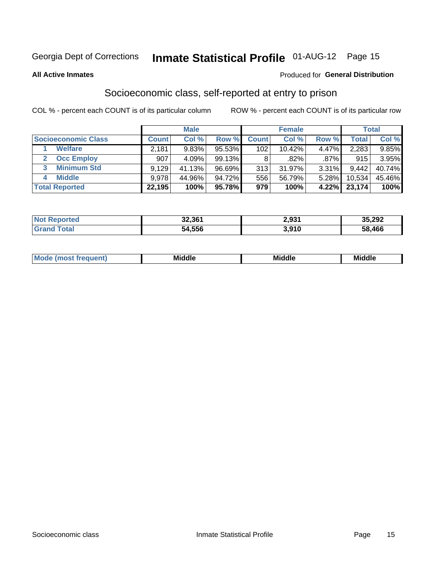# Inmate Statistical Profile 01-AUG-12 Page 15

#### **All Active Inmates**

### **Produced for General Distribution**

### Socioeconomic class, self-reported at entry to prison

COL % - percent each COUNT is of its particular column

|                         |         | <b>Male</b> |           |              | <b>Female</b> |          |        | <b>Total</b> |
|-------------------------|---------|-------------|-----------|--------------|---------------|----------|--------|--------------|
| Socioeconomic Class     | Count l | Col %       | Row %     | <b>Count</b> | Col %         | Row %    | Total  | Col %        |
| <b>Welfare</b>          | 2,181   | 9.83%       | 95.53%    | 102          | 10.42%        | 4.47%    | 2,283  | $9.85\%$     |
| <b>Occ Employ</b>       | 907     | 4.09%       | 99.13%    | 8            | $.82\%$       | $.87\%$  | 915    | 3.95%        |
| <b>Minimum Std</b><br>3 | 9,129   | 41.13%      | $96.69\%$ | 313          | $31.97\%$     | $3.31\%$ | 9,442  | 40.74%       |
| <b>Middle</b><br>4      | 9.978   | 44.96%      | 94.72%    | 556          | 56.79%        | 5.28%    | 10,534 | 45.46%       |
| <b>Total Reported</b>   | 22,195  | 100%        | 95.78%    | 979          | 100%          | 4.22%    | 23,174 | 100%         |

| <b>Not Reported</b> | 32,361 | 2,931 | 35,292 |
|---------------------|--------|-------|--------|
| ™∩tal               | 54,556 | 3,910 | 58,466 |

| ____<br>____ |
|--------------|
|--------------|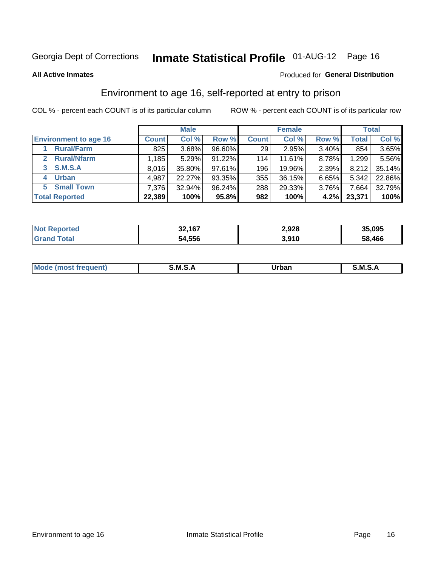# Inmate Statistical Profile 01-AUG-12 Page 16

**All Active Inmates** 

### **Produced for General Distribution**

### Environment to age 16, self-reported at entry to prison

COL % - percent each COUNT is of its particular column

|                                      |              | <b>Male</b> |           |              | <b>Female</b> |       |        | <b>Total</b> |
|--------------------------------------|--------------|-------------|-----------|--------------|---------------|-------|--------|--------------|
| <b>Environment to age 16</b>         | <b>Count</b> | Col %       | Row %     | <b>Count</b> | Col %         | Row % | Total  | Col %        |
| <b>Rural/Farm</b>                    | 825          | 3.68%       | $96.60\%$ | 29           | 2.95%         | 3.40% | 854    | $3.65\%$     |
| <b>Rural/Nfarm</b><br>$\mathbf{2}^-$ | 1,185        | 5.29%       | 91.22%    | 114          | 11.61%        | 8.78% | 1,299  | 5.56%        |
| <b>S.M.S.A</b><br>3                  | 8,016        | 35.80%      | $97.61\%$ | 196          | 19.96%        | 2.39% | 8,212  | 35.14%       |
| <b>Urban</b><br>4                    | 4,987        | 22.27%      | 93.35%    | 355          | 36.15%        | 6.65% | 5,342  | 22.86%       |
| <b>Small Town</b><br>5.              | 7,376        | 32.94%      | 96.24%    | 288          | 29.33%        | 3.76% | 7,664  | 32.79%       |
| <b>Total Reported</b>                | 22,389       | 100%        | 95.8%     | 982          | 100%          | 4.2%  | 23,371 | 100%         |

| <b>Not Reported</b> | 32,167 | 2,928 | 35,095 |
|---------------------|--------|-------|--------|
| ™otaì               | 54,556 | 3.910 | 58,466 |

| Mo | M<br>______ | Irhan<br>rva<br>_____ | M<br>______ |
|----|-------------|-----------------------|-------------|
|    |             |                       |             |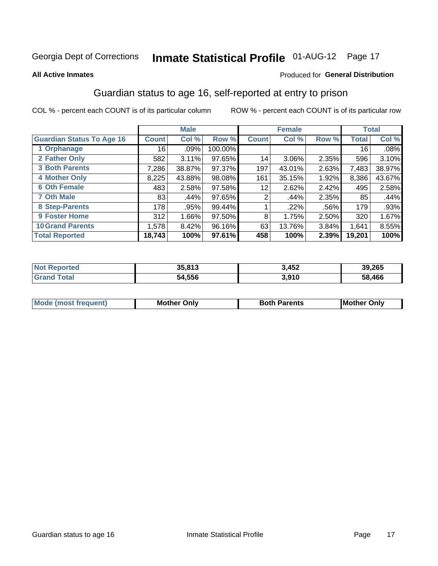# Inmate Statistical Profile 01-AUG-12 Page 17

#### **All Active Inmates**

#### Produced for General Distribution

### Guardian status to age 16, self-reported at entry to prison

COL % - percent each COUNT is of its particular column

|                                  |              | <b>Male</b> |           |                 | <b>Female</b> |         |        | <b>Total</b> |
|----------------------------------|--------------|-------------|-----------|-----------------|---------------|---------|--------|--------------|
| <b>Guardian Status To Age 16</b> | <b>Count</b> | Col %       | Row %     | <b>Count</b>    | Col %         | Row %   | Total  | Col %        |
| 1 Orphanage                      | 16           | .09%        | 100.00%   |                 |               |         | 16     | .08%         |
| 2 Father Only                    | 582          | 3.11%       | 97.65%    | 14              | 3.06%         | 2.35%   | 596    | 3.10%        |
| <b>3 Both Parents</b>            | 7,286        | 38.87%      | $97.37\%$ | 197             | 43.01%        | 2.63%   | 7,483  | 38.97%       |
| <b>4 Mother Only</b>             | 8,225        | 43.88%      | 98.08%    | 161             | 35.15%        | 1.92%   | 8,386  | 43.67%       |
| <b>6 Oth Female</b>              | 483          | 2.58%       | 97.58%    | 12 <sub>1</sub> | 2.62%         | 2.42%   | 495    | 2.58%        |
| <b>7 Oth Male</b>                | 83           | .44%        | 97.65%    | 2               | .44%          | 2.35%   | 85     | .44%         |
| 8 Step-Parents                   | 178          | .95%        | 99.44%    |                 | .22%          | $.56\%$ | 179    | .93%         |
| <b>9 Foster Home</b>             | 312          | 1.66%       | 97.50%    | 8               | 1.75%         | 2.50%   | 320    | 1.67%        |
| <b>10 Grand Parents</b>          | 1,578        | 8.42%       | 96.16%    | 63              | 13.76%        | 3.84%   | 1,641  | 8.55%        |
| <b>Total Reported</b>            | 18,743       | 100%        | 97.61%    | 458             | 100%          | 2.39%   | 19,201 | 100%         |

| <b>ortea</b><br><b>NOT</b> | 35.813 | 3,452 | 39,265 |
|----------------------------|--------|-------|--------|
| ' Grano                    | 54,556 | 3,910 | 58,466 |

| <b>Mode (most frequent)</b> | วทIv<br>- -<br>MΩ | <b>Roth</b><br>ີ <sup>ລ</sup> າrents | l Mc<br>Only<br>- - |
|-----------------------------|-------------------|--------------------------------------|---------------------|
|                             |                   |                                      |                     |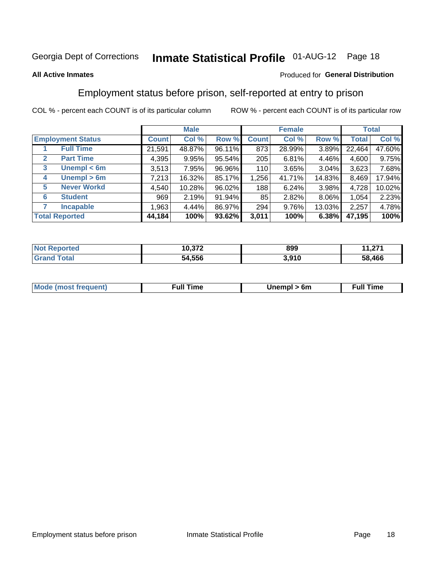# Inmate Statistical Profile 01-AUG-12 Page 18

### **All Active Inmates**

### Produced for General Distribution

### Employment status before prison, self-reported at entry to prison

COL % - percent each COUNT is of its particular column

|                                  |              | <b>Male</b> |        |              | <b>Female</b> |        |              | <b>Total</b> |
|----------------------------------|--------------|-------------|--------|--------------|---------------|--------|--------------|--------------|
| <b>Employment Status</b>         | <b>Count</b> | Col %       | Row %  | <b>Count</b> | Col %         | Row %  | <b>Total</b> | Col %        |
| <b>Full Time</b>                 | 21,591       | 48.87%      | 96.11% | 873          | 28.99%        | 3.89%  | 22,464       | 47.60%       |
| <b>Part Time</b><br>$\mathbf{2}$ | 4,395        | 9.95%       | 95.54% | 205          | 6.81%         | 4.46%  | 4,600        | 9.75%        |
| Unempl $<$ 6m<br>3               | 3,513        | 7.95%       | 96.96% | 110          | 3.65%         | 3.04%  | 3,623        | 7.68%        |
| Unempl > 6m<br>4                 | 7,213        | 16.32%      | 85.17% | 1,256        | 41.71%        | 14.83% | 8,469        | 17.94%       |
| <b>Never Workd</b><br>5          | 4,540        | 10.28%      | 96.02% | 188          | 6.24%         | 3.98%  | 4,728        | 10.02%       |
| <b>Student</b><br>6              | 969          | 2.19%       | 91.94% | 85           | 2.82%         | 8.06%  | 1,054        | 2.23%        |
| <b>Incapable</b><br>7            | 1,963        | $4.44\%$    | 86.97% | 294          | 9.76%         | 13.03% | 2,257        | 4.78%        |
| <b>Total Reported</b>            | 44,184       | 100%        | 93.62% | 3,011        | 100%          | 6.38%  | 47,195       | 100%         |

| тес.<br>NO | , , , <del>,</del><br>10.3/2 | 899           | 274    |
|------------|------------------------------|---------------|--------|
| Grs        | 54,556                       | ה מה כ<br>v.c | 58.466 |

| <b>Mou</b><br>זווניווו<br>$\cdots$ | 6m<br>____ | ∙ull<br>⊺ime<br>the contract of the contract of the contract of the contract of the contract of the contract of the contract of |
|------------------------------------|------------|---------------------------------------------------------------------------------------------------------------------------------|
|                                    |            |                                                                                                                                 |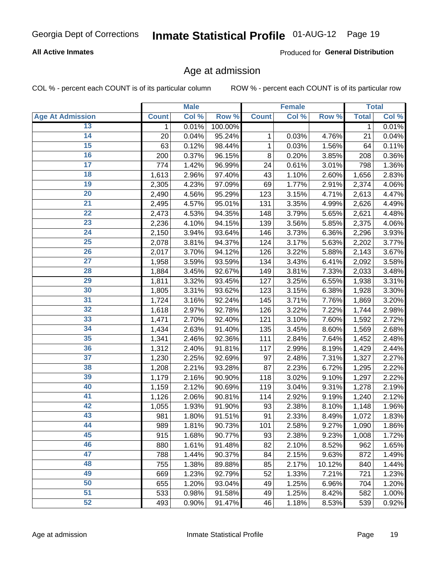### **All Active Inmates**

Produced for General Distribution

### Age at admission

COL % - percent each COUNT is of its particular column

|                         |              | <b>Male</b> |         |              | <b>Female</b> |        |              | <b>Total</b> |
|-------------------------|--------------|-------------|---------|--------------|---------------|--------|--------------|--------------|
| <b>Age At Admission</b> | <b>Count</b> | Col %       | Row %   | <b>Count</b> | Col %         | Row %  | <b>Total</b> | Col %        |
| 13                      | 1            | 0.01%       | 100.00% |              |               |        | $\mathbf 1$  | 0.01%        |
| $\overline{14}$         | 20           | 0.04%       | 95.24%  | 1            | 0.03%         | 4.76%  | 21           | 0.04%        |
| 15                      | 63           | 0.12%       | 98.44%  | 1            | 0.03%         | 1.56%  | 64           | 0.11%        |
| 16                      | 200          | 0.37%       | 96.15%  | 8            | 0.20%         | 3.85%  | 208          | 0.36%        |
| $\overline{17}$         | 774          | 1.42%       | 96.99%  | 24           | 0.61%         | 3.01%  | 798          | 1.36%        |
| 18                      | 1,613        | 2.96%       | 97.40%  | 43           | 1.10%         | 2.60%  | 1,656        | 2.83%        |
| 19                      | 2,305        | 4.23%       | 97.09%  | 69           | 1.77%         | 2.91%  | 2,374        | 4.06%        |
| $\overline{20}$         | 2,490        | 4.56%       | 95.29%  | 123          | 3.15%         | 4.71%  | 2,613        | 4.47%        |
| $\overline{21}$         | 2,495        | 4.57%       | 95.01%  | 131          | 3.35%         | 4.99%  | 2,626        | 4.49%        |
| $\overline{22}$         | 2,473        | 4.53%       | 94.35%  | 148          | 3.79%         | 5.65%  | 2,621        | 4.48%        |
| 23                      | 2,236        | 4.10%       | 94.15%  | 139          | 3.56%         | 5.85%  | 2,375        | 4.06%        |
| $\overline{24}$         | 2,150        | 3.94%       | 93.64%  | 146          | 3.73%         | 6.36%  | 2,296        | 3.93%        |
| $\overline{25}$         | 2,078        | 3.81%       | 94.37%  | 124          | 3.17%         | 5.63%  | 2,202        | 3.77%        |
| 26                      | 2,017        | 3.70%       | 94.12%  | 126          | 3.22%         | 5.88%  | 2,143        | 3.67%        |
| 27                      | 1,958        | 3.59%       | 93.59%  | 134          | 3.43%         | 6.41%  | 2,092        | 3.58%        |
| 28                      | 1,884        | 3.45%       | 92.67%  | 149          | 3.81%         | 7.33%  | 2,033        | 3.48%        |
| 29                      | 1,811        | 3.32%       | 93.45%  | 127          | 3.25%         | 6.55%  | 1,938        | 3.31%        |
| 30                      | 1,805        | 3.31%       | 93.62%  | 123          | 3.15%         | 6.38%  | 1,928        | 3.30%        |
| 31                      | 1,724        | 3.16%       | 92.24%  | 145          | 3.71%         | 7.76%  | 1,869        | 3.20%        |
| $\overline{32}$         | 1,618        | 2.97%       | 92.78%  | 126          | 3.22%         | 7.22%  | 1,744        | 2.98%        |
| 33                      | 1,471        | 2.70%       | 92.40%  | 121          | 3.10%         | 7.60%  | 1,592        | 2.72%        |
| 34                      | 1,434        | 2.63%       | 91.40%  | 135          | 3.45%         | 8.60%  | 1,569        | 2.68%        |
| 35                      | 1,341        | 2.46%       | 92.36%  | 111          | 2.84%         | 7.64%  | 1,452        | 2.48%        |
| 36                      | 1,312        | 2.40%       | 91.81%  | 117          | 2.99%         | 8.19%  | 1,429        | 2.44%        |
| $\overline{37}$         | 1,230        | 2.25%       | 92.69%  | 97           | 2.48%         | 7.31%  | 1,327        | 2.27%        |
| 38                      | 1,208        | 2.21%       | 93.28%  | 87           | 2.23%         | 6.72%  | 1,295        | 2.22%        |
| 39                      | 1,179        | 2.16%       | 90.90%  | 118          | 3.02%         | 9.10%  | 1,297        | 2.22%        |
| 40                      | 1,159        | 2.12%       | 90.69%  | 119          | 3.04%         | 9.31%  | 1,278        | 2.19%        |
| 41                      | 1,126        | 2.06%       | 90.81%  | 114          | 2.92%         | 9.19%  | 1,240        | 2.12%        |
| 42                      | 1,055        | 1.93%       | 91.90%  | 93           | 2.38%         | 8.10%  | 1,148        | 1.96%        |
| 43                      | 981          | 1.80%       | 91.51%  | 91           | 2.33%         | 8.49%  | 1,072        | 1.83%        |
| 44                      | 989          | 1.81%       | 90.73%  | 101          | 2.58%         | 9.27%  | 1,090        | 1.86%        |
| 45                      | 915          | 1.68%       | 90.77%  | 93           | 2.38%         | 9.23%  | 1,008        | 1.72%        |
| 46                      | 880          | 1.61%       | 91.48%  | 82           | 2.10%         | 8.52%  | 962          | 1.65%        |
| 47                      | 788          | 1.44%       | 90.37%  | 84           | 2.15%         | 9.63%  | 872          | 1.49%        |
| 48                      | 755          | 1.38%       | 89.88%  | 85           | 2.17%         | 10.12% | 840          | 1.44%        |
| 49                      | 669          | 1.23%       | 92.79%  | 52           | 1.33%         | 7.21%  | 721          | 1.23%        |
| 50                      | 655          | 1.20%       | 93.04%  | 49           | 1.25%         | 6.96%  | 704          | 1.20%        |
| 51                      | 533          | 0.98%       | 91.58%  | 49           | 1.25%         | 8.42%  | 582          | 1.00%        |
| 52                      | 493          | 0.90%       | 91.47%  | 46           | 1.18%         | 8.53%  | 539          | 0.92%        |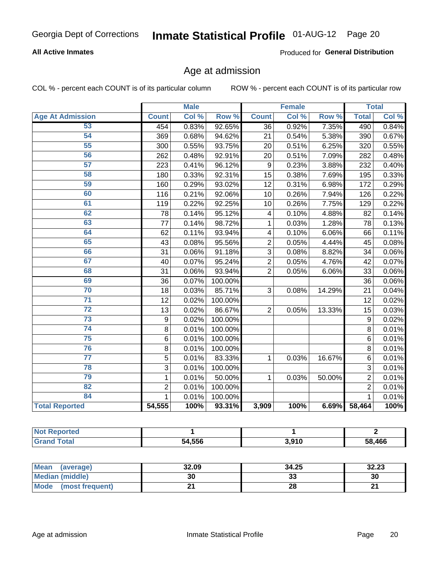### **All Active Inmates**

Produced for General Distribution

### Age at admission

COL % - percent each COUNT is of its particular column

|                         | <b>Male</b>      |       | <b>Female</b> |                 |       | <b>Total</b> |                |       |
|-------------------------|------------------|-------|---------------|-----------------|-------|--------------|----------------|-------|
| <b>Age At Admission</b> | <b>Count</b>     | Col % | Row %         | <b>Count</b>    | Col % | Row %        | <b>Total</b>   | Col % |
| 53                      | 454              | 0.83% | 92.65%        | 36              | 0.92% | 7.35%        | 490            | 0.84% |
| 54                      | 369              | 0.68% | 94.62%        | 21              | 0.54% | 5.38%        | 390            | 0.67% |
| 55                      | 300              | 0.55% | 93.75%        | 20              | 0.51% | 6.25%        | 320            | 0.55% |
| 56                      | 262              | 0.48% | 92.91%        | 20              | 0.51% | 7.09%        | 282            | 0.48% |
| 57                      | 223              | 0.41% | 96.12%        | 9               | 0.23% | 3.88%        | 232            | 0.40% |
| 58                      | 180              | 0.33% | 92.31%        | $\overline{15}$ | 0.38% | 7.69%        | 195            | 0.33% |
| 59                      | 160              | 0.29% | 93.02%        | 12              | 0.31% | 6.98%        | 172            | 0.29% |
| 60                      | 116              | 0.21% | 92.06%        | 10              | 0.26% | 7.94%        | 126            | 0.22% |
| 61                      | 119              | 0.22% | 92.25%        | 10              | 0.26% | 7.75%        | 129            | 0.22% |
| 62                      | 78               | 0.14% | 95.12%        | 4               | 0.10% | 4.88%        | 82             | 0.14% |
| 63                      | 77               | 0.14% | 98.72%        | 1               | 0.03% | 1.28%        | 78             | 0.13% |
| 64                      | 62               | 0.11% | 93.94%        | 4               | 0.10% | 6.06%        | 66             | 0.11% |
| 65                      | 43               | 0.08% | 95.56%        | $\overline{2}$  | 0.05% | 4.44%        | 45             | 0.08% |
| 66                      | 31               | 0.06% | 91.18%        | 3               | 0.08% | 8.82%        | 34             | 0.06% |
| 67                      | 40               | 0.07% | 95.24%        | $\overline{2}$  | 0.05% | 4.76%        | 42             | 0.07% |
| 68                      | 31               | 0.06% | 93.94%        | $\overline{2}$  | 0.05% | 6.06%        | 33             | 0.06% |
| 69                      | 36               | 0.07% | 100.00%       |                 |       |              | 36             | 0.06% |
| 70                      | 18               | 0.03% | 85.71%        | 3               | 0.08% | 14.29%       | 21             | 0.04% |
| $\overline{71}$         | 12               | 0.02% | 100.00%       |                 |       |              | 12             | 0.02% |
| $\overline{72}$         | 13               | 0.02% | 86.67%        | $\overline{2}$  | 0.05% | 13.33%       | 15             | 0.03% |
| $\overline{73}$         | $\boldsymbol{9}$ | 0.02% | 100.00%       |                 |       |              | 9              | 0.02% |
| 74                      | 8                | 0.01% | 100.00%       |                 |       |              | 8              | 0.01% |
| 75                      | $\,6$            | 0.01% | 100.00%       |                 |       |              | 6              | 0.01% |
| 76                      | 8                | 0.01% | 100.00%       |                 |       |              | 8              | 0.01% |
| $\overline{77}$         | 5                | 0.01% | 83.33%        | 1               | 0.03% | 16.67%       | 6              | 0.01% |
| 78                      | $\overline{3}$   | 0.01% | 100.00%       |                 |       |              | $\overline{3}$ | 0.01% |
| 79                      | $\mathbf{1}$     | 0.01% | 50.00%        | 1               | 0.03% | 50.00%       | $\overline{2}$ | 0.01% |
| 82                      | $\overline{2}$   | 0.01% | 100.00%       |                 |       |              | $\overline{2}$ | 0.01% |
| 84                      | 1                | 0.01% | 100.00%       |                 |       |              | 1              | 0.01% |
| <b>Total Reported</b>   | 54,555           | 100%  | 93.31%        | 3,909           | 100%  | 6.69%        | 58,464         | 100%  |

| <b>Not</b><br>norted |        |       |        |
|----------------------|--------|-------|--------|
| $\sim$               | 54.556 | 3.910 | 58.466 |

| Mean (average)         | 32.09 | 34.25   | 32.23  |
|------------------------|-------|---------|--------|
| <b>Median (middle)</b> | 30    | ົ<br>აა | 30     |
| Mode (most frequent)   |       | 28      | $\sim$ |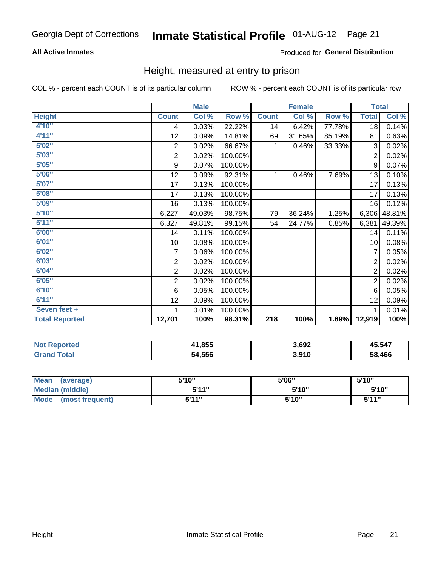### **All Active Inmates**

### Produced for General Distribution

### Height, measured at entry to prison

COL % - percent each COUNT is of its particular column

|                       | <b>Male</b>             |        |         | <b>Female</b>    |        |        | <b>Total</b>   |          |
|-----------------------|-------------------------|--------|---------|------------------|--------|--------|----------------|----------|
| <b>Height</b>         | <b>Count</b>            | Col %  | Row %   | <b>Count</b>     | Col %  | Row %  | <b>Total</b>   | Col %    |
| 4'10"                 | 4                       | 0.03%  | 22.22%  | 14               | 6.42%  | 77.78% | 18             | 0.14%    |
| 4'11''                | 12                      | 0.09%  | 14.81%  | 69               | 31.65% | 85.19% | 81             | 0.63%    |
| 5'02''                | $\sqrt{2}$              | 0.02%  | 66.67%  | 1                | 0.46%  | 33.33% | 3              | 0.02%    |
| 5'03''                | $\overline{\mathbf{c}}$ | 0.02%  | 100.00% |                  |        |        | $\overline{2}$ | 0.02%    |
| 5'05''                | $\boldsymbol{9}$        | 0.07%  | 100.00% |                  |        |        | 9              | 0.07%    |
| 5'06''                | 12                      | 0.09%  | 92.31%  | 1                | 0.46%  | 7.69%  | 13             | 0.10%    |
| 5'07''                | 17                      | 0.13%  | 100.00% |                  |        |        | 17             | 0.13%    |
| 5'08''                | 17                      | 0.13%  | 100.00% |                  |        |        | 17             | 0.13%    |
| 5'09''                | 16                      | 0.13%  | 100.00% |                  |        |        | 16             | 0.12%    |
| 5'10''                | 6,227                   | 49.03% | 98.75%  | 79               | 36.24% | 1.25%  | 6,306          | 48.81%   |
| 5'11''                | 6,327                   | 49.81% | 99.15%  | 54               | 24.77% | 0.85%  | 6,381          | 49.39%   |
| 6'00''                | 14                      | 0.11%  | 100.00% |                  |        |        | 14             | 0.11%    |
| 6'01''                | 10                      | 0.08%  | 100.00% |                  |        |        | 10             | 0.08%    |
| 6'02''                | 7                       | 0.06%  | 100.00% |                  |        |        | 7              | 0.05%    |
| 6'03''                | $\sqrt{2}$              | 0.02%  | 100.00% |                  |        |        | $\overline{2}$ | 0.02%    |
| 6'04''                | $\overline{c}$          | 0.02%  | 100.00% |                  |        |        | $\overline{2}$ | 0.02%    |
| 6'05''                | 2                       | 0.02%  | 100.00% |                  |        |        | $\overline{2}$ | 0.02%    |
| 6'10''                | 6                       | 0.05%  | 100.00% |                  |        |        | 6              | 0.05%    |
| 6'11''                | 12                      | 0.09%  | 100.00% |                  |        |        | 12             | 0.09%    |
| Seven feet +          | 1                       | 0.01%  | 100.00% |                  |        |        | 1              | $0.01\%$ |
| <b>Total Reported</b> | 12,701                  | 100%   | 98.31%  | $\overline{218}$ | 100%   | 1.69%  | 12,919         | 100%     |

| <b>Not Reported</b> | 41,855 | 3,692 | 45,547 |
|---------------------|--------|-------|--------|
| <b>Total</b>        | 54,556 | 3,910 | 58,466 |

| <b>Mean</b><br>(average)       | 5'10" | 5'06" | 5'10" |
|--------------------------------|-------|-------|-------|
| <b>Median (middle)</b>         | 544"  | 5'10" | 5'10" |
| <b>Mode</b><br>(most frequent) | 544 " | 5'10" | 544"  |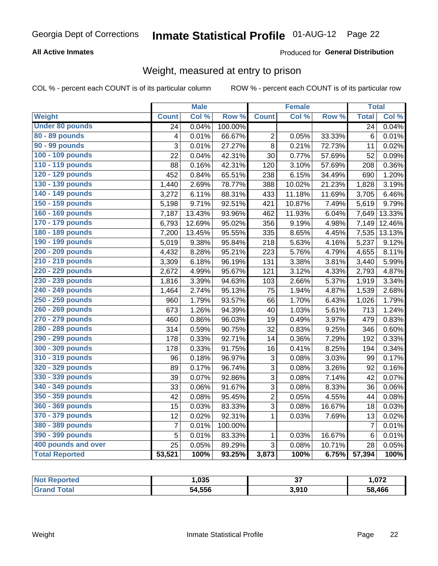### **All Active Inmates**

### Produced for General Distribution

### Weight, measured at entry to prison

COL % - percent each COUNT is of its particular column

|                        |                 | <b>Male</b> |                  |                 | <b>Female</b> |        | <b>Total</b>    |        |
|------------------------|-----------------|-------------|------------------|-----------------|---------------|--------|-----------------|--------|
| <b>Weight</b>          | <b>Count</b>    | Col %       | Row <sup>%</sup> | <b>Count</b>    | Col %         | Row %  | <b>Total</b>    | Col %  |
| <b>Under 80 pounds</b> | $\overline{24}$ | 0.04%       | 100.00%          |                 |               |        | $\overline{24}$ | 0.04%  |
| 80 - 89 pounds         | 4               | 0.01%       | 66.67%           | 2               | 0.05%         | 33.33% | $6\phantom{1}6$ | 0.01%  |
| 90 - 99 pounds         | 3               | 0.01%       | 27.27%           | 8               | 0.21%         | 72.73% | 11              | 0.02%  |
| 100 - 109 pounds       | 22              | 0.04%       | 42.31%           | $\overline{30}$ | 0.77%         | 57.69% | 52              | 0.09%  |
| 110 - 119 pounds       | 88              | 0.16%       | 42.31%           | 120             | 3.10%         | 57.69% | 208             | 0.36%  |
| 120 - 129 pounds       | 452             | 0.84%       | 65.51%           | 238             | 6.15%         | 34.49% | 690             | 1.20%  |
| 130 - 139 pounds       | 1,440           | 2.69%       | 78.77%           | 388             | 10.02%        | 21.23% | 1,828           | 3.19%  |
| 140 - 149 pounds       | 3,272           | 6.11%       | 88.31%           | 433             | 11.18%        | 11.69% | 3,705           | 6.46%  |
| 150 - 159 pounds       | 5,198           | 9.71%       | 92.51%           | 421             | 10.87%        | 7.49%  | 5,619           | 9.79%  |
| 160 - 169 pounds       | 7,187           | 13.43%      | 93.96%           | 462             | 11.93%        | 6.04%  | 7,649           | 13.33% |
| 170 - 179 pounds       | 6,793           | 12.69%      | 95.02%           | 356             | 9.19%         | 4.98%  | 7,149           | 12.46% |
| 180 - 189 pounds       | 7,200           | 13.45%      | 95.55%           | 335             | 8.65%         | 4.45%  | 7,535           | 13.13% |
| 190 - 199 pounds       | 5,019           | 9.38%       | 95.84%           | 218             | 5.63%         | 4.16%  | 5,237           | 9.12%  |
| 200 - 209 pounds       | 4,432           | 8.28%       | 95.21%           | 223             | 5.76%         | 4.79%  | 4,655           | 8.11%  |
| 210 - 219 pounds       | 3,309           | 6.18%       | 96.19%           | 131             | 3.38%         | 3.81%  | 3,440           | 5.99%  |
| 220 - 229 pounds       | 2,672           | 4.99%       | 95.67%           | 121             | 3.12%         | 4.33%  | 2,793           | 4.87%  |
| 230 - 239 pounds       | 1,816           | 3.39%       | 94.63%           | 103             | 2.66%         | 5.37%  | 1,919           | 3.34%  |
| 240 - 249 pounds       | 1,464           | 2.74%       | 95.13%           | 75              | 1.94%         | 4.87%  | 1,539           | 2.68%  |
| 250 - 259 pounds       | 960             | 1.79%       | 93.57%           | 66              | 1.70%         | 6.43%  | 1,026           | 1.79%  |
| 260 - 269 pounds       | 673             | 1.26%       | 94.39%           | 40              | 1.03%         | 5.61%  | 713             | 1.24%  |
| 270 - 279 pounds       | 460             | 0.86%       | 96.03%           | 19              | 0.49%         | 3.97%  | 479             | 0.83%  |
| 280 - 289 pounds       | 314             | 0.59%       | 90.75%           | 32              | 0.83%         | 9.25%  | 346             | 0.60%  |
| 290 - 299 pounds       | 178             | 0.33%       | 92.71%           | 14              | 0.36%         | 7.29%  | 192             | 0.33%  |
| 300 - 309 pounds       | 178             | 0.33%       | 91.75%           | 16              | 0.41%         | 8.25%  | 194             | 0.34%  |
| 310 - 319 pounds       | 96              | 0.18%       | 96.97%           | 3               | 0.08%         | 3.03%  | 99              | 0.17%  |
| 320 - 329 pounds       | 89              | 0.17%       | 96.74%           | 3               | 0.08%         | 3.26%  | 92              | 0.16%  |
| 330 - 339 pounds       | 39              | 0.07%       | 92.86%           | 3               | 0.08%         | 7.14%  | 42              | 0.07%  |
| 340 - 349 pounds       | 33              | 0.06%       | 91.67%           | $\overline{3}$  | 0.08%         | 8.33%  | 36              | 0.06%  |
| 350 - 359 pounds       | 42              | 0.08%       | 95.45%           | $\overline{2}$  | 0.05%         | 4.55%  | 44              | 0.08%  |
| 360 - 369 pounds       | 15              | 0.03%       | 83.33%           | 3               | 0.08%         | 16.67% | 18              | 0.03%  |
| 370 - 379 pounds       | 12              | 0.02%       | 92.31%           | $\mathbf 1$     | 0.03%         | 7.69%  | 13              | 0.02%  |
| 380 - 389 pounds       | $\overline{7}$  | 0.01%       | 100.00%          |                 |               |        | $\overline{7}$  | 0.01%  |
| 390 - 399 pounds       | $\overline{5}$  | 0.01%       | 83.33%           | $\mathbf 1$     | 0.03%         | 16.67% | $6\phantom{1}6$ | 0.01%  |
| 400 pounds and over    | 25              | 0.05%       | 89.29%           | 3               | 0.08%         | 10.71% | 28              | 0.05%  |
| <b>Total Reported</b>  | 53,521          | 100%        | 93.25%           | 3,873           | 100%          | 6.75%  | 57,394          | 100%   |

| <b>Not</b>       | 02F    | ~-    | ,072   |
|------------------|--------|-------|--------|
| <b>Reported</b>  | ,ບວວ   | ັ     |        |
| Total<br>' Grand | 54,556 | 3,910 | 58,466 |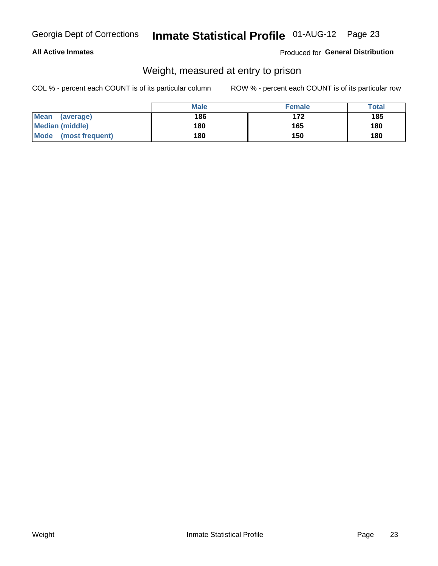### **All Active Inmates**

### Produced for General Distribution

### Weight, measured at entry to prison

COL % - percent each COUNT is of its particular column

|                          | <b>Male</b> | <b>Female</b> | Total |
|--------------------------|-------------|---------------|-------|
| <b>Mean</b><br>(average) | 186         | 172           | 185   |
| <b>Median (middle)</b>   | 180         | 165           | 180   |
| Mode<br>(most frequent)  | 180         | 150           | 180   |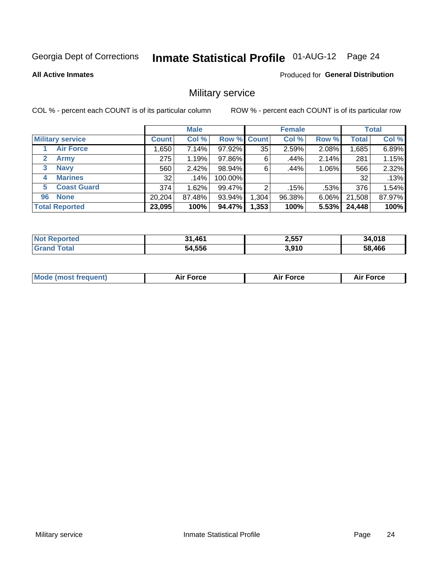# Inmate Statistical Profile 01-AUG-12 Page 24

**All Active Inmates** 

Produced for General Distribution

### Military service

COL % - percent each COUNT is of its particular column

|                          | <b>Male</b>     |        |             | <b>Female</b> |        |       | <b>Total</b> |        |
|--------------------------|-----------------|--------|-------------|---------------|--------|-------|--------------|--------|
| <b>Military service</b>  | <b>Count</b>    | Col %  | Row % Count |               | Col %  | Row % | <b>Total</b> | Col %  |
| <b>Air Force</b>         | .650            | 7.14%  | 97.92%      | 35            | 2.59%  | 2.08% | 1,685        | 6.89%  |
| $\mathbf{2}$<br>Army     | 275             | 1.19%  | 97.86%      | 6             | .44%   | 2.14% | 281          | 1.15%  |
| <b>Navy</b><br>3         | 560             | 2.42%  | 98.94%      | 6             | .44%   | 1.06% | 566          | 2.32%  |
| <b>Marines</b><br>4      | 32 <sub>1</sub> | .14%   | 100.00%     |               |        |       | 32           | .13%   |
| <b>Coast Guard</b><br>5. | 374             | 1.62%  | 99.47%      | 2             | .15%   | .53%  | 376          | 1.54%  |
| <b>None</b><br>96        | 20,204          | 87.48% | 93.94%      | .304          | 96.38% | 6.06% | 21,508       | 87.97% |
| <b>Total Reported</b>    | 23,095          | 100%   | 94.47%      | 1,353         | 100%   | 5.53% | 24,448       | 100%   |

| <b>Not</b><br>Reported | 31,461<br>94 | 2,557 | 34,018 |
|------------------------|--------------|-------|--------|
| ⊺otal                  | 54,556       | 3,910 | 58,466 |

|  | <b>Mode (most frequent)</b> | Force | <b>Force</b> | Force<br>Air |
|--|-----------------------------|-------|--------------|--------------|
|--|-----------------------------|-------|--------------|--------------|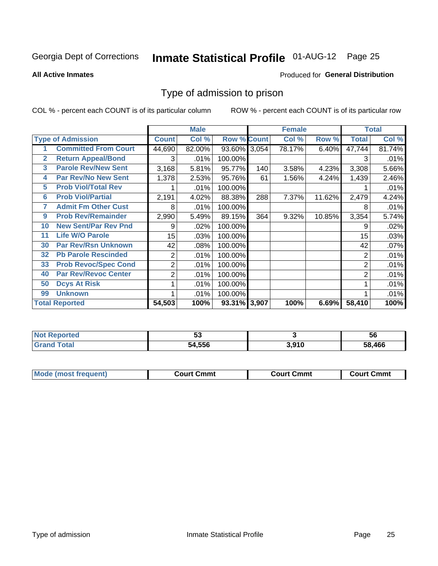# Inmate Statistical Profile 01-AUG-12 Page 25

**All Active Inmates** 

#### Produced for General Distribution

### Type of admission to prison

COL % - percent each COUNT is of its particular column

|                         |                             |                 | <b>Male</b> |                    |     | <b>Female</b> |        |              | <b>Total</b> |
|-------------------------|-----------------------------|-----------------|-------------|--------------------|-----|---------------|--------|--------------|--------------|
|                         | <b>Type of Admission</b>    | <b>Count</b>    | Col %       | <b>Row % Count</b> |     | Col %         | Row %  | <b>Total</b> | Col %        |
|                         | <b>Committed From Court</b> | 44,690          | 82.00%      | 93.60% 3,054       |     | 78.17%        | 6.40%  | 47,744       | 81.74%       |
| $\mathbf{2}$            | <b>Return Appeal/Bond</b>   | 3               | .01%        | 100.00%            |     |               |        | 3            | .01%         |
| $\overline{\mathbf{3}}$ | <b>Parole Rev/New Sent</b>  | 3,168           | 5.81%       | 95.77%             | 140 | 3.58%         | 4.23%  | 3,308        | 5.66%        |
| 4                       | <b>Par Rev/No New Sent</b>  | 1,378           | 2.53%       | 95.76%             | 61  | 1.56%         | 4.24%  | 1,439        | 2.46%        |
| 5                       | <b>Prob Viol/Total Rev</b>  |                 | .01%        | 100.00%            |     |               |        |              | .01%         |
| 6                       | <b>Prob Viol/Partial</b>    | 2,191           | 4.02%       | 88.38%             | 288 | 7.37%         | 11.62% | 2,479        | 4.24%        |
| 7                       | <b>Admit Fm Other Cust</b>  | 8               | .01%        | 100.00%            |     |               |        | 8            | .01%         |
| 9                       | <b>Prob Rev/Remainder</b>   | 2,990           | 5.49%       | 89.15%             | 364 | 9.32%         | 10.85% | 3,354        | 5.74%        |
| 10                      | <b>New Sent/Par Rev Pnd</b> | 9               | .02%        | 100.00%            |     |               |        | 9            | .02%         |
| 11                      | <b>Life W/O Parole</b>      | 15 <sub>1</sub> | .03%        | 100.00%            |     |               |        | 15           | .03%         |
| 30                      | <b>Par Rev/Rsn Unknown</b>  | 42              | .08%        | 100.00%            |     |               |        | 42           | .07%         |
| 32                      | <b>Pb Parole Rescinded</b>  | 2               | .01%        | 100.00%            |     |               |        | 2            | .01%         |
| 33                      | <b>Prob Revoc/Spec Cond</b> | $\overline{2}$  | .01%        | 100.00%            |     |               |        | 2            | .01%         |
| 40                      | <b>Par Rev/Revoc Center</b> | $\overline{2}$  | .01%        | 100.00%            |     |               |        | 2            | .01%         |
| 50                      | <b>Dcys At Risk</b>         |                 | .01%        | 100.00%            |     |               |        |              | .01%         |
| 99                      | <b>Unknown</b>              |                 | .01%        | 100.00%            |     |               |        |              | .01%         |
|                         | <b>Total Reported</b>       | 54,503          | 100%        | 93.31% 3,907       |     | 100%          | 6.69%  | 58,410       | 100%         |

| <b>Not Reported</b> | <u>uw</u> |       | 56     |
|---------------------|-----------|-------|--------|
| Total<br>' Gran.    | 54,556    | 3.910 | 58.466 |

| <b>Mode (most frequent)</b> | ∖ Cmmt<br>∵ourtت | Court Cmmt | Cmmt<br>∶ourt |
|-----------------------------|------------------|------------|---------------|
|                             |                  |            |               |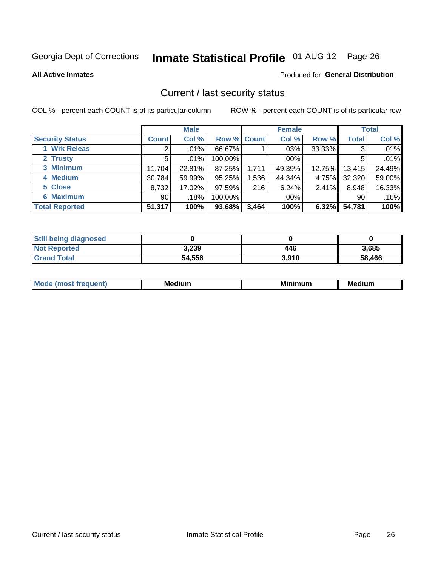# Inmate Statistical Profile 01-AUG-12 Page 26

**All Active Inmates** 

#### Produced for General Distribution

### Current / last security status

COL % - percent each COUNT is of its particular column

|                        |              | <b>Male</b> |             |       | <b>Female</b> |        |              | <b>Total</b> |
|------------------------|--------------|-------------|-------------|-------|---------------|--------|--------------|--------------|
| <b>Security Status</b> | <b>Count</b> | Col %       | Row % Count |       | Col %         | Row %  | <b>Total</b> | Col %        |
| 1 Wrk Releas           | 2            | .01%        | 66.67%      |       | $.03\%$       | 33.33% | 3            | .01%         |
| 2 Trusty               | 5            | $.01\%$     | 100.00%     |       | .00%          |        | 5            | .01%         |
| 3 Minimum              | 11,704       | 22.81%      | 87.25%      | 1,711 | 49.39%        | 12.75% | 13,415       | 24.49%       |
| 4 Medium               | 30,784       | 59.99%      | 95.25%      | 1,536 | 44.34%        | 4.75%  | 32,320       | 59.00%       |
| 5 Close                | 8,732        | 17.02%      | 97.59%      | 216   | 6.24%         | 2.41%  | 8,948        | 16.33%       |
| <b>6 Maximum</b>       | 90 l         | .18%        | 100.00%     |       | .00%          |        | 90           | .16%         |
| <b>Total Reported</b>  | 51,317       | 100%        | 93.68%      | 3,464 | 100%          | 6.32%  | 54,781       | 100%         |

| <b>Still being diagnosed</b> |        |       |        |
|------------------------------|--------|-------|--------|
| <b>Not Reported</b>          | 3,239  | 446   | 3,685  |
| <b>Grand Total</b>           | 54,556 | 3,910 | 58,466 |

| M | NЛ<br><br>dilim<br>_____ | ---<br>-- | . .<br>Medium<br>Me |
|---|--------------------------|-----------|---------------------|
|   |                          |           |                     |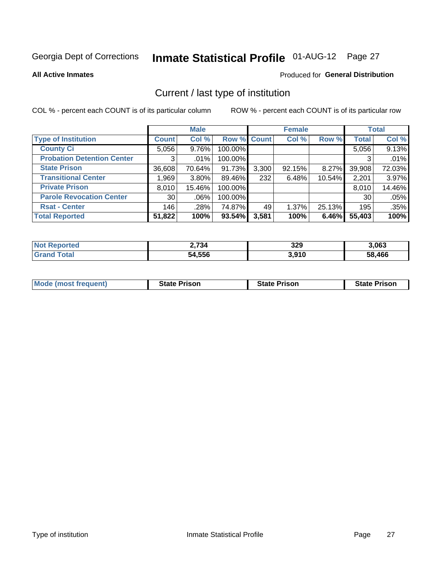# Inmate Statistical Profile 01-AUG-12 Page 27

**All Active Inmates** 

#### Produced for General Distribution

### Current / last type of institution

COL % - percent each COUNT is of its particular column

|                                   |                 | <b>Male</b> |             |       | <b>Female</b> |        |              | <b>Total</b> |
|-----------------------------------|-----------------|-------------|-------------|-------|---------------|--------|--------------|--------------|
| <b>Type of Institution</b>        | <b>Count</b>    | Col %       | Row % Count |       | Col %         | Row %  | <b>Total</b> | Col %        |
| <b>County Ci</b>                  | 5.056           | 9.76%       | 100.00%     |       |               |        | 5,056        | 9.13%        |
| <b>Probation Detention Center</b> | 3               | $.01\%$     | 100.00%     |       |               |        |              | .01%         |
| <b>State Prison</b>               | 36,608          | 70.64%      | 91.73%      | 3,300 | 92.15%        | 8.27%  | 39,908       | 72.03%       |
| <b>Transitional Center</b>        | 1,969           | $3.80\%$    | 89.46%      | 232   | 6.48%         | 10.54% | 2,201        | 3.97%        |
| <b>Private Prison</b>             | 8,010           | 15.46%      | 100.00%     |       |               |        | 8,010        | 14.46%       |
| <b>Parole Revocation Center</b>   | 30 <sup>1</sup> | .06%        | 100.00%     |       |               |        | 30           | .05%         |
| <b>Rsat - Center</b>              | 146             | .28%        | 74.87%      | 49    | 1.37%         | 25.13% | 195          | .35%         |
| <b>Total Reported</b>             | 51,822          | 100%        | 93.54%      | 3,581 | 100%          | 6.46%  | 55,403       | 100%         |

| œю | <u>` 734</u> | 329   | 3,063  |
|----|--------------|-------|--------|
|    | 54.556       | 3,910 | 58.466 |

| <b>Mode (most frequent)</b> | <b>State Prison</b> | <b>State Prison</b> | <b>State Prison</b> |
|-----------------------------|---------------------|---------------------|---------------------|
|                             |                     |                     |                     |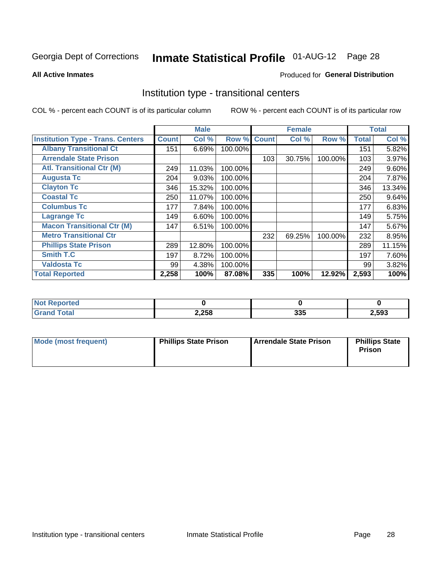# Inmate Statistical Profile 01-AUG-12 Page 28

#### **All Active Inmates**

### **Produced for General Distribution**

### Institution type - transitional centers

COL % - percent each COUNT is of its particular column

|                                          |              | <b>Male</b> |         |              | <b>Female</b> |         |              | <b>Total</b> |
|------------------------------------------|--------------|-------------|---------|--------------|---------------|---------|--------------|--------------|
| <b>Institution Type - Trans. Centers</b> | <b>Count</b> | Col %       | Row %   | <b>Count</b> | Col %         | Row %   | <b>Total</b> | Col %        |
| <b>Albany Transitional Ct</b>            | 151          | 6.69%       | 100.00% |              |               |         | 151          | 5.82%        |
| <b>Arrendale State Prison</b>            |              |             |         | 103          | 30.75%        | 100.00% | 103          | 3.97%        |
| <b>Atl. Transitional Ctr (M)</b>         | 249          | 11.03%      | 100.00% |              |               |         | 249          | 9.60%        |
| <b>Augusta Tc</b>                        | 204          | 9.03%       | 100.00% |              |               |         | 204          | 7.87%        |
| <b>Clayton Tc</b>                        | 346          | 15.32%      | 100.00% |              |               |         | 346          | 13.34%       |
| <b>Coastal Tc</b>                        | 250          | 11.07%      | 100.00% |              |               |         | 250          | 9.64%        |
| <b>Columbus Tc</b>                       | 177          | 7.84%       | 100.00% |              |               |         | 177          | 6.83%        |
| <b>Lagrange Tc</b>                       | 149          | 6.60%       | 100.00% |              |               |         | 149          | 5.75%        |
| <b>Macon Transitional Ctr (M)</b>        | 147          | 6.51%       | 100.00% |              |               |         | 147          | 5.67%        |
| <b>Metro Transitional Ctr</b>            |              |             |         | 232          | 69.25%        | 100.00% | 232          | 8.95%        |
| <b>Phillips State Prison</b>             | 289          | 12.80%      | 100.00% |              |               |         | 289          | 11.15%       |
| <b>Smith T.C</b>                         | 197          | 8.72%       | 100.00% |              |               |         | 197          | 7.60%        |
| <b>Valdosta Tc</b>                       | 99           | 4.38%       | 100.00% |              |               |         | 99           | 3.82%        |
| <b>Total Reported</b>                    | 2,258        | 100%        | 87.08%  | 335          | 100%          | 12.92%  | 2,593        | 100%         |

| N<br>ncea |       |            |      |  |
|-----------|-------|------------|------|--|
| _____     | 2,258 | 225<br>ააა | ,593 |  |

| Mode (most frequent) | <b>Phillips State Prison</b> | Arrendale State Prison | <b>Phillips State</b><br>Prison |  |
|----------------------|------------------------------|------------------------|---------------------------------|--|
|                      |                              |                        |                                 |  |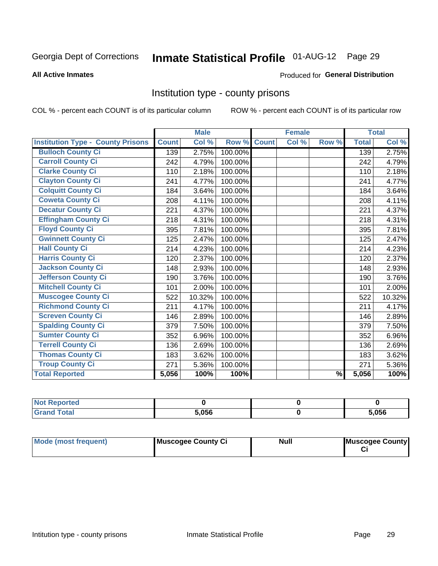# Inmate Statistical Profile 01-AUG-12 Page 29

#### **All Active Inmates**

#### Produced for General Distribution

### Institution type - county prisons

COL % - percent each COUNT is of its particular column

|                                          |              | <b>Male</b> |         |              | <b>Female</b> |               |              | <b>Total</b> |
|------------------------------------------|--------------|-------------|---------|--------------|---------------|---------------|--------------|--------------|
| <b>Institution Type - County Prisons</b> | <b>Count</b> | Col %       | Row %   | <b>Count</b> | Col %         | Row %         | <b>Total</b> | Col %        |
| <b>Bulloch County Ci</b>                 | 139          | 2.75%       | 100.00% |              |               |               | 139          | 2.75%        |
| <b>Carroll County Ci</b>                 | 242          | 4.79%       | 100.00% |              |               |               | 242          | 4.79%        |
| <b>Clarke County Ci</b>                  | 110          | 2.18%       | 100.00% |              |               |               | 110          | 2.18%        |
| <b>Clayton County Ci</b>                 | 241          | 4.77%       | 100.00% |              |               |               | 241          | 4.77%        |
| <b>Colquitt County Ci</b>                | 184          | 3.64%       | 100.00% |              |               |               | 184          | 3.64%        |
| <b>Coweta County Ci</b>                  | 208          | 4.11%       | 100.00% |              |               |               | 208          | 4.11%        |
| <b>Decatur County Ci</b>                 | 221          | 4.37%       | 100.00% |              |               |               | 221          | 4.37%        |
| <b>Effingham County Ci</b>               | 218          | 4.31%       | 100.00% |              |               |               | 218          | 4.31%        |
| <b>Floyd County Ci</b>                   | 395          | 7.81%       | 100.00% |              |               |               | 395          | 7.81%        |
| <b>Gwinnett County Ci</b>                | 125          | 2.47%       | 100.00% |              |               |               | 125          | 2.47%        |
| <b>Hall County Ci</b>                    | 214          | 4.23%       | 100.00% |              |               |               | 214          | 4.23%        |
| <b>Harris County Ci</b>                  | 120          | 2.37%       | 100.00% |              |               |               | 120          | 2.37%        |
| <b>Jackson County Ci</b>                 | 148          | 2.93%       | 100.00% |              |               |               | 148          | 2.93%        |
| <b>Jefferson County Ci</b>               | 190          | 3.76%       | 100.00% |              |               |               | 190          | 3.76%        |
| <b>Mitchell County Ci</b>                | 101          | 2.00%       | 100.00% |              |               |               | 101          | 2.00%        |
| <b>Muscogee County Ci</b>                | 522          | 10.32%      | 100.00% |              |               |               | 522          | 10.32%       |
| <b>Richmond County Ci</b>                | 211          | 4.17%       | 100.00% |              |               |               | 211          | 4.17%        |
| <b>Screven County Ci</b>                 | 146          | 2.89%       | 100.00% |              |               |               | 146          | 2.89%        |
| <b>Spalding County Ci</b>                | 379          | 7.50%       | 100.00% |              |               |               | 379          | 7.50%        |
| <b>Sumter County Ci</b>                  | 352          | 6.96%       | 100.00% |              |               |               | 352          | 6.96%        |
| <b>Terrell County Ci</b>                 | 136          | 2.69%       | 100.00% |              |               |               | 136          | 2.69%        |
| <b>Thomas County Ci</b>                  | 183          | 3.62%       | 100.00% |              |               |               | 183          | 3.62%        |
| <b>Troup County Ci</b>                   | 271          | 5.36%       | 100.00% |              |               |               | 271          | 5.36%        |
| <b>Total Reported</b>                    | 5,056        | 100%        | 100%    |              |               | $\frac{9}{6}$ | 5,056        | 100%         |

| <b>Not Reported</b> |       |       |
|---------------------|-------|-------|
| <b>Grand Total</b>  | 5.056 | 5.056 |

| Mode (most frequent) | Muscogee County Ci | <b>Null</b> | Muscogee County |
|----------------------|--------------------|-------------|-----------------|
|                      |                    |             |                 |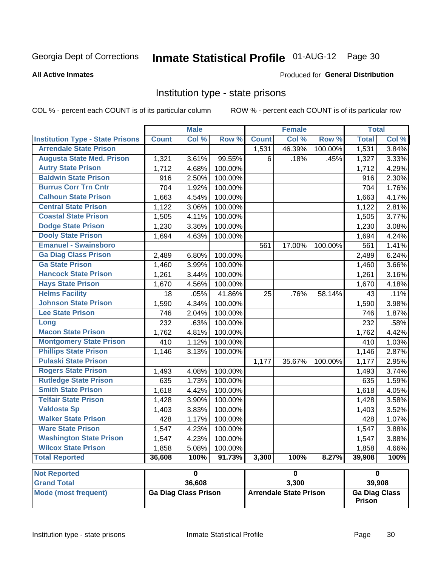#### Inmate Statistical Profile 01-AUG-12 Page 30

#### **All Active Inmates**

#### Produced for General Distribution

### Institution type - state prisons

COL % - percent each COUNT is of its particular column

ROW % - percent each COUNT is of its particular row

|                                         |              | <b>Male</b>                 |         |              | <b>Female</b>                 |         | <b>Total</b>            |       |
|-----------------------------------------|--------------|-----------------------------|---------|--------------|-------------------------------|---------|-------------------------|-------|
| <b>Institution Type - State Prisons</b> | <b>Count</b> | Col %                       | Row %   | <b>Count</b> | Col %                         | Row %   | <b>Total</b>            | Col % |
| <b>Arrendale State Prison</b>           |              |                             |         | 1,531        | 46.39%                        | 100.00% | 1,531                   | 3.84% |
| <b>Augusta State Med. Prison</b>        | 1,321        | 3.61%                       | 99.55%  | 6            | .18%                          | .45%    | 1,327                   | 3.33% |
| <b>Autry State Prison</b>               | 1,712        | 4.68%                       | 100.00% |              |                               |         | 1,712                   | 4.29% |
| <b>Baldwin State Prison</b>             | 916          | 2.50%                       | 100.00% |              |                               |         | 916                     | 2.30% |
| <b>Burrus Corr Trn Cntr</b>             | 704          | 1.92%                       | 100.00% |              |                               |         | 704                     | 1.76% |
| <b>Calhoun State Prison</b>             | 1,663        | 4.54%                       | 100.00% |              |                               |         | 1,663                   | 4.17% |
| <b>Central State Prison</b>             | 1,122        | 3.06%                       | 100.00% |              |                               |         | 1,122                   | 2.81% |
| <b>Coastal State Prison</b>             | 1,505        | 4.11%                       | 100.00% |              |                               |         | 1,505                   | 3.77% |
| <b>Dodge State Prison</b>               | 1,230        | 3.36%                       | 100.00% |              |                               |         | 1,230                   | 3.08% |
| <b>Dooly State Prison</b>               | 1,694        | 4.63%                       | 100.00% |              |                               |         | 1,694                   | 4.24% |
| <b>Emanuel - Swainsboro</b>             |              |                             |         | 561          | 17.00%                        | 100.00% | 561                     | 1.41% |
| <b>Ga Diag Class Prison</b>             | 2,489        | 6.80%                       | 100.00% |              |                               |         | 2,489                   | 6.24% |
| <b>Ga State Prison</b>                  | 1,460        | 3.99%                       | 100.00% |              |                               |         | 1,460                   | 3.66% |
| <b>Hancock State Prison</b>             | 1,261        | 3.44%                       | 100.00% |              |                               |         | 1,261                   | 3.16% |
| <b>Hays State Prison</b>                | 1,670        | 4.56%                       | 100.00% |              |                               |         | 1,670                   | 4.18% |
| <b>Helms Facility</b>                   | 18           | .05%                        | 41.86%  | 25           | .76%                          | 58.14%  | 43                      | .11%  |
| <b>Johnson State Prison</b>             | 1,590        | 4.34%                       | 100.00% |              |                               |         | 1,590                   | 3.98% |
| <b>Lee State Prison</b>                 | 746          | 2.04%                       | 100.00% |              |                               |         | 746                     | 1.87% |
| Long                                    | 232          | .63%                        | 100.00% |              |                               |         | 232                     | .58%  |
| <b>Macon State Prison</b>               | 1,762        | 4.81%                       | 100.00% |              |                               |         | 1,762                   | 4.42% |
| <b>Montgomery State Prison</b>          | 410          | 1.12%                       | 100.00% |              |                               |         | 410                     | 1.03% |
| <b>Phillips State Prison</b>            | 1,146        | 3.13%                       | 100.00% |              |                               |         | 1,146                   | 2.87% |
| <b>Pulaski State Prison</b>             |              |                             |         | 1,177        | 35.67%                        | 100.00% | 1,177                   | 2.95% |
| <b>Rogers State Prison</b>              | 1,493        | 4.08%                       | 100.00% |              |                               |         | 1,493                   | 3.74% |
| <b>Rutledge State Prison</b>            | 635          | 1.73%                       | 100.00% |              |                               |         | 635                     | 1.59% |
| <b>Smith State Prison</b>               | 1,618        | 4.42%                       | 100.00% |              |                               |         | 1,618                   | 4.05% |
| <b>Telfair State Prison</b>             | 1,428        | 3.90%                       | 100.00% |              |                               |         | 1,428                   | 3.58% |
| <b>Valdosta Sp</b>                      | 1,403        | 3.83%                       | 100.00% |              |                               |         | 1,403                   | 3.52% |
| <b>Walker State Prison</b>              | 428          | 1.17%                       | 100.00% |              |                               |         | 428                     | 1.07% |
| <b>Ware State Prison</b>                | 1,547        | 4.23%                       | 100.00% |              |                               |         | 1,547                   | 3.88% |
| <b>Washington State Prison</b>          | 1,547        | 4.23%                       | 100.00% |              |                               |         | 1,547                   | 3.88% |
| <b>Wilcox State Prison</b>              | 1,858        | 5.08%                       | 100.00% |              |                               |         | 1,858                   | 4.66% |
| <b>Total Reported</b>                   | 36,608       | 100%                        | 91.73%  | 3,300        | 100%                          | 8.27%   | 39,908                  | 100%  |
| <b>Not Reported</b>                     |              | $\overline{\mathbf{0}}$     |         |              | $\pmb{0}$                     |         | $\overline{\mathbf{0}}$ |       |
| <b>Grand Total</b>                      |              | 36,608                      |         |              | 3,300                         |         | 39,908                  |       |
| <b>Mode (most frequent)</b>             |              | <b>Ga Diag Class Prison</b> |         |              | <b>Arrendale State Prison</b> |         | <b>Ga Diag Class</b>    |       |

**Prison**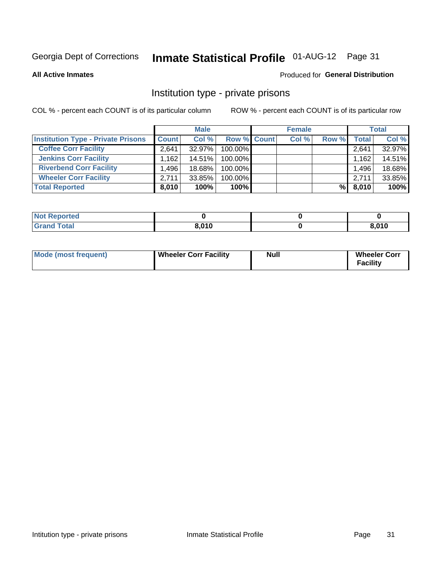# Inmate Statistical Profile 01-AUG-12 Page 31

**All Active Inmates** 

#### Produced for General Distribution

### Institution type - private prisons

COL % - percent each COUNT is of its particular column

|                                           |                   | <b>Male</b> |                    | <b>Female</b> |       |       | <b>Total</b> |
|-------------------------------------------|-------------------|-------------|--------------------|---------------|-------|-------|--------------|
| <b>Institution Type - Private Prisons</b> | <b>Count</b>      | Col %       | <b>Row % Count</b> | Col %         | Row % | Total | Col %        |
| <b>Coffee Corr Facility</b>               | 2.641             | 32.97%      | 100.00%            |               |       | 2,641 | 32.97%       |
| <b>Jenkins Corr Facility</b>              | .162 <sup>1</sup> | $14.51\%$   | 100.00%            |               |       | 1,162 | 14.51%       |
| <b>Riverbend Corr Facility</b>            | ا 496.            | 18.68%      | 100.00%            |               |       | 1,496 | 18.68%       |
| <b>Wheeler Corr Facility</b>              | 2.711             | 33.85%      | 100.00%            |               |       | 2.711 | 33.85%       |
| <b>Total Reported</b>                     | 8,010             | 100%        | $100\%$            |               | %     | 8,010 | 100%         |

| 'Not<br><b>Reported</b> |       |       |
|-------------------------|-------|-------|
| <b>Total</b>            | 8,010 | 8,010 |

| Mode (most frequent) | Wheeler Corr Facility | Null | <b>Wheeler Corr</b><br>Facility |
|----------------------|-----------------------|------|---------------------------------|
|----------------------|-----------------------|------|---------------------------------|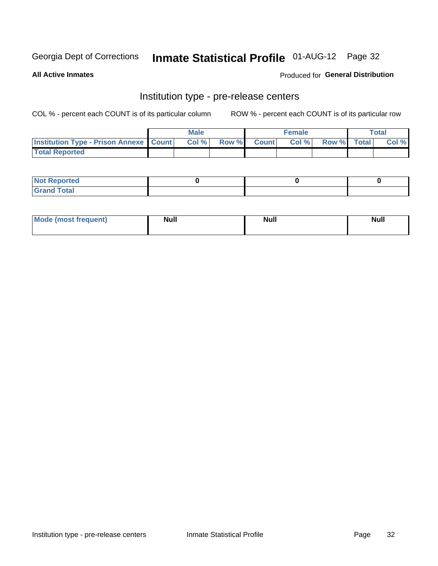### Inmate Statistical Profile 01-AUG-12 Page 32

**All Active Inmates** 

#### Produced for General Distribution

# Institution type - pre-release centers

COL % - percent each COUNT is of its particular column

|                                                   | <b>Male</b> |                    | <b>Female</b> |             | <b>Total</b> |
|---------------------------------------------------|-------------|--------------------|---------------|-------------|--------------|
| <b>Institution Type - Prison Annexe   Count  </b> | Col %       | <b>Row % Count</b> | Col %         | Row % Total | Col %        |
| <b>Total Reported</b>                             |             |                    |               |             |              |

| <b>Reported</b><br>I NOT |  |  |
|--------------------------|--|--|
| <b>Total</b><br>$C$ ren  |  |  |

| $^{\circ}$ Mo<br>frequent)<br>⊥(most | <b>Null</b> | Noll<br><b>vull</b> | <b>Null</b> |
|--------------------------------------|-------------|---------------------|-------------|
|                                      |             |                     |             |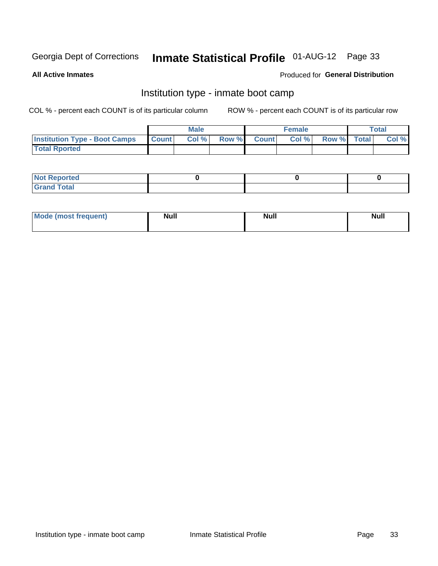# Inmate Statistical Profile 01-AUG-12 Page 33

**All Active Inmates** 

### Produced for General Distribution

### Institution type - inmate boot camp

COL % - percent each COUNT is of its particular column

|                                      |              | <b>Male</b> |               |              | <b>Female</b> |             | <b>Total</b> |
|--------------------------------------|--------------|-------------|---------------|--------------|---------------|-------------|--------------|
| <b>Institution Type - Boot Camps</b> | <b>Count</b> | Col %       | <b>Row %I</b> | <b>Count</b> | Col %         | Row % Total | Col %        |
| <b>Total Rported</b>                 |              |             |               |              |               |             |              |

| <b>Not Reported</b>            |  |  |
|--------------------------------|--|--|
| <b>Total</b><br>C <sub>r</sub> |  |  |

| <b>AhoM</b>       | <b>Null</b> | <b>Null</b> | Ab d' |
|-------------------|-------------|-------------|-------|
| <b>"requent</b> ) |             |             | _____ |
|                   |             |             |       |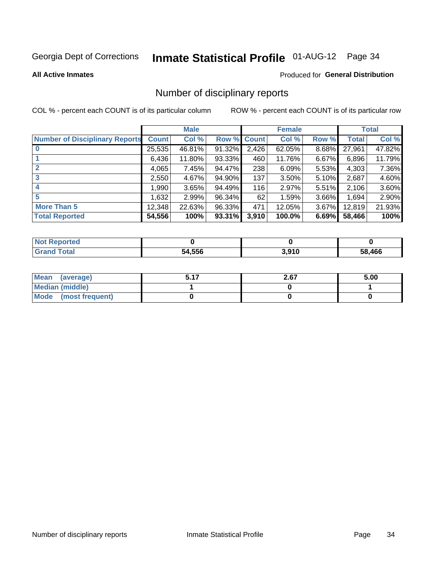# Inmate Statistical Profile 01-AUG-12 Page 34

#### **All Active Inmates**

### **Produced for General Distribution**

### Number of disciplinary reports

COL % - percent each COUNT is of its particular column

|                                       |              | <b>Male</b> |        |             | <b>Female</b> |       |        | <b>Total</b> |
|---------------------------------------|--------------|-------------|--------|-------------|---------------|-------|--------|--------------|
| <b>Number of Disciplinary Reports</b> | <b>Count</b> | Col %       |        | Row % Count | Col %         | Row % | Total  | Col %        |
|                                       | 25,535       | 46.81%      | 91.32% | 2,426       | 62.05%        | 8.68% | 27,961 | 47.82%       |
|                                       | 6,436        | 11.80%      | 93.33% | 460         | 11.76%        | 6.67% | 6,896  | 11.79%       |
| $\mathbf{2}$                          | 4,065        | 7.45%       | 94.47% | 238         | 6.09%         | 5.53% | 4,303  | 7.36%        |
| 3                                     | 2,550        | 4.67%       | 94.90% | 137         | 3.50%         | 5.10% | 2,687  | 4.60%        |
|                                       | ا 990.       | 3.65%       | 94.49% | 116         | 2.97%         | 5.51% | 2,106  | 3.60%        |
| 5                                     | 1,632        | 2.99%       | 96.34% | 62          | 1.59%         | 3.66% | 1,694  | 2.90%        |
| <b>More Than 5</b>                    | 12,348       | 22.63%      | 96.33% | 471         | 12.05%        | 3.67% | 12,819 | 21.93%       |
| <b>Total Reported</b>                 | 54,556       | 100%        | 93.31% | 3,910       | 100.0%        | 6.69% | 58,466 | 100%         |

| orted<br>Not <b>I</b> |        |                 |        |
|-----------------------|--------|-----------------|--------|
| Total                 | 54,556 | 2010<br>J.J I U | 58.466 |

| Mean (average)         | 2.67 | 5.00 |
|------------------------|------|------|
| <b>Median (middle)</b> |      |      |
| Mode (most frequent)   |      |      |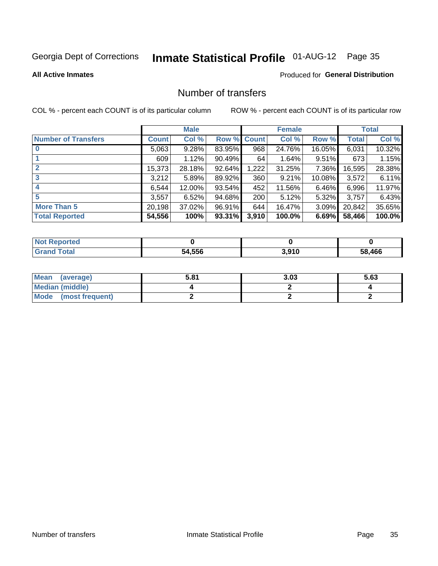# Inmate Statistical Profile 01-AUG-12 Page 35

#### **All Active Inmates**

### **Produced for General Distribution**

### Number of transfers

COL % - percent each COUNT is of its particular column

|                            |         | <b>Male</b> |        |              | <b>Female</b> |           |              | <b>Total</b> |
|----------------------------|---------|-------------|--------|--------------|---------------|-----------|--------------|--------------|
| <b>Number of Transfers</b> | Count l | Col %       | Row %  | <b>Count</b> | Col %         | Row %     | <b>Total</b> | Col %        |
|                            | 5,063   | 9.28%       | 83.95% | 968          | 24.76%        | 16.05%    | 6,031        | 10.32%       |
|                            | 609     | 1.12%       | 90.49% | 64           | 1.64%         | $9.51\%$  | 673          | 1.15%        |
| $\mathbf{2}$               | 15,373  | 28.18%      | 92.64% | 1,222        | 31.25%        | 7.36%     | 16,595       | 28.38%       |
| 3                          | 3,212   | 5.89%       | 89.92% | 360          | 9.21%         | $10.08\%$ | 3,572        | 6.11%        |
| 4                          | 6,544   | 12.00%      | 93.54% | 452          | 11.56%        | 6.46%     | 6,996        | 11.97%       |
| 5                          | 3,557   | 6.52%       | 94.68% | 200          | 5.12%         | $5.32\%$  | 3,757        | 6.43%        |
| <b>More Than 5</b>         | 20,198  | 37.02%      | 96.91% | 644          | 16.47%        | 3.09%     | 20,842       | 35.65%       |
| <b>Total Reported</b>      | 54,556  | 100%        | 93.31% | 3,910        | 100.0%        | 6.69%     | 58,466       | 100.0%       |

| วrted<br>NOT |        |       |        |
|--------------|--------|-------|--------|
| <b>Total</b> | 54.556 | 3,910 | 58.466 |

| Mean (average)       | 5.81 | 3.03 | 5.63 |
|----------------------|------|------|------|
| Median (middle)      |      |      |      |
| Mode (most frequent) |      |      |      |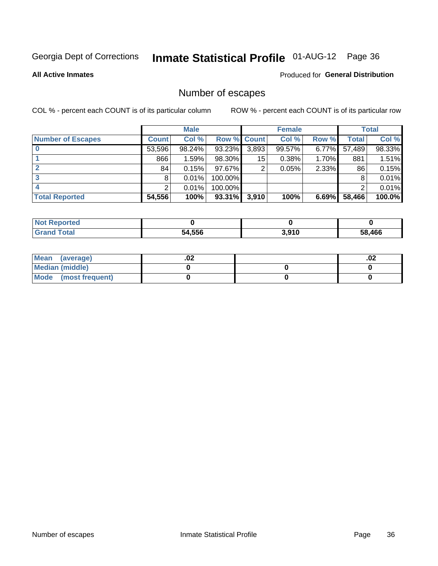# Inmate Statistical Profile 01-AUG-12 Page 36

**All Active Inmates** 

#### Produced for General Distribution

### Number of escapes

COL % - percent each COUNT is of its particular column

|                          |              | <b>Male</b> |             |       | <b>Female</b> |       |        | <b>Total</b> |
|--------------------------|--------------|-------------|-------------|-------|---------------|-------|--------|--------------|
| <b>Number of Escapes</b> | <b>Count</b> | Col %       | Row % Count |       | Col %         | Row % | Total  | Col %        |
|                          | 53,596       | 98.24%      | 93.23%      | 3,893 | 99.57%        | 6.77% | 57,489 | 98.33%       |
|                          | 866          | 1.59%       | 98.30%      | 15    | 0.38%         | 1.70% | 881    | 1.51%        |
|                          | 84           | 0.15%       | 97.67%      | 2     | 0.05%         | 2.33% | 86     | 0.15%        |
|                          | 8            | 0.01%       | 100.00%     |       |               |       |        | 0.01%        |
|                          |              | 0.01%       | 100.00%     |       |               |       |        | 0.01%        |
| <b>Total Reported</b>    | 54,556       | 100%        | 93.31%      | 3,910 | 100%          | 6.69% | 58,466 | 100.0%       |

| <b>Not Reported</b> |        |       |        |
|---------------------|--------|-------|--------|
| Total               | 54,556 | 3,910 | 58.466 |

| Mean (average)       | .vz | .02 |
|----------------------|-----|-----|
| Median (middle)      |     |     |
| Mode (most frequent) |     |     |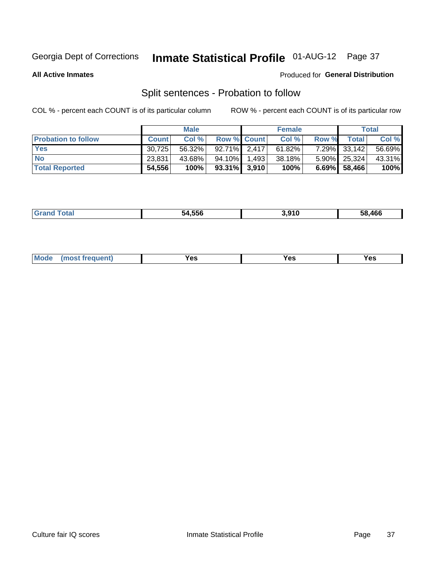# Inmate Statistical Profile 01-AUG-12 Page 37

**All Active Inmates** 

## Produced for General Distribution

# Split sentences - Probation to follow

COL % - percent each COUNT is of its particular column

|                            |              | <b>Male</b> |                 | <b>Female</b> |       |                 | <b>Total</b> |
|----------------------------|--------------|-------------|-----------------|---------------|-------|-----------------|--------------|
| <b>Probation to follow</b> | <b>Count</b> | Col%        | Row % Count     | Col %         | Row % | Total           | Col %        |
| <b>Yes</b>                 | 30.725       | 56.32%      | $92.71\%$ 2.417 | 61.82%        |       | 7.29% 33,142    | 56.69%       |
| <b>No</b>                  | 23,831       | 43.68%      | 94.10% 1.493    | 38.18%        |       | 5.90% 25,324    | 43.31%       |
| <b>Total Reported</b>      | 54,556       | 100%        | $93.31\%$ 3,910 | 100%          |       | $6.69\%$ 58,466 | 100%         |

|--|

| requent<br>′es<br>Yes<br><b>YAC</b><br>. |  | $Moo$ |  |  |  |
|------------------------------------------|--|-------|--|--|--|
|------------------------------------------|--|-------|--|--|--|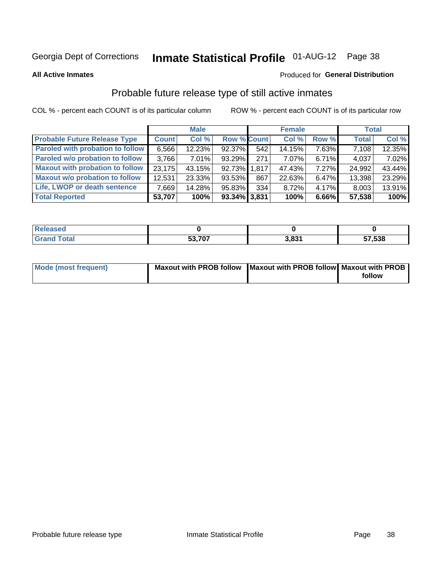# Inmate Statistical Profile 01-AUG-12 Page 38

**All Active Inmates** 

### Produced for General Distribution

# Probable future release type of still active inmates

COL % - percent each COUNT is of its particular column

|                                         |              | <b>Male</b> |                    |     | <b>Female</b> |          | <b>Total</b> |        |
|-----------------------------------------|--------------|-------------|--------------------|-----|---------------|----------|--------------|--------|
| <b>Probable Future Release Type</b>     | <b>Count</b> | Col %       | <b>Row % Count</b> |     | Col %         | Row %    | <b>Total</b> | Col %  |
| <b>Paroled with probation to follow</b> | 6,566        | 12.23%      | 92.37%             | 542 | 14.15%        | 7.63%    | 7,108        | 12.35% |
| Paroled w/o probation to follow         | 3,766        | $7.01\%$    | 93.29%             | 271 | 7.07%         | 6.71%    | 4,037        | 7.02%  |
| <b>Maxout with probation to follow</b>  | 23.175       | 43.15%      | 92.73% 1.817       |     | 47.43%        | $7.27\%$ | 24,992       | 43.44% |
| <b>Maxout w/o probation to follow</b>   | 12,531       | 23.33%      | 93.53%             | 867 | 22.63%        | 6.47%    | 13,398       | 23.29% |
| Life, LWOP or death sentence            | 7,669        | 14.28%      | 95.83%             | 334 | 8.72%         | $4.17\%$ | 8,003        | 13.91% |
| <b>Total Reported</b>                   | 53,707       | 100%        | 93.34% 3,831       |     | 100%          | 6.66%    | 57,538       | 100%   |

| eleased |                                          |      |        |
|---------|------------------------------------------|------|--------|
| otal    | $F^{\alpha}$ $\rightarrow$ $\sim$<br>JJ. | റ്റപ | 57,538 |

| <b>Mode (most frequent)</b> | Maxout with PROB follow   Maxout with PROB follow   Maxout with PROB |        |
|-----------------------------|----------------------------------------------------------------------|--------|
|                             |                                                                      | follow |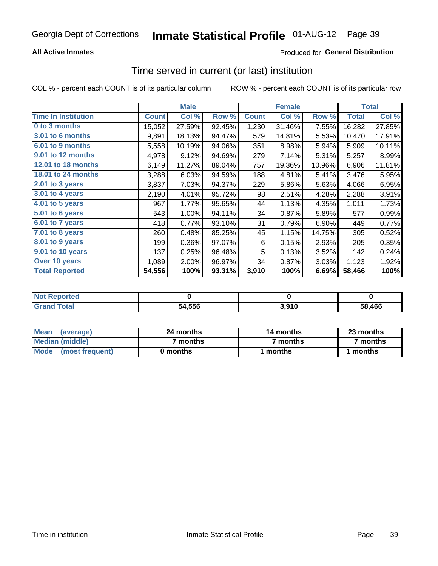## **All Active Inmates**

## **Produced for General Distribution**

## Time served in current (or last) institution

COL % - percent each COUNT is of its particular column

|                            |              | <b>Male</b> |        |              | <b>Female</b> |        |              | <b>Total</b> |
|----------------------------|--------------|-------------|--------|--------------|---------------|--------|--------------|--------------|
| <b>Time In Institution</b> | <b>Count</b> | Col %       | Row %  | <b>Count</b> | Col %         | Row %  | <b>Total</b> | Col %        |
| 0 to 3 months              | 15,052       | 27.59%      | 92.45% | 1,230        | 31.46%        | 7.55%  | 16,282       | 27.85%       |
| <b>3.01 to 6 months</b>    | 9,891        | 18.13%      | 94.47% | 579          | 14.81%        | 5.53%  | 10,470       | 17.91%       |
| 6.01 to 9 months           | 5,558        | 10.19%      | 94.06% | 351          | 8.98%         | 5.94%  | 5,909        | 10.11%       |
| 9.01 to 12 months          | 4,978        | 9.12%       | 94.69% | 279          | 7.14%         | 5.31%  | 5,257        | 8.99%        |
| 12.01 to 18 months         | 6,149        | 11.27%      | 89.04% | 757          | 19.36%        | 10.96% | 6,906        | 11.81%       |
| <b>18.01 to 24 months</b>  | 3,288        | 6.03%       | 94.59% | 188          | 4.81%         | 5.41%  | 3,476        | 5.95%        |
| 2.01 to 3 years            | 3,837        | 7.03%       | 94.37% | 229          | 5.86%         | 5.63%  | 4,066        | 6.95%        |
| 3.01 to 4 years            | 2,190        | 4.01%       | 95.72% | 98           | 2.51%         | 4.28%  | 2,288        | 3.91%        |
| $4.01$ to 5 years          | 967          | 1.77%       | 95.65% | 44           | 1.13%         | 4.35%  | 1,011        | 1.73%        |
| 5.01 to 6 years            | 543          | 1.00%       | 94.11% | 34           | 0.87%         | 5.89%  | 577          | 0.99%        |
| $6.01$ to 7 years          | 418          | 0.77%       | 93.10% | 31           | 0.79%         | 6.90%  | 449          | 0.77%        |
| 7.01 to 8 years            | 260          | 0.48%       | 85.25% | 45           | 1.15%         | 14.75% | 305          | 0.52%        |
| $8.01$ to 9 years          | 199          | 0.36%       | 97.07% | 6            | 0.15%         | 2.93%  | 205          | 0.35%        |
| 9.01 to 10 years           | 137          | 0.25%       | 96.48% | 5            | 0.13%         | 3.52%  | 142          | 0.24%        |
| Over 10 years              | 1,089        | 2.00%       | 96.97% | 34           | 0.87%         | 3.03%  | 1,123        | 1.92%        |
| <b>Total Reported</b>      | 54,556       | 100%        | 93.31% | 3,910        | 100%          | 6.69%  | 58,466       | 100%         |

| <b>Not</b><br>Reported |        |       |        |
|------------------------|--------|-------|--------|
| n <sub>tan</sub>       | 54,556 | 3,910 | 58.466 |

| <b>Mean</b><br>(average) | 24 months | 14 months | 23 months |  |
|--------------------------|-----------|-----------|-----------|--|
| Median (middle)          | ' months  | 7 months  | 7 months  |  |
| Mode<br>(most frequent)  | 0 months  | months    | ∖ months  |  |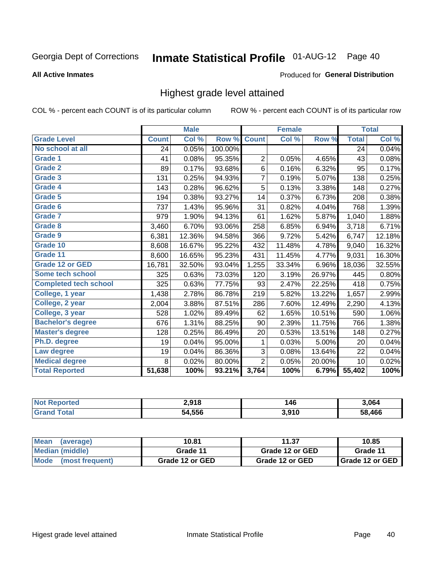# Inmate Statistical Profile 01-AUG-12 Page 40

### **All Active Inmates**

### Produced for General Distribution

## Highest grade level attained

COL % - percent each COUNT is of its particular column

|                              |              | <b>Male</b>                |         |                | <b>Female</b> |        |              | <b>Total</b> |
|------------------------------|--------------|----------------------------|---------|----------------|---------------|--------|--------------|--------------|
| <b>Grade Level</b>           | <b>Count</b> | $\overline{\text{Col }\%}$ | Row %   | <b>Count</b>   | Col %         | Row %  | <b>Total</b> | Col %        |
| No school at all             | 24           | 0.05%                      | 100.00% |                |               |        | 24           | 0.04%        |
| Grade 1                      | 41           | 0.08%                      | 95.35%  | $\overline{2}$ | 0.05%         | 4.65%  | 43           | 0.08%        |
| <b>Grade 2</b>               | 89           | 0.17%                      | 93.68%  | 6              | 0.16%         | 6.32%  | 95           | 0.17%        |
| Grade 3                      | 131          | 0.25%                      | 94.93%  | $\overline{7}$ | 0.19%         | 5.07%  | 138          | 0.25%        |
| Grade 4                      | 143          | 0.28%                      | 96.62%  | 5              | 0.13%         | 3.38%  | 148          | 0.27%        |
| Grade 5                      | 194          | 0.38%                      | 93.27%  | 14             | 0.37%         | 6.73%  | 208          | 0.38%        |
| Grade 6                      | 737          | 1.43%                      | 95.96%  | 31             | 0.82%         | 4.04%  | 768          | 1.39%        |
| <b>Grade 7</b>               | 979          | 1.90%                      | 94.13%  | 61             | 1.62%         | 5.87%  | 1,040        | 1.88%        |
| Grade 8                      | 3,460        | 6.70%                      | 93.06%  | 258            | 6.85%         | 6.94%  | 3,718        | 6.71%        |
| Grade 9                      | 6,381        | 12.36%                     | 94.58%  | 366            | 9.72%         | 5.42%  | 6,747        | 12.18%       |
| Grade 10                     | 8,608        | 16.67%                     | 95.22%  | 432            | 11.48%        | 4.78%  | 9,040        | 16.32%       |
| Grade 11                     | 8,600        | 16.65%                     | 95.23%  | 431            | 11.45%        | 4.77%  | 9,031        | 16.30%       |
| <b>Grade 12 or GED</b>       | 16,781       | 32.50%                     | 93.04%  | 1,255          | 33.34%        | 6.96%  | 18,036       | 32.55%       |
| Some tech school             | 325          | 0.63%                      | 73.03%  | 120            | 3.19%         | 26.97% | 445          | 0.80%        |
| <b>Completed tech school</b> | 325          | 0.63%                      | 77.75%  | 93             | 2.47%         | 22.25% | 418          | 0.75%        |
| College, 1 year              | 1,438        | 2.78%                      | 86.78%  | 219            | 5.82%         | 13.22% | 1,657        | 2.99%        |
| College, 2 year              | 2,004        | 3.88%                      | 87.51%  | 286            | 7.60%         | 12.49% | 2,290        | 4.13%        |
| College, 3 year              | 528          | 1.02%                      | 89.49%  | 62             | 1.65%         | 10.51% | 590          | 1.06%        |
| <b>Bachelor's degree</b>     | 676          | 1.31%                      | 88.25%  | 90             | 2.39%         | 11.75% | 766          | 1.38%        |
| <b>Master's degree</b>       | 128          | 0.25%                      | 86.49%  | 20             | 0.53%         | 13.51% | 148          | 0.27%        |
| Ph.D. degree                 | 19           | 0.04%                      | 95.00%  | 1              | 0.03%         | 5.00%  | 20           | 0.04%        |
| Law degree                   | 19           | 0.04%                      | 86.36%  | 3              | 0.08%         | 13.64% | 22           | 0.04%        |
| <b>Medical degree</b>        | 8            | 0.02%                      | 80.00%  | $\overline{2}$ | 0.05%         | 20.00% | 10           | 0.02%        |
| <b>Total Reported</b>        | 51,638       | 100%                       | 93.21%  | 3,764          | 100%          | 6.79%  | 55,402       | 100%         |

| <b>Not Reported</b>   | 2,918  | 46<br>$\sim$ | 3.064  |
|-----------------------|--------|--------------|--------|
| <b>Grand</b><br>⊺otal | 54.556 | 3,910        | 58.466 |

| <b>Mean</b><br>(average) | 10.81           | 11.37           | 10.85             |
|--------------------------|-----------------|-----------------|-------------------|
| Median (middle)          | Grade 11        | Grade 12 or GED | Grade 11          |
| Mode<br>(most frequent)  | Grade 12 or GED | Grade 12 or GED | I Grade 12 or GED |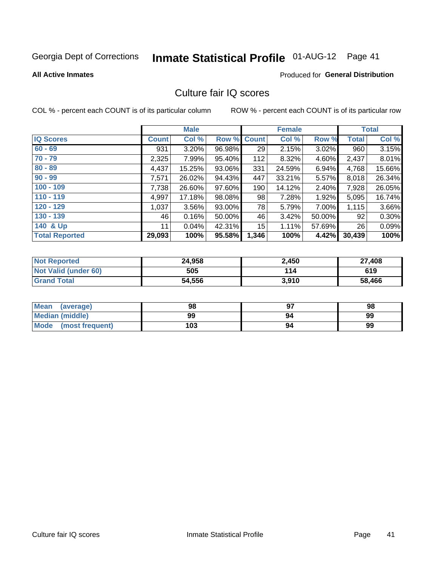# Inmate Statistical Profile 01-AUG-12 Page 41

### **All Active Inmates**

## **Produced for General Distribution**

## Culture fair IQ scores

COL % - percent each COUNT is of its particular column

|                       |              | <b>Male</b> |             |       | <b>Female</b> |        |              | <b>Total</b> |
|-----------------------|--------------|-------------|-------------|-------|---------------|--------|--------------|--------------|
| <b>IQ Scores</b>      | <b>Count</b> | Col %       | Row % Count |       | Col %         | Row %  | <b>Total</b> | Col %        |
| $60 - 69$             | 931          | 3.20%       | 96.98%      | 29    | 2.15%         | 3.02%  | 960          | 3.15%        |
| $70 - 79$             | 2,325        | 7.99%       | 95.40%      | 112   | 8.32%         | 4.60%  | 2,437        | 8.01%        |
| $80 - 89$             | 4,437        | 15.25%      | 93.06%      | 331   | 24.59%        | 6.94%  | 4,768        | 15.66%       |
| $90 - 99$             | 7,571        | 26.02%      | 94.43%      | 447   | 33.21%        | 5.57%  | 8,018        | 26.34%       |
| $100 - 109$           | 7,738        | 26.60%      | 97.60%      | 190   | 14.12%        | 2.40%  | 7,928        | 26.05%       |
| $110 - 119$           | 4,997        | 17.18%      | 98.08%      | 98    | 7.28%         | 1.92%  | 5,095        | 16.74%       |
| $120 - 129$           | 1,037        | 3.56%       | 93.00%      | 78    | 5.79%         | 7.00%  | 1,115        | 3.66%        |
| $130 - 139$           | 46           | 0.16%       | 50.00%      | 46    | 3.42%         | 50.00% | 92           | 0.30%        |
| 140 & Up              | 11           | 0.04%       | 42.31%      | 15    | 1.11%         | 57.69% | 26           | 0.09%        |
| <b>Total Reported</b> | 29,093       | 100%        | 95.58%      | 1,346 | 100%          | 4.42%  | 30,439       | 100%         |

| <b>Not Reported</b>         | 24,958 | 2,450 | 27,408 |
|-----------------------------|--------|-------|--------|
| <b>Not Valid (under 60)</b> | 505    | 114   | 619    |
| <b>Grand Total</b>          | 54,556 | 3,910 | 58,466 |

| <b>Mean</b><br>(average) | 98  | רח | 98 |
|--------------------------|-----|----|----|
| Median (middle)          | 99  | 94 | 99 |
| Mode<br>(most frequent)  | 103 | 94 | 99 |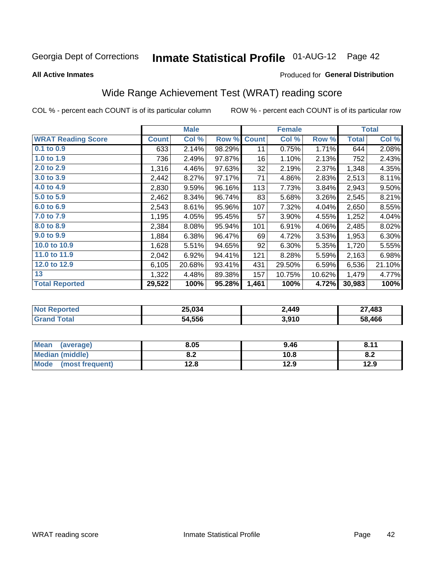# Inmate Statistical Profile 01-AUG-12 Page 42

**All Active Inmates** 

## Produced for General Distribution

# Wide Range Achievement Test (WRAT) reading score

COL % - percent each COUNT is of its particular column

|                           |              | <b>Male</b> |        |              | <b>Female</b> |        |              | <b>Total</b> |
|---------------------------|--------------|-------------|--------|--------------|---------------|--------|--------------|--------------|
| <b>WRAT Reading Score</b> | <b>Count</b> | Col %       | Row %  | <b>Count</b> | Col %         | Row %  | <b>Total</b> | Col %        |
| $0.1$ to $0.9$            | 633          | 2.14%       | 98.29% | 11           | 0.75%         | 1.71%  | 644          | 2.08%        |
| 1.0 to 1.9                | 736          | 2.49%       | 97.87% | 16           | 1.10%         | 2.13%  | 752          | 2.43%        |
| 2.0 to 2.9                | 1,316        | 4.46%       | 97.63% | 32           | 2.19%         | 2.37%  | 1,348        | 4.35%        |
| 3.0 to 3.9                | 2,442        | 8.27%       | 97.17% | 71           | 4.86%         | 2.83%  | 2,513        | 8.11%        |
| 4.0 to 4.9                | 2,830        | 9.59%       | 96.16% | 113          | 7.73%         | 3.84%  | 2,943        | 9.50%        |
| 5.0 to 5.9                | 2,462        | 8.34%       | 96.74% | 83           | 5.68%         | 3.26%  | 2,545        | 8.21%        |
| 6.0 to 6.9                | 2,543        | 8.61%       | 95.96% | 107          | 7.32%         | 4.04%  | 2,650        | 8.55%        |
| 7.0 to 7.9                | 1,195        | 4.05%       | 95.45% | 57           | 3.90%         | 4.55%  | 1,252        | 4.04%        |
| 8.0 to 8.9                | 2,384        | 8.08%       | 95.94% | 101          | 6.91%         | 4.06%  | 2,485        | 8.02%        |
| 9.0 to 9.9                | 1,884        | 6.38%       | 96.47% | 69           | 4.72%         | 3.53%  | 1,953        | 6.30%        |
| 10.0 to 10.9              | 1,628        | 5.51%       | 94.65% | 92           | 6.30%         | 5.35%  | 1,720        | 5.55%        |
| 11.0 to 11.9              | 2,042        | 6.92%       | 94.41% | 121          | 8.28%         | 5.59%  | 2,163        | 6.98%        |
| 12.0 to 12.9              | 6,105        | 20.68%      | 93.41% | 431          | 29.50%        | 6.59%  | 6,536        | 21.10%       |
| 13                        | 1,322        | 4.48%       | 89.38% | 157          | 10.75%        | 10.62% | 1,479        | 4.77%        |
| <b>Total Reported</b>     | 29,522       | 100%        | 95.28% | 1,461        | 100%          | 4.72%  | 30,983       | 100%         |

| <b>orteo</b><br>NOT | 25,034 | 2,449 | 27,483 |
|---------------------|--------|-------|--------|
| $\sim$<br>Grz       | 54,556 | 3,910 | 58,466 |

| <b>Mean</b><br>(average) | 8.05       | 9.46 | 9.11<br>. O. I . |
|--------------------------|------------|------|------------------|
| <b>Median (middle)</b>   | י ה<br>0.Z | 10.8 | O.A              |
| Mode<br>(most frequent)  | 12.8       | 12.9 | 12.9             |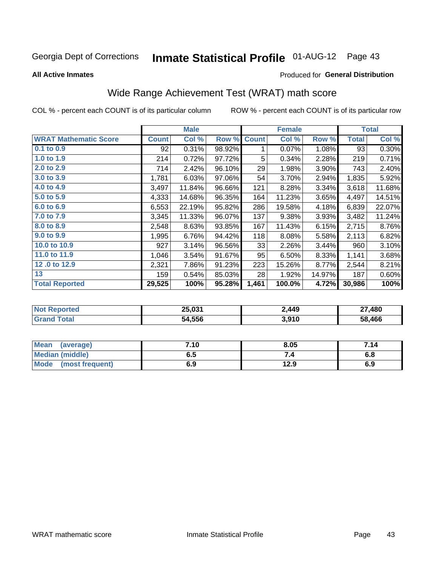# Inmate Statistical Profile 01-AUG-12 Page 43

**All Active Inmates** 

### Produced for General Distribution

# Wide Range Achievement Test (WRAT) math score

COL % - percent each COUNT is of its particular column

|                              |              | <b>Male</b> |        |              | <b>Female</b> |        |              | <b>Total</b> |
|------------------------------|--------------|-------------|--------|--------------|---------------|--------|--------------|--------------|
| <b>WRAT Mathematic Score</b> | <b>Count</b> | Col %       | Row %  | <b>Count</b> | Col %         | Row %  | <b>Total</b> | Col %        |
| 0.1 to 0.9                   | 92           | 0.31%       | 98.92% | 1            | 0.07%         | 1.08%  | 93           | 0.30%        |
| 1.0 to 1.9                   | 214          | 0.72%       | 97.72% | 5            | 0.34%         | 2.28%  | 219          | 0.71%        |
| 2.0 to 2.9                   | 714          | 2.42%       | 96.10% | 29           | 1.98%         | 3.90%  | 743          | 2.40%        |
| 3.0 to 3.9                   | 1,781        | 6.03%       | 97.06% | 54           | 3.70%         | 2.94%  | 1,835        | 5.92%        |
| 4.0 to 4.9                   | 3,497        | 11.84%      | 96.66% | 121          | 8.28%         | 3.34%  | 3,618        | 11.68%       |
| 5.0 to 5.9                   | 4,333        | 14.68%      | 96.35% | 164          | 11.23%        | 3.65%  | 4,497        | 14.51%       |
| 6.0 to 6.9                   | 6,553        | 22.19%      | 95.82% | 286          | 19.58%        | 4.18%  | 6,839        | 22.07%       |
| 7.0 to 7.9                   | 3,345        | 11.33%      | 96.07% | 137          | 9.38%         | 3.93%  | 3,482        | 11.24%       |
| 8.0 to 8.9                   | 2,548        | 8.63%       | 93.85% | 167          | 11.43%        | 6.15%  | 2,715        | 8.76%        |
| 9.0 to 9.9                   | 1,995        | 6.76%       | 94.42% | 118          | 8.08%         | 5.58%  | 2,113        | 6.82%        |
| 10.0 to 10.9                 | 927          | 3.14%       | 96.56% | 33           | 2.26%         | 3.44%  | 960          | 3.10%        |
| 11.0 to 11.9                 | 1,046        | 3.54%       | 91.67% | 95           | 6.50%         | 8.33%  | 1,141        | 3.68%        |
| 12.0 to 12.9                 | 2,321        | 7.86%       | 91.23% | 223          | 15.26%        | 8.77%  | 2,544        | 8.21%        |
| 13                           | 159          | 0.54%       | 85.03% | 28           | 1.92%         | 14.97% | 187          | 0.60%        |
| <b>Total Reported</b>        | 29,525       | 100%        | 95.28% | 1,461        | 100.0%        | 4.72%  | 30,986       | 100%         |

| <b>Reported</b><br>' Not | 25,031 | 2,449 | 27,480 |
|--------------------------|--------|-------|--------|
| <b>Total</b>             | 54,556 | 3,910 | 58,466 |

| <b>Mean</b><br>(average)       | 7.10 | 8.05 | 7.14 |
|--------------------------------|------|------|------|
| <b>Median (middle)</b>         | כ.ס  |      | o.o  |
| <b>Mode</b><br>(most frequent) | 6.9  | 12.9 | 6.9  |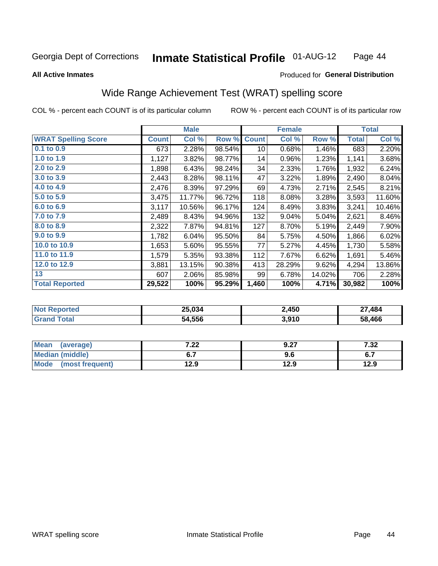#### **Inmate Statistical Profile 01-AUG-12** Page 44

**All Active Inmates** 

### Produced for General Distribution

# Wide Range Achievement Test (WRAT) spelling score

COL % - percent each COUNT is of its particular column

|                            |              | <b>Male</b> |        |              | <b>Female</b> |        |              | <b>Total</b> |
|----------------------------|--------------|-------------|--------|--------------|---------------|--------|--------------|--------------|
| <b>WRAT Spelling Score</b> | <b>Count</b> | Col %       | Row %  | <b>Count</b> | Col %         | Row %  | <b>Total</b> | Col %        |
| $0.1$ to $0.9$             | 673          | 2.28%       | 98.54% | 10           | 0.68%         | 1.46%  | 683          | 2.20%        |
| 1.0 to 1.9                 | 1,127        | 3.82%       | 98.77% | 14           | 0.96%         | 1.23%  | 1,141        | 3.68%        |
| 2.0 to 2.9                 | 1,898        | 6.43%       | 98.24% | 34           | 2.33%         | 1.76%  | 1,932        | 6.24%        |
| 3.0 to 3.9                 | 2,443        | 8.28%       | 98.11% | 47           | 3.22%         | 1.89%  | 2,490        | 8.04%        |
| 4.0 to 4.9                 | 2,476        | 8.39%       | 97.29% | 69           | 4.73%         | 2.71%  | 2,545        | 8.21%        |
| 5.0 to 5.9                 | 3,475        | 11.77%      | 96.72% | 118          | 8.08%         | 3.28%  | 3,593        | 11.60%       |
| 6.0 to 6.9                 | 3,117        | 10.56%      | 96.17% | 124          | 8.49%         | 3.83%  | 3,241        | 10.46%       |
| 7.0 to 7.9                 | 2,489        | 8.43%       | 94.96% | 132          | 9.04%         | 5.04%  | 2,621        | 8.46%        |
| 8.0 to 8.9                 | 2,322        | 7.87%       | 94.81% | 127          | 8.70%         | 5.19%  | 2,449        | 7.90%        |
| 9.0 to 9.9                 | 1,782        | 6.04%       | 95.50% | 84           | 5.75%         | 4.50%  | 1,866        | 6.02%        |
| 10.0 to 10.9               | 1,653        | 5.60%       | 95.55% | 77           | 5.27%         | 4.45%  | 1,730        | 5.58%        |
| 11.0 to 11.9               | 1,579        | 5.35%       | 93.38% | 112          | 7.67%         | 6.62%  | 1,691        | 5.46%        |
| 12.0 to 12.9               | 3,881        | 13.15%      | 90.38% | 413          | 28.29%        | 9.62%  | 4,294        | 13.86%       |
| 13                         | 607          | 2.06%       | 85.98% | 99           | 6.78%         | 14.02% | 706          | 2.28%        |
| <b>Total Reported</b>      | 29,522       | 100%        | 95.29% | 1,460        | 100%          | 4.71%  | 30,982       | 100%         |

| <b>Not Reported</b> | 25,034 | 2,450 | 27,484 |
|---------------------|--------|-------|--------|
| <b>Total</b>        | 54,556 | 3,910 | 58,466 |

| <b>Mean</b><br>(average)       | ר ה<br>.∠∠   | 9.27 | 7 22<br>∠د. ا               |
|--------------------------------|--------------|------|-----------------------------|
| Median (middle)                |              | 9.6  | <u>. . </u><br>$\mathbf{v}$ |
| <b>Mode</b><br>(most frequent) | 12 Q<br>12.J | 12.9 | 12.9                        |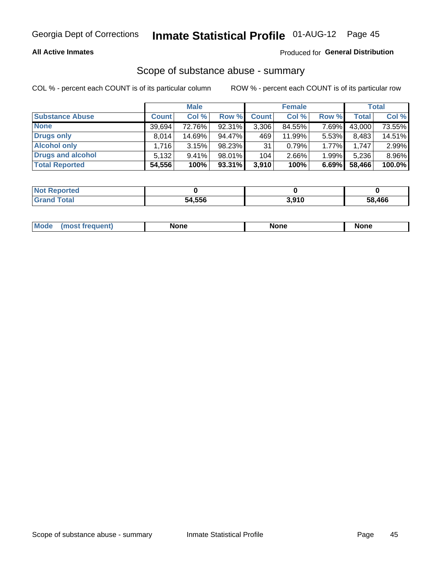## **All Active Inmates**

## Produced for General Distribution

## Scope of substance abuse - summary

COL % - percent each COUNT is of its particular column

|                        |              | <b>Male</b> |           |              | <b>Female</b> |       |              | <b>Total</b> |
|------------------------|--------------|-------------|-----------|--------------|---------------|-------|--------------|--------------|
| <b>Substance Abuse</b> | <b>Count</b> | Col %       | Row %     | <b>Count</b> | Col %         | Row % | <b>Total</b> | Col %        |
| <b>None</b>            | 39.694       | 72.76%      | 92.31%    | 3,306        | 84.55%        | 7.69% | 43,000       | 73.55%       |
| <b>Drugs only</b>      | 8.014        | 14.69%      | 94.47%    | 469          | 11.99%        | 5.53% | 8,483        | 14.51%       |
| <b>Alcohol only</b>    | .716         | 3.15%       | 98.23%    | 31           | 0.79%         | 1.77% | 1.747        | 2.99%        |
| Drugs and alcohol      | 5,132        | 9.41%       | 98.01%    | 104          | $2.66\%$      | 1.99% | 5,236        | 8.96%        |
| <b>Total Reported</b>  | 54,556       | 100%        | $93.31\%$ | 3,910        | 100%          | 6.69% | 58,466       | 100.0%       |

| <b>Not Reported</b> |        |       |        |
|---------------------|--------|-------|--------|
| <b>Grand Total</b>  | 54,556 | 3,910 | 58.466 |

|  | Mode<br>auenu | None | None | None |
|--|---------------|------|------|------|
|--|---------------|------|------|------|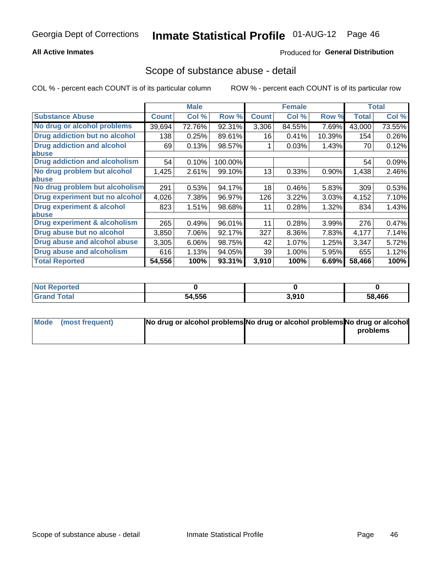## **All Active Inmates**

## **Produced for General Distribution**

## Scope of substance abuse - detail

COL % - percent each COUNT is of its particular column

|                                      |              | <b>Male</b> |         |              | <b>Female</b> |        |              | <b>Total</b> |
|--------------------------------------|--------------|-------------|---------|--------------|---------------|--------|--------------|--------------|
| <b>Substance Abuse</b>               | <b>Count</b> | Col %       | Row %   | <b>Count</b> | Col %         | Row %  | <b>Total</b> | Col %        |
| No drug or alcohol problems          | 39,694       | 72.76%      | 92.31%  | 3,306        | 84.55%        | 7.69%  | 43,000       | 73.55%       |
| Drug addiction but no alcohol        | 138          | 0.25%       | 89.61%  | 16           | 0.41%         | 10.39% | 154          | 0.26%        |
| <b>Drug addiction and alcohol</b>    | 69           | 0.13%       | 98.57%  |              | 0.03%         | 1.43%  | 70           | 0.12%        |
| <b>labuse</b>                        |              |             |         |              |               |        |              |              |
| <b>Drug addiction and alcoholism</b> | 54           | 0.10%       | 100.00% |              |               |        | 54           | 0.09%        |
| No drug problem but alcohol          | 1,425        | 2.61%       | 99.10%  | 13           | 0.33%         | 0.90%  | 1,438        | 2.46%        |
| <b>labuse</b>                        |              |             |         |              |               |        |              |              |
| No drug problem but alcoholism       | 291          | 0.53%       | 94.17%  | 18           | 0.46%         | 5.83%  | 309          | 0.53%        |
| Drug experiment but no alcohol       | 4,026        | 7.38%       | 96.97%  | 126          | 3.22%         | 3.03%  | 4,152        | 7.10%        |
| <b>Drug experiment &amp; alcohol</b> | 823          | 1.51%       | 98.68%  | 11           | 0.28%         | 1.32%  | 834          | 1.43%        |
| <b>labuse</b>                        |              |             |         |              |               |        |              |              |
| Drug experiment & alcoholism         | 265          | 0.49%       | 96.01%  | 11           | 0.28%         | 3.99%  | 276          | 0.47%        |
| Drug abuse but no alcohol            | 3,850        | 7.06%       | 92.17%  | 327          | 8.36%         | 7.83%  | 4,177        | 7.14%        |
| Drug abuse and alcohol abuse         | 3,305        | 6.06%       | 98.75%  | 42           | 1.07%         | 1.25%  | 3,347        | 5.72%        |
| <b>Drug abuse and alcoholism</b>     | 616          | 1.13%       | 94.05%  | 39           | 1.00%         | 5.95%  | 655          | 1.12%        |
| <b>Total Reported</b>                | 54,556       | 100%        | 93.31%  | 3,910        | 100%          | 6.69%  | 58,466       | 100%         |

| oorted<br><b>NOT</b> |        |       |        |
|----------------------|--------|-------|--------|
| <b>otal</b>          | 54,556 | 3,910 | 58,466 |

| Mode (most frequent) | No drug or alcohol problems No drug or alcohol problems No drug or alcohol |          |
|----------------------|----------------------------------------------------------------------------|----------|
|                      |                                                                            | problems |
|                      |                                                                            |          |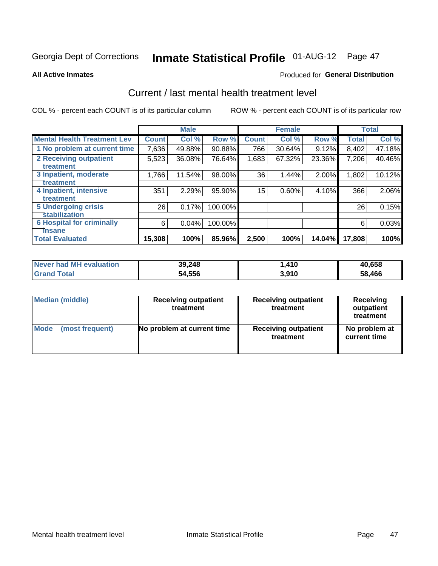# Inmate Statistical Profile 01-AUG-12 Page 47

### **All Active Inmates**

## Produced for General Distribution

# Current / last mental health treatment level

COL % - percent each COUNT is of its particular column

|                                    |              | <b>Male</b> |         |              | <b>Female</b> |        |              | <b>Total</b> |
|------------------------------------|--------------|-------------|---------|--------------|---------------|--------|--------------|--------------|
| <b>Mental Health Treatment Lev</b> | <b>Count</b> | Col%        | Row %   | <b>Count</b> | Col %         | Row %  | <b>Total</b> | Col %        |
| 1 No problem at current time       | 7,636        | 49.88%      | 90.88%  | 766          | 30.64%        | 9.12%  | 8,402        | 47.18%       |
| 2 Receiving outpatient             | 5,523        | 36.08%      | 76.64%  | 1,683        | 67.32%        | 23.36% | 7,206        | 40.46%       |
| <b>Treatment</b>                   |              |             |         |              |               |        |              |              |
| 3 Inpatient, moderate              | 1,766        | 11.54%      | 98.00%  | 36           | 1.44%         | 2.00%  | 1,802        | 10.12%       |
| Treatment                          |              |             |         |              |               |        |              |              |
| 4 Inpatient, intensive             | 351          | 2.29%       | 95.90%  | 15           | 0.60%         | 4.10%  | 366          | 2.06%        |
| <b>Treatment</b>                   |              |             |         |              |               |        |              |              |
| <b>5 Undergoing crisis</b>         | 26           | 0.17%       | 100.00% |              |               |        | 26           | 0.15%        |
| <b>stabilization</b>               |              |             |         |              |               |        |              |              |
| <b>6 Hospital for criminally</b>   | 6            | 0.04%       | 100.00% |              |               |        | 6            | 0.03%        |
| <b>Tinsane</b>                     |              |             |         |              |               |        |              |              |
| <b>Total Evaluated</b>             | 15,308       | 100%        | 85.96%  | 2,500        | 100%          | 14.04% | 17,808       | 100%         |

| Never had MH evaluation | 39,248 | .410، | 40,658 |
|-------------------------|--------|-------|--------|
| <b>Grand Total</b>      | 54,556 | 3,910 | 58,466 |

| Median (middle) | <b>Receiving outpatient</b><br>treatment | <b>Receiving outpatient</b><br>treatment | <b>Receiving</b><br>outpatient<br>treatment |  |  |
|-----------------|------------------------------------------|------------------------------------------|---------------------------------------------|--|--|
| <b>Mode</b>     | No problem at current time               | <b>Receiving outpatient</b>              | No problem at                               |  |  |
| (most frequent) |                                          | treatment                                | current time                                |  |  |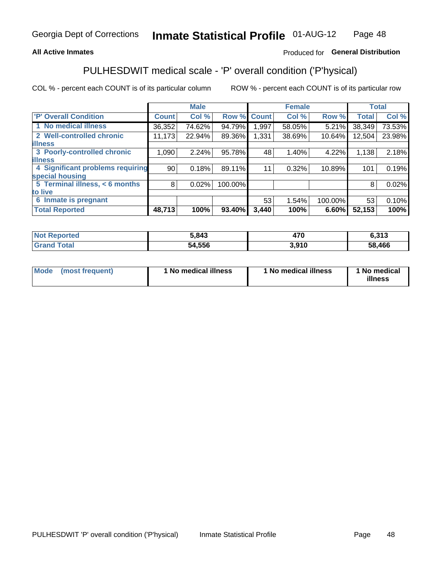## **All Active Inmates**

## Produced for General Distribution

# PULHESDWIT medical scale - 'P' overall condition ('P'hysical)

COL % - percent each COUNT is of its particular column

|                                  |                 | <b>Male</b> |         |              | <b>Female</b> |         |              | <b>Total</b> |
|----------------------------------|-----------------|-------------|---------|--------------|---------------|---------|--------------|--------------|
| <b>P' Overall Condition</b>      | <b>Count</b>    | Col %       | Row %   | <b>Count</b> | Col %         | Row %   | <b>Total</b> | Col %        |
| 1 No medical illness             | 36,352          | 74.62%      | 94.79%  | 897. ا       | 58.05%        | 5.21%   | 38,349       | 73.53%       |
| 2 Well-controlled chronic        | 11,173          | 22.94%      | 89.36%  | 1,331        | 38.69%        | 10.64%  | 12,504       | 23.98%       |
| <b>illness</b>                   |                 |             |         |              |               |         |              |              |
| 3 Poorly-controlled chronic      | 1,090           | 2.24%       | 95.78%  | 48           | 1.40%         | 4.22%   | 1,138        | 2.18%        |
| <b>illness</b>                   |                 |             |         |              |               |         |              |              |
| 4 Significant problems requiring | 90 <sup>°</sup> | 0.18%       | 89.11%  | 11           | 0.32%         | 10.89%  | 101          | 0.19%        |
| special housing                  |                 |             |         |              |               |         |              |              |
| 5 Terminal illness, < 6 months   | 8               | 0.02%       | 100.00% |              |               |         | 8            | 0.02%        |
| to live                          |                 |             |         |              |               |         |              |              |
| 6 Inmate is pregnant             |                 |             |         | 53           | 1.54%         | 100.00% | 53           | 0.10%        |
| <b>Total Reported</b>            | 48,713          | 100%        | 93.40%  | 3,440        | 100%          | 6.60%   | 52,153       | 100%         |

| rtea | 5,843       | 170<br>$+10$ | 0.40<br>0.J I J |
|------|-------------|--------------|-----------------|
|      | ,556<br>-54 | .910         | 58,466          |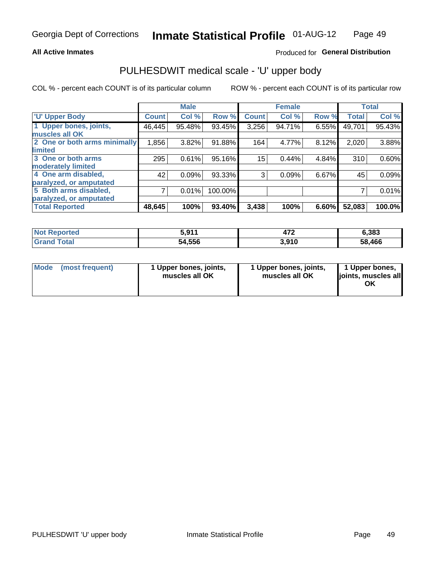## **All Active Inmates**

## Produced for General Distribution

# PULHESDWIT medical scale - 'U' upper body

COL % - percent each COUNT is of its particular column

|                              |              | <b>Male</b> |         |              | <b>Female</b> |       |              | <b>Total</b> |
|------------------------------|--------------|-------------|---------|--------------|---------------|-------|--------------|--------------|
| <b>U' Upper Body</b>         | <b>Count</b> | Col %       | Row %   | <b>Count</b> | Col %         | Row % | <b>Total</b> | Col %        |
| 1 Upper bones, joints,       | 46,445       | 95.48%      | 93.45%  | 3,256        | 94.71%        | 6.55% | 49,701       | 95.43%       |
| muscles all OK               |              |             |         |              |               |       |              |              |
| 2 One or both arms minimally | 1,856        | 3.82%       | 91.88%  | 164          | 4.77%         | 8.12% | 2,020        | 3.88%        |
| limited                      |              |             |         |              |               |       |              |              |
| 3 One or both arms           | 295          | 0.61%       | 95.16%  | 15           | 0.44%         | 4.84% | 310          | 0.60%        |
| <b>moderately limited</b>    |              |             |         |              |               |       |              |              |
| 4 One arm disabled,          | 42           | 0.09%       | 93.33%  | 3            | 0.09%         | 6.67% | 45           | 0.09%        |
| paralyzed, or amputated      |              |             |         |              |               |       |              |              |
| 5 Both arms disabled,        | 7            | 0.01%       | 100.00% |              |               |       | ⇁            | 0.01%        |
| paralyzed, or amputated      |              |             |         |              |               |       |              |              |
| <b>Total Reported</b>        | 48,645       | 100%        | 93.40%  | 3,438        | 100%          | 6.60% | 52,083       | 100.0%       |

| <b>Not Reported</b>          | : 044<br><b>VOI.</b> | ---<br>41 L | 6,383  |
|------------------------------|----------------------|-------------|--------|
| <b>Total</b><br><b>Grand</b> | 54,556               | 3,910       | 58,466 |

| Mode (most frequent) | 1 Upper bones, joints,<br>muscles all OK | 1 Upper bones, joints,<br>muscles all OK | 1 Upper bones,<br>joints, muscles all<br>ΟK |
|----------------------|------------------------------------------|------------------------------------------|---------------------------------------------|
|----------------------|------------------------------------------|------------------------------------------|---------------------------------------------|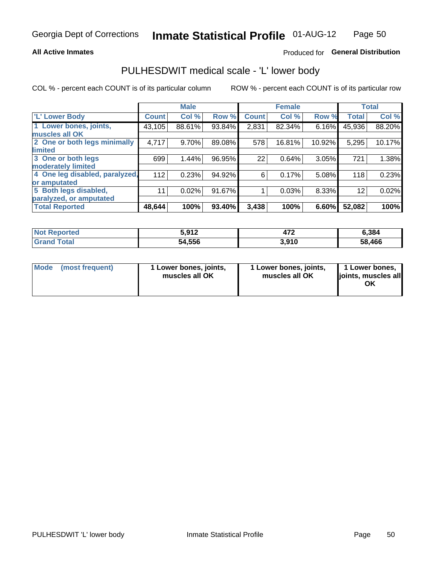## **All Active Inmates**

## Produced for General Distribution

## PULHESDWIT medical scale - 'L' lower body

COL % - percent each COUNT is of its particular column

|                                |              | <b>Male</b> |        |              | <b>Female</b> |        |                   | <b>Total</b> |
|--------------------------------|--------------|-------------|--------|--------------|---------------|--------|-------------------|--------------|
| 'L' Lower Body                 | <b>Count</b> | Col %       | Row %  | <b>Count</b> | Col %         | Row %  | <b>Total</b>      | Col %        |
| 1 Lower bones, joints,         | 43,105       | 88.61%      | 93.84% | 2,831        | 82.34%        | 6.16%  | 45,936            | 88.20%       |
| muscles all OK                 |              |             |        |              |               |        |                   |              |
| 2 One or both legs minimally   | 4,717        | 9.70%       | 89.08% | 578          | 16.81%        | 10.92% | 5,295             | 10.17%       |
| limited                        |              |             |        |              |               |        |                   |              |
| 3 One or both legs             | 699          | 1.44%       | 96.95% | 22           | 0.64%         | 3.05%  | 721               | 1.38%        |
| moderately limited             |              |             |        |              |               |        |                   |              |
| 4 One leg disabled, paralyzed, | 112          | 0.23%       | 94.92% | 6            | 0.17%         | 5.08%  | 118               | 0.23%        |
| or amputated                   |              |             |        |              |               |        |                   |              |
| 5 Both legs disabled,          | 11           | 0.02%       | 91.67% |              | 0.03%         | 8.33%  | $12 \overline{ }$ | 0.02%        |
| paralyzed, or amputated        |              |             |        |              |               |        |                   |              |
| <b>Total Reported</b>          | 48,644       | 100%        | 93.40% | 3,438        | 100%          | 6.60%  | 52,082            | 100%         |

| <b>Not Reported</b>   | ະ ດ1 າ<br>J.J I 4 | ---<br>41 L | 6,384  |
|-----------------------|-------------------|-------------|--------|
| <b>Total</b><br>Grand | 54,556            | 3,910       | 58,466 |

| Mode | (most frequent) | 1 Lower bones, joints,<br>muscles all OK | I Lower bones, joints,<br>muscles all OK | 1 Lower bones,<br>joints, muscles all<br>ΟK |
|------|-----------------|------------------------------------------|------------------------------------------|---------------------------------------------|
|------|-----------------|------------------------------------------|------------------------------------------|---------------------------------------------|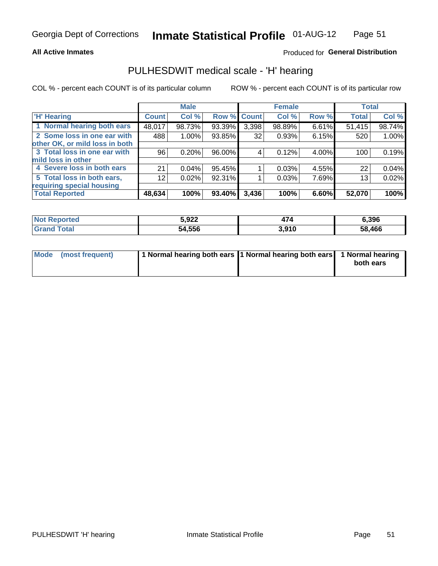## **All Active Inmates**

## Produced for General Distribution

## PULHESDWIT medical scale - 'H' hearing

COL % - percent each COUNT is of its particular column

|                                |                 | <b>Male</b> |                    |       | <b>Female</b> |       | <b>Total</b> |        |
|--------------------------------|-----------------|-------------|--------------------|-------|---------------|-------|--------------|--------|
| <b>'H' Hearing</b>             | <b>Count</b>    | Col %       | <b>Row % Count</b> |       | Col %         | Row % | <b>Total</b> | Col %  |
| 1 Normal hearing both ears     | 48,017          | 98.73%      | 93.39%             | 3,398 | 98.89%        | 6.61% | 51,415       | 98.74% |
| 2 Some loss in one ear with    | 488             | 1.00%       | 93.85%             | 32    | 0.93%         | 6.15% | 520          | 1.00%  |
| other OK, or mild loss in both |                 |             |                    |       |               |       |              |        |
| 3 Total loss in one ear with   | 96              | 0.20%       | 96.00%             | 4     | 0.12%         | 4.00% | 100          | 0.19%  |
| mild loss in other             |                 |             |                    |       |               |       |              |        |
| 4 Severe loss in both ears     | 21              | 0.04%       | 95.45%             |       | 0.03%         | 4.55% | 22           | 0.04%  |
| 5 Total loss in both ears,     | 12 <sub>1</sub> | 0.02%       | 92.31%             |       | 0.03%         | 7.69% | 13           | 0.02%  |
| requiring special housing      |                 |             |                    |       |               |       |              |        |
| <b>Total Reported</b>          | 48,634          | 100%        | 93.40%             | 3,436 | 100%          | 6.60% | 52,070       | 100%   |

| <b>Not Reno</b><br><b>ported</b> | 5,922  |                | 6.396  |
|----------------------------------|--------|----------------|--------|
| Total                            | 54,556 | 2010<br>ง.ง เบ | 58,466 |

| Mode (most frequent) | 1 Normal hearing both ears 11 Normal hearing both ears 1 Normal hearing | both ears |
|----------------------|-------------------------------------------------------------------------|-----------|
|                      |                                                                         |           |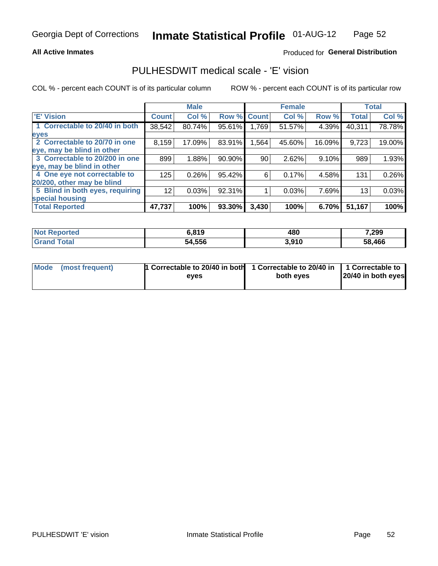## **All Active Inmates**

## Produced for General Distribution

## PULHESDWIT medical scale - 'E' vision

COL % - percent each COUNT is of its particular column

|                                 |              | <b>Male</b> |        |              | <b>Female</b> |        |              | <b>Total</b> |
|---------------------------------|--------------|-------------|--------|--------------|---------------|--------|--------------|--------------|
| <b>E' Vision</b>                | <b>Count</b> | Col %       | Row %  | <b>Count</b> | Col %         | Row %  | <b>Total</b> | Col %        |
| 1 Correctable to 20/40 in both  | 38,542       | 80.74%      | 95.61% | 1.769        | 51.57%        | 4.39%  | 40,311       | 78.78%       |
| eyes                            |              |             |        |              |               |        |              |              |
| 2 Correctable to 20/70 in one   | 8,159        | 17.09%      | 83.91% | 1,564        | 45.60%        | 16.09% | 9,723        | 19.00%       |
| eye, may be blind in other      |              |             |        |              |               |        |              |              |
| 3 Correctable to 20/200 in one  | 899          | 1.88%       | 90.90% | 90           | 2.62%         | 9.10%  | 989          | 1.93%        |
| eye, may be blind in other      |              |             |        |              |               |        |              |              |
| 4 One eye not correctable to    | 125          | 0.26%       | 95.42% | 6            | 0.17%         | 4.58%  | 131          | 0.26%        |
| 20/200, other may be blind      |              |             |        |              |               |        |              |              |
| 5 Blind in both eyes, requiring | 12           | 0.03%       | 92.31% |              | 0.03%         | 7.69%  | 13           | 0.03%        |
| special housing                 |              |             |        |              |               |        |              |              |
| <b>Total Reported</b>           | 47,737       | 100%        | 93.30% | 3,430        | 100%          | 6.70%  | 51,167       | 100%         |

| <b>Not Reported</b> | 6,819  | 480   | 7,299  |
|---------------------|--------|-------|--------|
| Гоtа                | 54,556 | 3,910 | 58,466 |

| Mode (most frequent) | 1 Correctable to 20/40 in both<br>eves | 1 Correctable to 20/40 in   1 Correctable to  <br>both eves | 20/40 in both eyes |
|----------------------|----------------------------------------|-------------------------------------------------------------|--------------------|
|                      |                                        |                                                             |                    |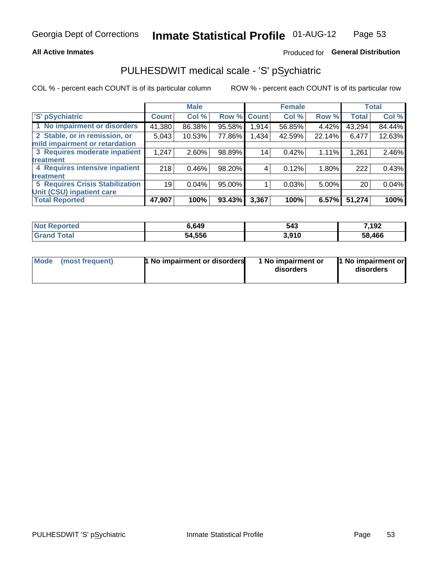## **All Active Inmates**

## Produced for General Distribution

# PULHESDWIT medical scale - 'S' pSychiatric

COL % - percent each COUNT is of its particular column

|                                        |              | <b>Male</b> |        |              | <b>Female</b> |        |              | <b>Total</b> |
|----------------------------------------|--------------|-------------|--------|--------------|---------------|--------|--------------|--------------|
| 'S' pSychiatric                        | <b>Count</b> | Col %       | Row %  | <b>Count</b> | Col %         | Row %  | <b>Total</b> | Col %        |
| 1 No impairment or disorders           | 41,380       | 86.38%      | 95.58% | 1,914        | 56.85%        | 4.42%  | 43,294       | 84.44%       |
| 2 Stable, or in remission, or          | 5,043        | 10.53%      | 77.86% | 1,434        | 42.59%        | 22.14% | 6,477        | 12.63%       |
| mild impairment or retardation         |              |             |        |              |               |        |              |              |
| 3 Requires moderate inpatient          | 1,247        | 2.60%       | 98.89% | 14           | 0.42%         | 1.11%  | 1,261        | 2.46%        |
| treatment                              |              |             |        |              |               |        |              |              |
| 4 Requires intensive inpatient         | 218          | 0.46%       | 98.20% |              | 0.12%         | 1.80%  | 222          | 0.43%        |
| treatment                              |              |             |        |              |               |        |              |              |
| <b>5 Requires Crisis Stabilization</b> | 19           | 0.04%       | 95.00% |              | 0.03%         | 5.00%  | 20           | 0.04%        |
| Unit (CSU) inpatient care              |              |             |        |              |               |        |              |              |
| <b>Total Reported</b>                  | 47,907       | 100%        | 93.43% | 3,367        | 100%          | 6.57%  | 51,274       | 100%         |

| <b>Not Reported</b> | 6,649  | 543   | 7,192  |
|---------------------|--------|-------|--------|
| Total<br>' Grand    | 54,556 | 3,910 | 58,466 |

| Mode            | <b>1 No impairment or disorders</b> | 1 No impairment or | 1 No impairment or |
|-----------------|-------------------------------------|--------------------|--------------------|
| (most frequent) |                                     | disorders          | disorders          |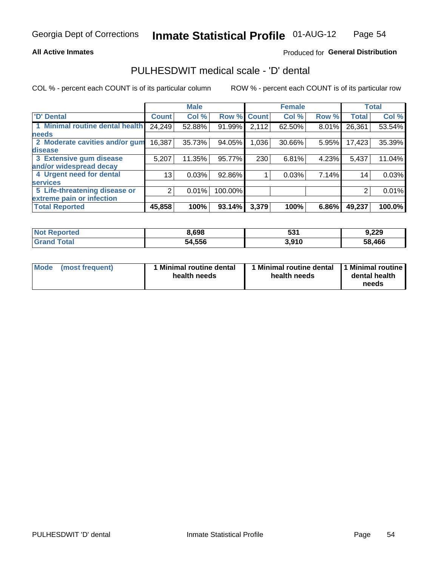## **All Active Inmates**

## Produced for General Distribution

## PULHESDWIT medical scale - 'D' dental

COL % - percent each COUNT is of its particular column

|                                 |                 | <b>Male</b> |         |              | <b>Female</b> |       |              | <b>Total</b> |
|---------------------------------|-----------------|-------------|---------|--------------|---------------|-------|--------------|--------------|
| <b>D' Dental</b>                | <b>Count</b>    | Col %       | Row %   | <b>Count</b> | Col %         | Row % | <b>Total</b> | Col %        |
| 1 Minimal routine dental health | 24,249          | 52.88%      | 91.99%  | 2,112        | 62.50%        | 8.01% | 26,361       | 53.54%       |
| <b>needs</b>                    |                 |             |         |              |               |       |              |              |
| 2 Moderate cavities and/or gum  | 16,387          | 35.73%      | 94.05%  | 1,036        | 30.66%        | 5.95% | 17,423       | 35.39%       |
| disease                         |                 |             |         |              |               |       |              |              |
| 3 Extensive gum disease         | 5,207           | 11.35%      | 95.77%  | 230          | 6.81%         | 4.23% | 5,437        | 11.04%       |
| and/or widespread decay         |                 |             |         |              |               |       |              |              |
| 4 Urgent need for dental        | 13 <sub>1</sub> | 0.03%       | 92.86%  |              | 0.03%         | 7.14% | 14           | 0.03%        |
| <b>services</b>                 |                 |             |         |              |               |       |              |              |
| 5 Life-threatening disease or   | 2               | 0.01%       | 100.00% |              |               |       | 2            | 0.01%        |
| extreme pain or infection       |                 |             |         |              |               |       |              |              |
| <b>Total Reported</b>           | 45,858          | 100%        | 93.14%  | 3,379        | 100%          | 6.86% | 49,237       | 100.0%       |

| <b>Not Reported</b> | 8,698  | 531   | 9,229  |
|---------------------|--------|-------|--------|
| <b>Grand Total</b>  | 54,556 | 3,910 | 58,466 |

| 1 Minimal routine dental<br>Mode<br>(most frequent)<br>health needs | 1 Minimal routine dental 1 Minimal routine<br>health needs | dental health<br>needs |
|---------------------------------------------------------------------|------------------------------------------------------------|------------------------|
|---------------------------------------------------------------------|------------------------------------------------------------|------------------------|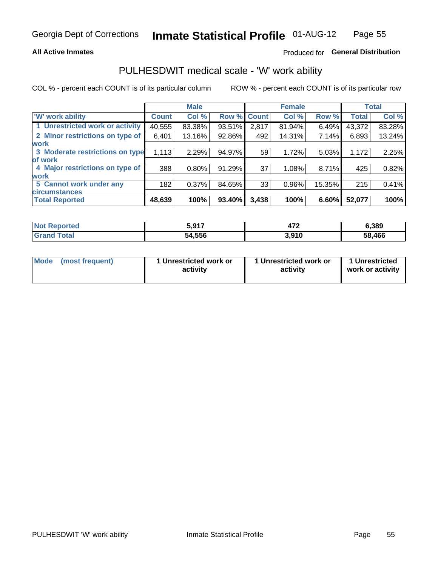## **All Active Inmates**

## Produced for General Distribution

## PULHESDWIT medical scale - 'W' work ability

COL % - percent each COUNT is of its particular column

|                                 |              | <b>Male</b> |        |             | <b>Female</b> |        |              | <b>Total</b> |
|---------------------------------|--------------|-------------|--------|-------------|---------------|--------|--------------|--------------|
| <b>W' work ability</b>          | <b>Count</b> | Col %       |        | Row % Count | Col %         | Row %  | <b>Total</b> | Col %        |
| 1 Unrestricted work or activity | 40,555       | 83.38%      | 93.51% | 2,817       | 81.94%        | 6.49%  | 43,372       | 83.28%       |
| 2 Minor restrictions on type of | 6,401        | 13.16%      | 92.86% | 492         | 14.31%        | 7.14%  | 6,893        | 13.24%       |
| <b>work</b>                     |              |             |        |             |               |        |              |              |
| 3 Moderate restrictions on type | 1,113        | 2.29%       | 94.97% | 59          | 1.72%         | 5.03%  | 1,172        | 2.25%        |
| lof work                        |              |             |        |             |               |        |              |              |
| 4 Major restrictions on type of | 388          | 0.80%       | 91.29% | 37          | 1.08%         | 8.71%  | 425          | 0.82%        |
| <b>work</b>                     |              |             |        |             |               |        |              |              |
| 5 Cannot work under any         | 182          | 0.37%       | 84.65% | 33          | 0.96%         | 15.35% | 215          | 0.41%        |
| <b>circumstances</b>            |              |             |        |             |               |        |              |              |
| <b>Total Reported</b>           | 48,639       | 100%        | 93.40% | 3,438       | 100%          | 6.60%  | 52,077       | 100%         |

| <b>Not Reported</b>   | ፣ 047<br><b></b> | יי<br>41 L | 6,389  |
|-----------------------|------------------|------------|--------|
| Total<br><b>Grand</b> | 54,556           | 3,910      | 58,466 |

| Mode            | 1 Unrestricted work or | 1 Unrestricted work or | 1 Unrestricted   |
|-----------------|------------------------|------------------------|------------------|
| (most frequent) | activity               | activity               | work or activity |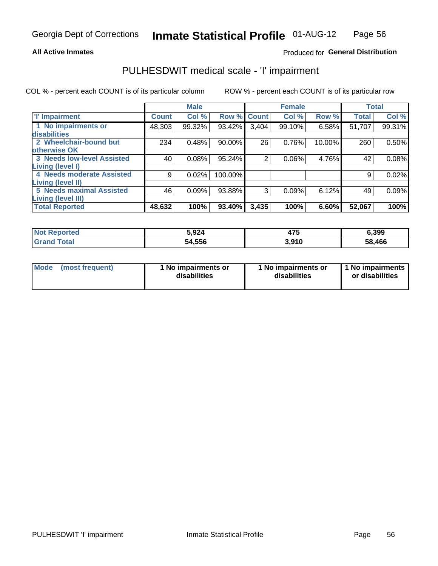## **All Active Inmates**

## Produced for General Distribution

# PULHESDWIT medical scale - 'I' impairment

COL % - percent each COUNT is of its particular column

|                                                              |              | <b>Male</b> |         |             | <b>Female</b> |        |              | <b>Total</b> |
|--------------------------------------------------------------|--------------|-------------|---------|-------------|---------------|--------|--------------|--------------|
| <b>T' Impairment</b>                                         | <b>Count</b> | Col %       |         | Row % Count | Col %         | Row %  | <b>Total</b> | Col %        |
| 1 No impairments or<br>disabilities                          | 48,303       | 99.32%      | 93.42%  | 3,404       | 99.10%        | 6.58%  | 51,707       | 99.31%       |
| 2 Wheelchair-bound but<br>otherwise OK                       | 234          | 0.48%       | 90.00%  | 26          | 0.76%         | 10.00% | 260          | 0.50%        |
| <b>3 Needs low-level Assisted</b><br>Living (level I)        | 40           | 0.08%       | 95.24%  | 2           | 0.06%         | 4.76%  | 42           | 0.08%        |
| 4 Needs moderate Assisted<br>Living (level II)               | 9            | 0.02%       | 100.00% |             |               |        | 9            | 0.02%        |
| <b>5 Needs maximal Assisted</b><br><b>Living (level III)</b> | 46           | 0.09%       | 93.88%  | 3           | 0.09%         | 6.12%  | 49           | 0.09%        |
| <b>Total Reported</b>                                        | 48,632       | 100%        | 93.40%  | 3,435       | 100%          | 6.60%  | 52,067       | 100%         |

| วorted | 5,924  | ィフト<br>71 J | 6,399  |
|--------|--------|-------------|--------|
| Total  | 54,556 | 3.910       | 58,466 |

| Mode | (most frequent) | 1 No impairments or<br>disabilities | 1 No impairments or<br>disabilities | 1 No impairments<br>or disabilities |
|------|-----------------|-------------------------------------|-------------------------------------|-------------------------------------|
|------|-----------------|-------------------------------------|-------------------------------------|-------------------------------------|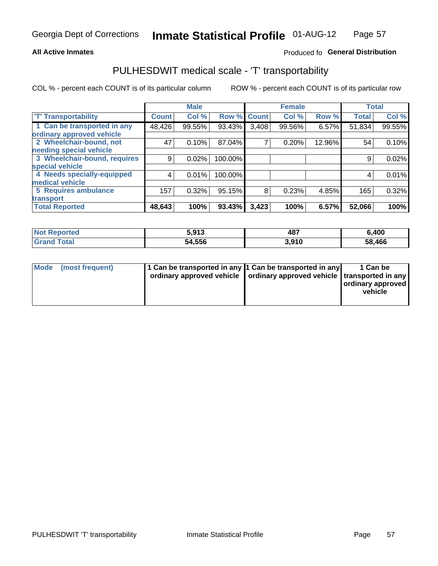## **All Active Inmates**

## Produced fo General Distribution

# PULHESDWIT medical scale - 'T' transportability

COL % - percent each COUNT is of its particular column

|                              |              | <b>Male</b> |         |              | <b>Female</b> |        |              | <b>Total</b> |
|------------------------------|--------------|-------------|---------|--------------|---------------|--------|--------------|--------------|
| <b>T' Transportability</b>   | <b>Count</b> | Col %       | Row %   | <b>Count</b> | Col %         | Row %  | <b>Total</b> | Col %        |
| 1 Can be transported in any  | 48,426       | 99.55%      | 93.43%  | 3,408        | 99.56%        | 6.57%  | 51,834       | 99.55%       |
| ordinary approved vehicle    |              |             |         |              |               |        |              |              |
| 2 Wheelchair-bound, not      | 47           | 0.10%       | 87.04%  | 7            | 0.20%         | 12.96% | 54           | 0.10%        |
| needing special vehicle      |              |             |         |              |               |        |              |              |
| 3 Wheelchair-bound, requires | 9            | 0.02%       | 100.00% |              |               |        | 9            | 0.02%        |
| special vehicle              |              |             |         |              |               |        |              |              |
| 4 Needs specially-equipped   | 4            | 0.01%       | 100.00% |              |               |        | 4            | 0.01%        |
| medical vehicle              |              |             |         |              |               |        |              |              |
| <b>5 Requires ambulance</b>  | 157          | 0.32%       | 95.15%  | 8            | 0.23%         | 4.85%  | 165          | 0.32%        |
| transport                    |              |             |         |              |               |        |              |              |
| <b>Total Reported</b>        | 48,643       | 100%        | 93.43%  | 3,423        | 100%          | 6.57%  | 52,066       | 100%         |

| <b>Not</b><br>Reported | 5,913  | 487   | 6,400  |
|------------------------|--------|-------|--------|
| Total                  | 54,556 | 3,910 | 58,466 |

|  | Mode (most frequent) | 1 Can be transported in any 1 Can be transported in any<br>ordinary approved vehicle   ordinary approved vehicle   transported in any |  | 1 Can be<br>  ordinary approved  <br>vehicle |
|--|----------------------|---------------------------------------------------------------------------------------------------------------------------------------|--|----------------------------------------------|
|--|----------------------|---------------------------------------------------------------------------------------------------------------------------------------|--|----------------------------------------------|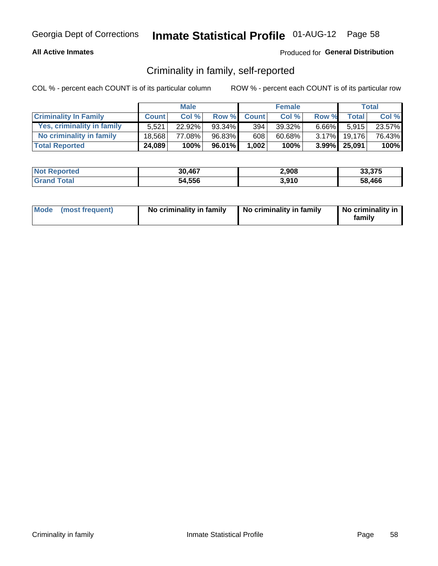## **All Active Inmates**

## Produced for General Distribution

## Criminality in family, self-reported

COL % - percent each COUNT is of its particular column

|                              |              | <b>Male</b> |           |                  | <b>Female</b> |          |              | Total   |
|------------------------------|--------------|-------------|-----------|------------------|---------------|----------|--------------|---------|
| <b>Criminality In Family</b> | <b>Count</b> | Col %       | Row %     | <b>Count</b>     | Col%          | Row %    | <b>Total</b> | Col %   |
| Yes, criminality in family   | 5.521        | $22.92\%$   | $93.34\%$ | 394 <sub>1</sub> | 39.32%        | $6.66\%$ | 5.915        | 23.57%  |
| No criminality in family     | 18.568       | 77.08%      | 96.83%    | 608              | 60.68%        | $3.17\%$ | 19.176       | 76.43%  |
| <b>Total Reported</b>        | 24,089       | 100%        | 96.01%    | 1,002            | 100%          |          | 3.99% 25,091 | $100\%$ |

| <b>Not</b><br><b>Reported</b> | 30.467 | 2,908 | 33.375 |
|-------------------------------|--------|-------|--------|
| <b>ota</b>                    | 54,556 | 3,910 | 58,466 |

|  | Mode (most frequent) | No criminality in family | No criminality in family | No criminality in<br>family |
|--|----------------------|--------------------------|--------------------------|-----------------------------|
|--|----------------------|--------------------------|--------------------------|-----------------------------|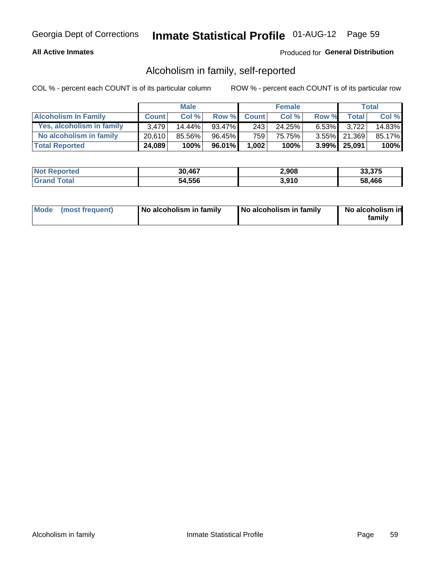## **All Active Inmates**

## Produced for General Distribution

## Alcoholism in family, self-reported

COL % - percent each COUNT is of its particular column

|                             |              | <b>Male</b> |           |              | <b>Female</b> |          |              | Total  |
|-----------------------------|--------------|-------------|-----------|--------------|---------------|----------|--------------|--------|
| <b>Alcoholism In Family</b> | <b>Count</b> | Col %       | Row %     | <b>Count</b> | Col %         | Row %    | <b>Total</b> | Col %  |
| Yes, alcoholism in family   | 3.479        | 14.44%      | 93.47%    | 243          | 24.25%        | $6.53\%$ | 3.722        | 14.83% |
| No alcoholism in family     | 20.610       | 85.56%      | $96.45\%$ | 759          | 75.75%        |          | 3.55% 21,369 | 85.17% |
| <b>Total Reported</b>       | 24,089       | 100%        | 96.01%    | 1,002        | 100%          |          | 3.99% 25,091 | 100%   |

| <b>Not</b><br><b>Reported</b> | 30,467 | 2,908 | <b>22.25</b><br>33.375 |
|-------------------------------|--------|-------|------------------------|
| `ota                          | 54,556 | 3.910 | 58.466                 |

|  | Mode (most frequent) | No alcoholism in family | No alcoholism in family | No alcoholism in<br>family |
|--|----------------------|-------------------------|-------------------------|----------------------------|
|--|----------------------|-------------------------|-------------------------|----------------------------|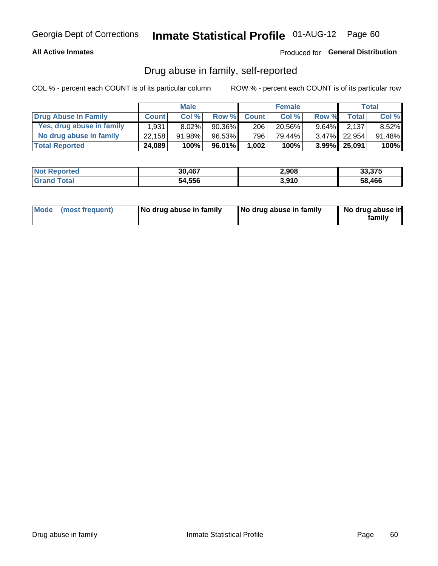## **All Active Inmates**

## Produced for General Distribution

## Drug abuse in family, self-reported

COL % - percent each COUNT is of its particular column

|                           |              | <b>Male</b> |           |              | <b>Female</b> |          |                 | Total    |
|---------------------------|--------------|-------------|-----------|--------------|---------------|----------|-----------------|----------|
| Drug Abuse In Family      | <b>Count</b> | Col%        | Row %     | <b>Count</b> | Col %         | Row %    | Total           | Col %    |
| Yes, drug abuse in family | 1,931        | 8.02%       | $90.36\%$ | 206          | $20.56\%$     | $9.64\%$ | 2.137           | $8.52\%$ |
| No drug abuse in family   | 22.158       | 91.98%      | 96.53%    | 796          | 79.44%        |          | 3.47% 22,954    | 91.48%   |
| <b>Total Reported</b>     | 24,089       | 100%        | 96.01%    | 1,002        | 100%          |          | $3.99\%$ 25,091 | $100\%$  |

| <b>Not</b><br><b>Reported</b> | 30,467 | 2,908 | <b>22.25</b><br>33.375 |
|-------------------------------|--------|-------|------------------------|
| `ota                          | 54,556 | 3.910 | 58.466                 |

|  | Mode (most frequent) | No drug abuse in family | No drug abuse in family | No drug abuse in<br>familv |
|--|----------------------|-------------------------|-------------------------|----------------------------|
|--|----------------------|-------------------------|-------------------------|----------------------------|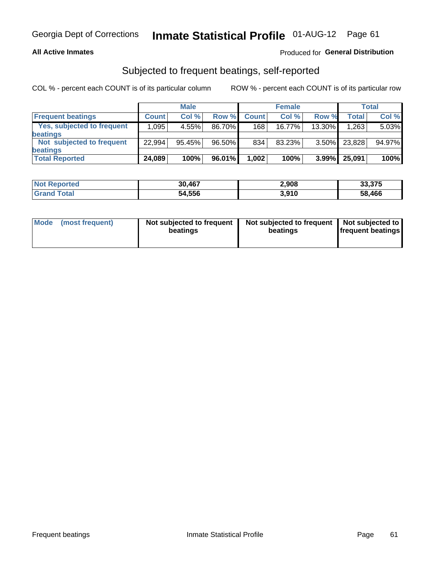## **All Active Inmates**

## Produced for General Distribution

## Subjected to frequent beatings, self-reported

COL % - percent each COUNT is of its particular column

|                            |              | <b>Male</b> |        |              | <b>Female</b> |          |        | Total  |
|----------------------------|--------------|-------------|--------|--------------|---------------|----------|--------|--------|
| <b>Frequent beatings</b>   | <b>Count</b> | Col %       | Row %  | <b>Count</b> | Col %         | Row %    | Total  | Col%   |
| Yes, subjected to frequent | 1,095        | 4.55%       | 86.70% | 168          | $16.77\%$     | 13.30%   | 1,263  | 5.03%  |
| beatings                   |              |             |        |              |               |          |        |        |
| Not subjected to frequent  | 22.994       | 95.45%      | 96.50% | 834          | 83.23%        | $3.50\%$ | 23,828 | 94.97% |
| beatings                   |              |             |        |              |               |          |        |        |
| <b>Total Reported</b>      | 24,089       | 100%        | 96.01% | 1,002        | 100%          | $3.99\%$ | 25,091 | 100%   |

| 'Not<br>Reported | 30,467 | 2,908 | 33,375 |
|------------------|--------|-------|--------|
| Total            | 54,556 | 3,910 | 58,466 |

| Mode (most frequent) | Not subjected to frequent<br>beatings | Not subjected to frequent<br>beatings | Not subjected to<br><b>frequent beatings</b> |
|----------------------|---------------------------------------|---------------------------------------|----------------------------------------------|
|                      |                                       |                                       |                                              |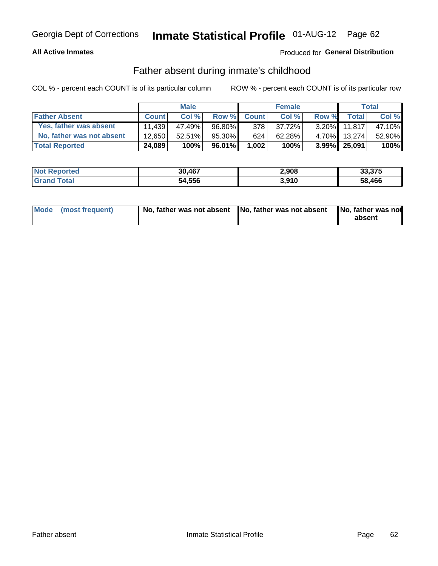## **All Active Inmates**

## Produced for General Distribution

## Father absent during inmate's childhood

COL % - percent each COUNT is of its particular column

|                           |              | <b>Male</b> |        |              | <b>Female</b> |          |              | Total  |
|---------------------------|--------------|-------------|--------|--------------|---------------|----------|--------------|--------|
| <b>Father Absent</b>      | <b>Count</b> | Col%        | Row %  | <b>Count</b> | Col %         | Row %    | <b>Total</b> | Col %  |
| Yes, father was absent    | 11.439       | 47.49%      | 96.80% | 3781         | 37.72%        | $3.20\%$ | 11.817       | 47.10% |
| No, father was not absent | 12.650       | 52.51%      | 95.30% | 624          | 62.28%        | $4.70\%$ | 13.274       | 52.90% |
| <b>Total Reported</b>     | 24,089       | 100%        | 96.01% | 1,002        | 100%          |          | 3.99% 25,091 | 100%   |

| <b>Not Reported</b> | 30,467 | 2,908 | 33,375 |
|---------------------|--------|-------|--------|
| <b>Srand Total</b>  | 54,556 | 3,910 | 58.466 |

|  | Mode (most frequent) | No, father was not absent No, father was not absent |  | No, father was not<br>absent |
|--|----------------------|-----------------------------------------------------|--|------------------------------|
|--|----------------------|-----------------------------------------------------|--|------------------------------|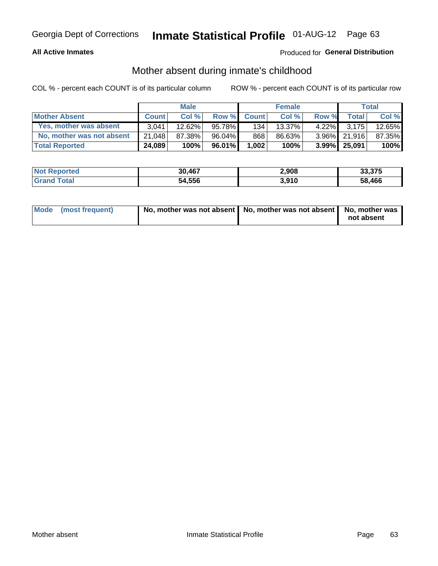## **All Active Inmates**

## Produced for General Distribution

## Mother absent during inmate's childhood

COL % - percent each COUNT is of its particular column

|                           |              | <b>Male</b> |           |              | <b>Female</b> |          |              | Total  |
|---------------------------|--------------|-------------|-----------|--------------|---------------|----------|--------------|--------|
| <b>Mother Absent</b>      | <b>Count</b> | Col%        | Row %     | <b>Count</b> | Col %         | Row %    | <b>Total</b> | Col %  |
| Yes, mother was absent    | 3.041        | 12.62%      | 95.78%    | 134          | $13.37\%$     | $4.22\%$ | 3.175        | 12.65% |
| No, mother was not absent | 21.048       | 87.38%      | $96.04\%$ | 868          | 86.63%        |          | 3.96% 21.916 | 87.35% |
| <b>Total Reported</b>     | 24,089       | 100%        | 96.01%    | 1,002        | 100%          |          | 3.99% 25.091 | 100%   |

| <b>Not</b><br><b>Reported</b> | 30.467 | 2,908 | 33.375 |
|-------------------------------|--------|-------|--------|
| <b>ota</b>                    | 54,556 | 3,910 | 58,466 |

| Mode (most frequent) | No, mother was not absent   No, mother was not absent   No, mother was | not absent |
|----------------------|------------------------------------------------------------------------|------------|
|                      |                                                                        |            |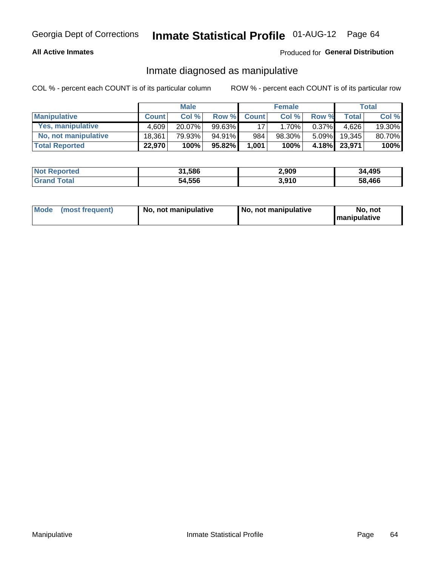## **All Active Inmates**

## Produced for General Distribution

## Inmate diagnosed as manipulative

COL % - percent each COUNT is of its particular column

|                       |              | <b>Male</b> |           |              | <b>Female</b> |          |              | Total  |
|-----------------------|--------------|-------------|-----------|--------------|---------------|----------|--------------|--------|
| <b>Manipulative</b>   | <b>Count</b> | Col %       | Row %     | <b>Count</b> | Col%          | Row %    | <b>Total</b> | Col %  |
| Yes, manipulative     | 4.609        | 20.07%      | $99.63\%$ | 17           | 1.70%         | $0.37\%$ | 4.626        | 19.30% |
| No, not manipulative  | 18,361       | 79.93%      | 94.91%    | 984          | 98.30%        | $5.09\%$ | 19.345       | 80.70% |
| <b>Total Reported</b> | 22,970       | 100%        | 95.82%    | 1,001        | 100%          | 4.18%    | 23,971       | 100%   |

| <b>Not Reported</b> | 31,586 | 2,909 | 34,495 |
|---------------------|--------|-------|--------|
| l Grand T<br>Гоtаl  | 54,556 | 3,910 | 58,466 |

|  | Mode (most frequent) | No, not manipulative | No, not manipulative | No. not<br><b>I</b> manipulative |
|--|----------------------|----------------------|----------------------|----------------------------------|
|--|----------------------|----------------------|----------------------|----------------------------------|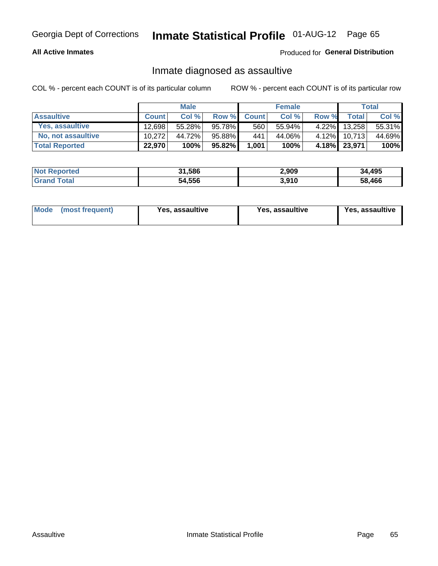## **All Active Inmates**

## Produced for General Distribution

## Inmate diagnosed as assaultive

COL % - percent each COUNT is of its particular column

|                           |              | <b>Male</b> |        |              | <b>Female</b> |          |              | Total  |
|---------------------------|--------------|-------------|--------|--------------|---------------|----------|--------------|--------|
| <b>Assaultive</b>         | <b>Count</b> | Col%        | Row %  | <b>Count</b> | Col %         | Row %    | <b>Total</b> | Col %  |
| Yes, assaultive           | 12.698       | 55.28%      | 95.78% | 560          | 55.94%        | $4.22\%$ | 13,258       | 55.31% |
| <b>No, not assaultive</b> | 10.272       | 44.72%      | 95.88% | 441          | 44.06%        | $4.12\%$ | 10.713       | 44.69% |
| <b>Total Reported</b>     | 22,970       | 100%        | 95.82% | 1,001        | 100%          |          | 4.18% 23,971 | 100%   |

| <b>Not Reported</b> | 31,586 | 2,909 | 34,495 |
|---------------------|--------|-------|--------|
| Total               | 54,556 | 3.910 | 58,466 |

| Mode (most frequent)<br>Yes, assaultive | Yes, assaultive | <b>Yes, assaultive</b> |
|-----------------------------------------|-----------------|------------------------|
|-----------------------------------------|-----------------|------------------------|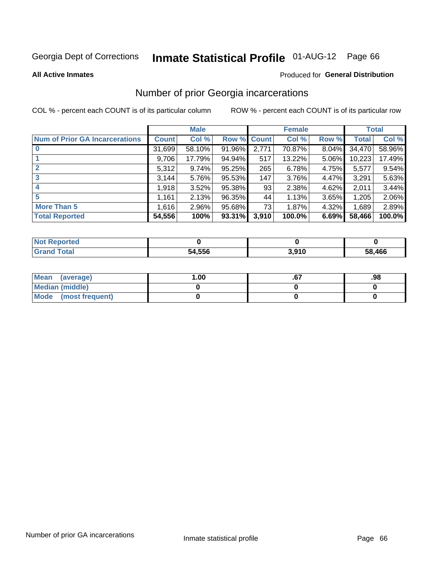# Inmate Statistical Profile 01-AUG-12 Page 66

### **All Active Inmates**

## **Produced for General Distribution**

## Number of prior Georgia incarcerations

COL % - percent each COUNT is of its particular column

|                                       |              | <b>Male</b> |             |       | <b>Female</b> |       |        | <b>Total</b> |
|---------------------------------------|--------------|-------------|-------------|-------|---------------|-------|--------|--------------|
| <b>Num of Prior GA Incarcerations</b> | <b>Count</b> | Col %       | Row % Count |       | Col %         | Row % | Total  | Col %        |
|                                       | 31,699       | 58.10%      | 91.96%      | 2,771 | 70.87%        | 8.04% | 34,470 | 58.96%       |
|                                       | 9,706        | 17.79%      | $94.94\%$   | 517   | 13.22%        | 5.06% | 10,223 | 17.49%       |
| $\overline{2}$                        | 5,312        | 9.74%       | 95.25%      | 265   | 6.78%         | 4.75% | 5,577  | 9.54%        |
| 3                                     | 3,144        | 5.76%       | 95.53%      | 147   | 3.76%         | 4.47% | 3,291  | 5.63%        |
| $\boldsymbol{4}$                      | 1,918        | 3.52%       | 95.38%      | 93    | 2.38%         | 4.62% | 2,011  | 3.44%        |
| 5                                     | 1,161        | 2.13%       | 96.35%      | 44    | 1.13%         | 3.65% | 1,205  | 2.06%        |
| <b>More Than 5</b>                    | 1,616        | 2.96%       | 95.68%      | 731   | 1.87%         | 4.32% | 1,689  | 2.89%        |
| <b>Total Reported</b>                 | 54,556       | 100%        | 93.31%      | 3,910 | 100.0%        | 6.69% | 58,466 | 100.0%       |

| orted<br>NO.      |        |      |            |
|-------------------|--------|------|------------|
| <b>ota</b><br>Gr. | 54,556 | 910, | ,466<br>58 |

| Mean (average)       | 1.00 | ו ש. | .98 |
|----------------------|------|------|-----|
| Median (middle)      |      |      |     |
| Mode (most frequent) |      |      |     |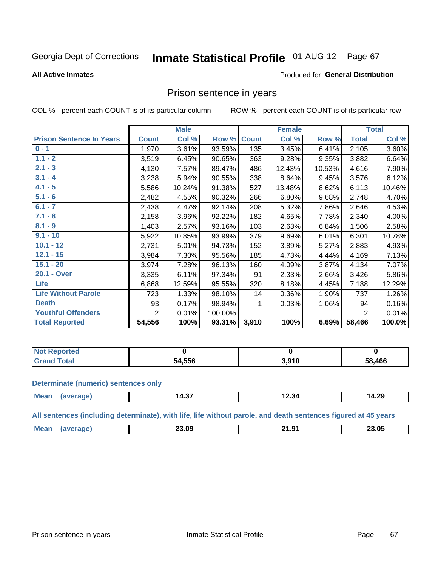#### **Inmate Statistical Profile 01-AUG-12** Page 67

**All Active Inmates** 

### Produced for General Distribution

## Prison sentence in years

COL % - percent each COUNT is of its particular column

ROW % - percent each COUNT is of its particular row

|                                 |              | <b>Male</b> |         |              | <b>Female</b> |        |                | <b>Total</b> |
|---------------------------------|--------------|-------------|---------|--------------|---------------|--------|----------------|--------------|
| <b>Prison Sentence In Years</b> | <b>Count</b> | Col %       | Row %   | <b>Count</b> | Col %         | Row %  | <b>Total</b>   | Col %        |
| $0 - 1$                         | 1,970        | 3.61%       | 93.59%  | 135          | 3.45%         | 6.41%  | 2,105          | 3.60%        |
| $1.1 - 2$                       | 3,519        | 6.45%       | 90.65%  | 363          | 9.28%         | 9.35%  | 3,882          | 6.64%        |
| $2.1 - 3$                       | 4,130        | 7.57%       | 89.47%  | 486          | 12.43%        | 10.53% | 4,616          | 7.90%        |
| $3.1 - 4$                       | 3,238        | 5.94%       | 90.55%  | 338          | 8.64%         | 9.45%  | 3,576          | 6.12%        |
| $4.1 - 5$                       | 5,586        | 10.24%      | 91.38%  | 527          | 13.48%        | 8.62%  | 6,113          | 10.46%       |
| $5.1 - 6$                       | 2,482        | 4.55%       | 90.32%  | 266          | 6.80%         | 9.68%  | 2,748          | 4.70%        |
| $6.1 - 7$                       | 2,438        | 4.47%       | 92.14%  | 208          | 5.32%         | 7.86%  | 2,646          | 4.53%        |
| $7.1 - 8$                       | 2,158        | 3.96%       | 92.22%  | 182          | 4.65%         | 7.78%  | 2,340          | 4.00%        |
| $8.1 - 9$                       | 1,403        | 2.57%       | 93.16%  | 103          | 2.63%         | 6.84%  | 1,506          | 2.58%        |
| $9.1 - 10$                      | 5,922        | 10.85%      | 93.99%  | 379          | 9.69%         | 6.01%  | 6,301          | 10.78%       |
| $10.1 - 12$                     | 2,731        | 5.01%       | 94.73%  | 152          | 3.89%         | 5.27%  | 2,883          | 4.93%        |
| $12.1 - 15$                     | 3,984        | 7.30%       | 95.56%  | 185          | 4.73%         | 4.44%  | 4,169          | 7.13%        |
| $15.1 - 20$                     | 3,974        | 7.28%       | 96.13%  | 160          | 4.09%         | 3.87%  | 4,134          | 7.07%        |
| 20.1 - Over                     | 3,335        | 6.11%       | 97.34%  | 91           | 2.33%         | 2.66%  | 3,426          | 5.86%        |
| <b>Life</b>                     | 6,868        | 12.59%      | 95.55%  | 320          | 8.18%         | 4.45%  | 7,188          | 12.29%       |
| <b>Life Without Parole</b>      | 723          | 1.33%       | 98.10%  | 14           | 0.36%         | 1.90%  | 737            | 1.26%        |
| <b>Death</b>                    | 93           | 0.17%       | 98.94%  |              | 0.03%         | 1.06%  | 94             | 0.16%        |
| <b>Youthful Offenders</b>       | 2            | 0.01%       | 100.00% |              |               |        | $\overline{2}$ | 0.01%        |
| <b>Total Reported</b>           | 54,556       | 100%        | 93.31%  | 3,910        | 100%          | 6.69%  | 58,466         | 100.0%       |

| <b>Not Reported</b> |        |                                |        |
|---------------------|--------|--------------------------------|--------|
| hat<br>. Cart       | 54,556 | 201 <sup>c</sup><br>. נ<br>J.J | 58,466 |

### **Determinate (numeric) sentences only**

| <b>Mean</b> | $\sim$<br>14.3. | 34.34<br>______ | 14.29 |
|-------------|-----------------|-----------------|-------|
|             |                 |                 |       |

All sentences (including determinate), with life, life without parole, and death sentences figured at 45 years

| Me | 23.09<br>____ | - 1<br>. .<br>$\mathbf{r}$ | 23.05 |
|----|---------------|----------------------------|-------|
|    |               |                            |       |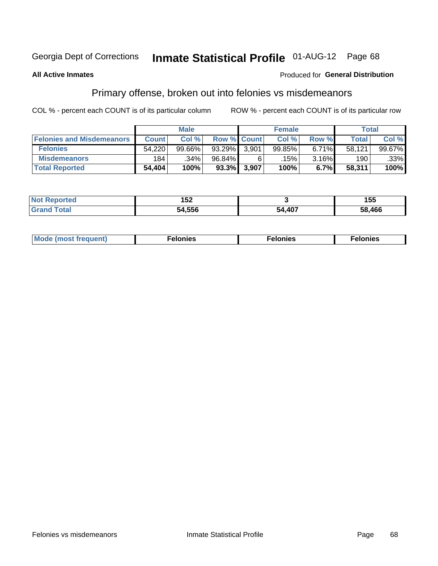# Inmate Statistical Profile 01-AUG-12 Page 68

## **All Active Inmates**

## Produced for General Distribution

## Primary offense, broken out into felonies vs misdemeanors

COL % - percent each COUNT is of its particular column

|                                  |              | <b>Male</b> |        |                    | <b>Female</b> |          |              | Total  |
|----------------------------------|--------------|-------------|--------|--------------------|---------------|----------|--------------|--------|
| <b>Felonies and Misdemeanors</b> | <b>Count</b> | Col%        |        | <b>Row % Count</b> | Col%          | Row %    | <b>Total</b> | Col%   |
| <b>Felonies</b>                  | 54.220       | 99.66%      | 93.29% | 3,901              | 99.85%        | $6.71\%$ | 58.121       | 99.67% |
| <b>Misdemeanors</b>              | 184          | .34%        | 96.84% |                    | .15%          | 3.16%    | 190          | .33%   |
| <b>Total Reported</b>            | 54,404       | 100%        | 93.3%  | 3,907              | 100%          | 6.7%     | 58,311       | 100%   |

| <b>Not</b>            | - - -         |        | .      |  |
|-----------------------|---------------|--------|--------|--|
| 'ted                  | IJL           |        | 155    |  |
| <b>Grand</b><br>™otaï | i4 556<br>54. | 54,407 | 58,466 |  |

| <b>Mo</b><br>requent)<br>$\sim$ | nıes | າເes | elonies |
|---------------------------------|------|------|---------|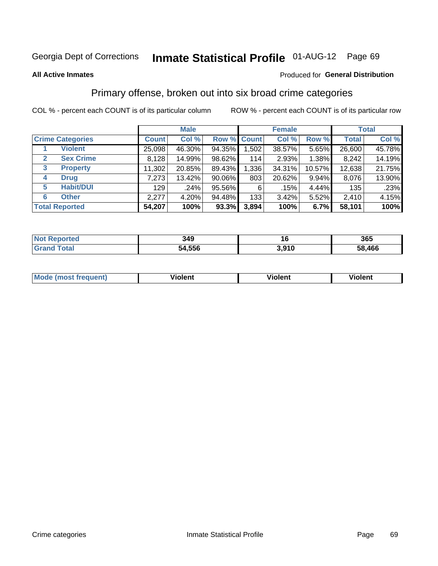### **All Active Inmates**

## Produced for **General Distribution**

## Primary offense, broken out into six broad crime categories

|                                  | <b>Male</b>  |        |           | <b>Female</b> |        |        | <b>Total</b> |        |
|----------------------------------|--------------|--------|-----------|---------------|--------|--------|--------------|--------|
| <b>Crime Categories</b>          | <b>Count</b> | Col %  |           | Row % Count   | Col %  | Row %  | <b>Total</b> | Col %  |
| <b>Violent</b>                   | 25,098       | 46.30% | 94.35%    | 1,502         | 38.57% | 5.65%  | 26,600       | 45.78% |
| <b>Sex Crime</b><br>$\mathbf{2}$ | 8,128        | 14.99% | 98.62%    | 114           | 2.93%  | 1.38%  | 8,242        | 14.19% |
| 3<br><b>Property</b>             | 11,302       | 20.85% | 89.43%    | 1,336         | 34.31% | 10.57% | 12,638       | 21.75% |
| <b>Drug</b><br>4                 | 7,273        | 13.42% | $90.06\%$ | 803           | 20.62% | 9.94%  | 8,076        | 13.90% |
| <b>Habit/DUI</b><br>5            | 129          | .24%   | 95.56%    | 6             | .15%   | 4.44%  | 135          | .23%   |
| <b>Other</b><br>6                | 2,277        | 4.20%  | 94.48%    | 133           | 3.42%  | 5.52%  | 2,410        | 4.15%  |
| <b>Total Reported</b>            | 54,207       | 100%   | 93.3%     | 3,894         | 100%   | 6.7%   | 58,101       | 100%   |

| <b>Ported</b><br><b>NOT</b><br>,,,,, | 349    |       | 365         |
|--------------------------------------|--------|-------|-------------|
| <b>Total</b>                         | 54,556 | 3,910 | ,466<br>58. |

| Mc | .<br>$\cdots$ | VIOIEM |
|----|---------------|--------|
|    |               |        |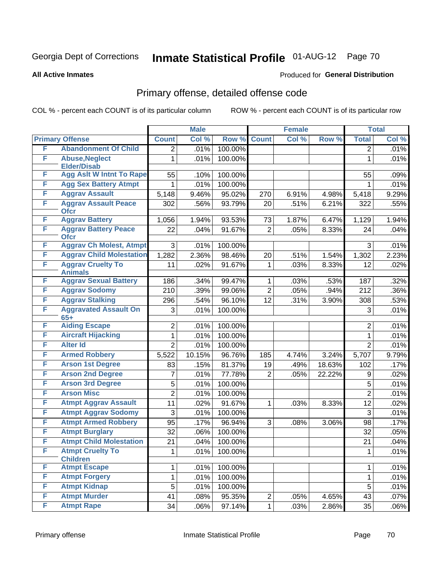**All Active Inmates**

## Produced for **General Distribution**

# Primary offense, detailed offense code

|   |                                            |                | <b>Male</b> |         |                | <b>Female</b> |        |                  | <b>Total</b> |
|---|--------------------------------------------|----------------|-------------|---------|----------------|---------------|--------|------------------|--------------|
|   | <b>Primary Offense</b>                     | <b>Count</b>   | Col %       | Row %   | <b>Count</b>   | Col %         | Row %  | <b>Total</b>     | Col %        |
| F | <b>Abandonment Of Child</b>                | $\overline{2}$ | .01%        | 100.00% |                |               |        | $\overline{2}$   | .01%         |
| F | <b>Abuse, Neglect</b>                      | $\mathbf{1}$   | .01%        | 100.00% |                |               |        | 1                | .01%         |
|   | <b>Elder/Disab</b>                         |                |             |         |                |               |        |                  |              |
| F | <b>Agg Aslt W Intnt To Rape</b>            | 55             | .10%        | 100.00% |                |               |        | 55               | .09%         |
| F | <b>Agg Sex Battery Atmpt</b>               | $\mathbf 1$    | .01%        | 100.00% |                |               |        | $\mathbf{1}$     | .01%         |
| F | <b>Aggrav Assault</b>                      | 5,148          | 9.46%       | 95.02%  | 270            | 6.91%         | 4.98%  | 5,418            | 9.29%        |
| F | <b>Aggrav Assault Peace</b><br><b>Ofcr</b> | 302            | .56%        | 93.79%  | 20             | .51%          | 6.21%  | 322              | .55%         |
| F | <b>Aggrav Battery</b>                      | 1,056          | 1.94%       | 93.53%  | 73             | 1.87%         | 6.47%  | 1,129            | 1.94%        |
| F | <b>Aggrav Battery Peace</b>                | 22             | .04%        | 91.67%  | $\overline{2}$ | .05%          | 8.33%  | 24               | .04%         |
|   | <b>Ofcr</b>                                |                |             |         |                |               |        |                  |              |
| F | <b>Aggrav Ch Molest, Atmpt</b>             | 3              | .01%        | 100.00% |                |               |        | 3                | .01%         |
| F | <b>Aggrav Child Molestation</b>            | 1,282          | 2.36%       | 98.46%  | 20             | .51%          | 1.54%  | 1,302            | 2.23%        |
| F | <b>Aggrav Cruelty To</b><br><b>Animals</b> | 11             | .02%        | 91.67%  | $\mathbf{1}$   | .03%          | 8.33%  | 12               | .02%         |
| F | <b>Aggrav Sexual Battery</b>               | 186            | .34%        | 99.47%  | $\mathbf{1}$   | .03%          | .53%   | 187              | .32%         |
| F | <b>Aggrav Sodomy</b>                       | 210            | .39%        | 99.06%  | $\overline{2}$ | .05%          | .94%   | $\overline{2}12$ | $.36\%$      |
| F | <b>Aggrav Stalking</b>                     | 296            | .54%        | 96.10%  | 12             | .31%          | 3.90%  | 308              | .53%         |
| F | <b>Aggravated Assault On</b>               | 3              | .01%        | 100.00% |                |               |        | 3                | .01%         |
|   | $65+$                                      |                |             |         |                |               |        |                  |              |
| F | <b>Aiding Escape</b>                       | $\overline{2}$ | .01%        | 100.00% |                |               |        | $\overline{2}$   | .01%         |
| F | <b>Aircraft Hijacking</b>                  | 1              | .01%        | 100.00% |                |               |        | $\mathbf{1}$     | .01%         |
| F | <b>Alter Id</b>                            | $\overline{2}$ | .01%        | 100.00% |                |               |        | $\overline{2}$   | .01%         |
| F | <b>Armed Robbery</b>                       | 5,522          | 10.15%      | 96.76%  | 185            | 4.74%         | 3.24%  | 5,707            | 9.79%        |
| F | <b>Arson 1st Degree</b>                    | 83             | .15%        | 81.37%  | 19             | .49%          | 18.63% | 102              | .17%         |
| F | <b>Arson 2nd Degree</b>                    | 7              | .01%        | 77.78%  | $\overline{2}$ | .05%          | 22.22% | 9                | .02%         |
| F | <b>Arson 3rd Degree</b>                    | 5              | .01%        | 100.00% |                |               |        | 5                | .01%         |
| F | <b>Arson Misc</b>                          | $\overline{2}$ | .01%        | 100.00% |                |               |        | $\overline{2}$   | .01%         |
| F | <b>Atmpt Aggrav Assault</b>                | 11             | .02%        | 91.67%  | $\mathbf{1}$   | .03%          | 8.33%  | 12               | .02%         |
| F | <b>Atmpt Aggrav Sodomy</b>                 | 3              | .01%        | 100.00% |                |               |        | 3                | .01%         |
| F | <b>Atmpt Armed Robbery</b>                 | 95             | .17%        | 96.94%  | 3              | .08%          | 3.06%  | 98               | .17%         |
| F | <b>Atmpt Burglary</b>                      | 32             | .06%        | 100.00% |                |               |        | 32               | .05%         |
| F | <b>Atmpt Child Molestation</b>             | 21             | .04%        | 100.00% |                |               |        | 21               | .04%         |
| F | <b>Atmpt Cruelty To</b>                    | 1              | .01%        | 100.00% |                |               |        | $\mathbf{1}$     | .01%         |
| F | <b>Children</b><br><b>Atmpt Escape</b>     | $\mathbf{1}$   | .01%        | 100.00% |                |               |        | $\mathbf{1}$     | .01%         |
| F | <b>Atmpt Forgery</b>                       | 1              | .01%        | 100.00% |                |               |        | $\mathbf{1}$     | .01%         |
| F | <b>Atmpt Kidnap</b>                        | 5              |             | 100.00% |                |               |        | 5                |              |
| F | <b>Atmpt Murder</b>                        |                | .01%        |         |                |               |        |                  | .01%         |
| F | <b>Atmpt Rape</b>                          | 41             | .08%        | 95.35%  | $\overline{2}$ | .05%          | 4.65%  | 43               | .07%         |
|   |                                            | 34             | .06%        | 97.14%  | 1              | .03%          | 2.86%  | 35               | .06%         |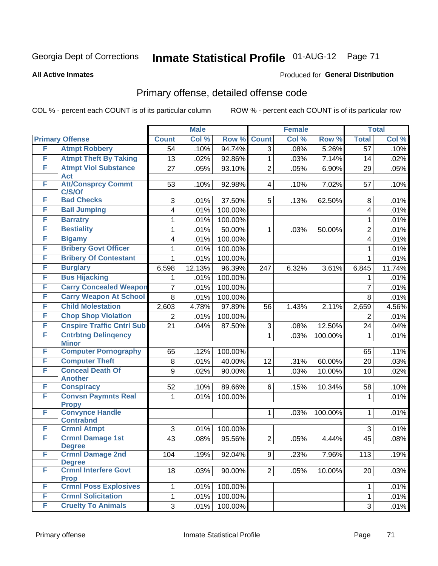### **All Active Inmates**

### Produced for **General Distribution**

# Primary offense, detailed offense code

|   |                                                  |                 | <b>Male</b> |         |                | Female |         |                         | <b>Total</b> |
|---|--------------------------------------------------|-----------------|-------------|---------|----------------|--------|---------|-------------------------|--------------|
|   | <b>Primary Offense</b>                           | <b>Count</b>    | Col %       | Row %   | <b>Count</b>   | Col %  | Row %   | <b>Total</b>            | Col %        |
| F | <b>Atmpt Robbery</b>                             | 54              | .10%        | 94.74%  | $\overline{3}$ | .08%   | 5.26%   | $\overline{57}$         | .10%         |
| F | <b>Atmpt Theft By Taking</b>                     | 13              | .02%        | 92.86%  | $\mathbf{1}$   | .03%   | 7.14%   | 14                      | .02%         |
| F | <b>Atmpt Viol Substance</b>                      | 27              | .05%        | 93.10%  | $\overline{2}$ | .05%   | 6.90%   | 29                      | .05%         |
| F | <b>Act</b>                                       |                 |             |         |                |        |         |                         |              |
|   | <b>Att/Consprcy Commt</b><br>C/S/Of              | 53              | .10%        | 92.98%  | $\overline{4}$ | .10%   | 7.02%   | 57                      | .10%         |
| F | <b>Bad Checks</b>                                | 3               | .01%        | 37.50%  | 5              | .13%   | 62.50%  | 8                       | .01%         |
| F | <b>Bail Jumping</b>                              | 4               | .01%        | 100.00% |                |        |         | $\overline{\mathbf{4}}$ | .01%         |
| F | <b>Barratry</b>                                  | 1               | .01%        | 100.00% |                |        |         | 1                       | .01%         |
| F | <b>Bestiality</b>                                | 1               | .01%        | 50.00%  | $\mathbf{1}$   | .03%   | 50.00%  | $\overline{2}$          | .01%         |
| F | <b>Bigamy</b>                                    | 4               | .01%        | 100.00% |                |        |         | $\overline{\mathbf{4}}$ | .01%         |
| F | <b>Bribery Govt Officer</b>                      | 1               | .01%        | 100.00% |                |        |         | 1                       | .01%         |
| F | <b>Bribery Of Contestant</b>                     | 1               | .01%        | 100.00% |                |        |         | 1                       | .01%         |
| F | <b>Burglary</b>                                  | 6,598           | 12.13%      | 96.39%  | 247            | 6.32%  | 3.61%   | 6,845                   | 11.74%       |
| F | <b>Bus Hijacking</b>                             | 1               | .01%        | 100.00% |                |        |         | 1                       | .01%         |
| F | <b>Carry Concealed Weapon</b>                    | $\overline{7}$  | .01%        | 100.00% |                |        |         | $\overline{7}$          | .01%         |
| F | <b>Carry Weapon At School</b>                    | 8               | .01%        | 100.00% |                |        |         | 8                       | .01%         |
| F | <b>Child Molestation</b>                         | 2,603           | 4.78%       | 97.89%  | 56             | 1.43%  | 2.11%   | 2,659                   | 4.56%        |
| F | <b>Chop Shop Violation</b>                       | $\overline{2}$  | .01%        | 100.00% |                |        |         | $\overline{2}$          | .01%         |
| F | <b>Cnspire Traffic Cntrl Sub</b>                 | $\overline{21}$ | .04%        | 87.50%  | 3              | .08%   | 12.50%  | 24                      | .04%         |
| F | <b>Cntrbtng Delingency</b>                       |                 |             |         | $\mathbf{1}$   | .03%   | 100.00% | $\mathbf{1}$            | .01%         |
|   | <b>Minor</b>                                     |                 |             |         |                |        |         |                         |              |
| F | <b>Computer Pornography</b>                      | 65              | .12%        | 100.00% |                |        |         | 65                      | .11%         |
| F | <b>Computer Theft</b><br><b>Conceal Death Of</b> | 8               | .01%        | 40.00%  | 12             | .31%   | 60.00%  | 20                      | .03%         |
| F | <b>Another</b>                                   | 9               | .02%        | 90.00%  | $\mathbf{1}$   | .03%   | 10.00%  | 10                      | .02%         |
| F | <b>Conspiracy</b>                                | 52              | .10%        | 89.66%  | 6              | .15%   | 10.34%  | 58                      | .10%         |
| F | <b>Convsn Paymnts Real</b>                       | $\mathbf{1}$    | .01%        | 100.00% |                |        |         | $\mathbf 1$             | .01%         |
|   | <b>Propy</b>                                     |                 |             |         |                |        |         |                         |              |
| F | <b>Convynce Handle</b>                           |                 |             |         | 1              | .03%   | 100.00% | $\mathbf{1}$            | .01%         |
| F | <b>Contrabnd</b><br><b>Crmnl Atmpt</b>           | 3               | .01%        | 100.00% |                |        |         | 3                       | .01%         |
| F | <b>Crmnl Damage 1st</b>                          | 43              | .08%        | 95.56%  | $\overline{2}$ | .05%   | 4.44%   | 45                      | .08%         |
|   | Degree                                           |                 |             |         |                |        |         |                         |              |
| F | <b>Crmnl Damage 2nd</b>                          | 104             | .19%        | 92.04%  | 9 <sup>1</sup> | .23%   | 7.96%   | 113                     | .19%         |
|   | <b>Degree</b>                                    |                 |             |         |                |        |         |                         |              |
| F | <b>Crmnl Interfere Govt</b>                      | 18              | .03%        | 90.00%  | 2              | .05%   | 10.00%  | 20                      | .03%         |
| F | <b>Prop</b><br><b>Crmnl Poss Explosives</b>      | 1               | .01%        | 100.00% |                |        |         | 1                       | .01%         |
| F | <b>Crmnl Solicitation</b>                        | $\mathbf{1}$    | .01%        | 100.00% |                |        |         | $\mathbf{1}$            | .01%         |
| F | <b>Cruelty To Animals</b>                        | 3 <sup>1</sup>  | .01%        | 100.00% |                |        |         | 3                       | .01%         |
|   |                                                  |                 |             |         |                |        |         |                         |              |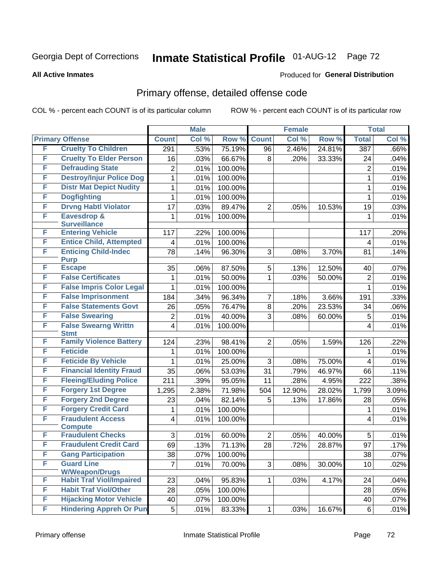### **All Active Inmates**

### Produced for **General Distribution**

# Primary offense, detailed offense code

|   |                                            |                         | <b>Male</b>  |                   |                                   | <b>Female</b> |                  |                      | <b>Total</b> |
|---|--------------------------------------------|-------------------------|--------------|-------------------|-----------------------------------|---------------|------------------|----------------------|--------------|
|   | <b>Primary Offense</b>                     | <b>Count</b>            | Col %        | Row %             | <b>Count</b>                      | Col %         | Row %            | <b>Total</b>         | Col %        |
| F | <b>Cruelty To Children</b>                 | 291                     | .53%         | 75.19%            | 96                                | 2.46%         | 24.81%           | 387                  | .66%         |
| F | <b>Cruelty To Elder Person</b>             | 16                      | .03%         | 66.67%            | 8                                 | .20%          | 33.33%           | 24                   | .04%         |
| F | <b>Defrauding State</b>                    | $\overline{2}$          | .01%         | 100.00%           |                                   |               |                  | $\overline{2}$       | .01%         |
| F | <b>Destroy/Injur Police Dog</b>            | 1                       | .01%         | 100.00%           |                                   |               |                  | 1                    | .01%         |
| F | <b>Distr Mat Depict Nudity</b>             | 1                       | .01%         | 100.00%           |                                   |               |                  | $\mathbf{1}$         | .01%         |
| F | <b>Dogfighting</b>                         | 1                       | .01%         | 100.00%           |                                   |               |                  | 1                    | .01%         |
| F | <b>Drvng Habtl Violator</b>                | 17                      | .03%         | 89.47%            | 2                                 | .05%          | 10.53%           | 19                   | .03%         |
| F | Eavesdrop &<br><b>Surveillance</b>         | 1                       | .01%         | 100.00%           |                                   |               |                  | 1                    | .01%         |
| F | <b>Entering Vehicle</b>                    | 117                     | .22%         | 100.00%           |                                   |               |                  | 117                  | .20%         |
| F | <b>Entice Child, Attempted</b>             | $\overline{\mathbf{4}}$ | .01%         | 100.00%           |                                   |               |                  | 4                    | .01%         |
| F | <b>Enticing Child-Indec</b><br><b>Purp</b> | 78                      | .14%         | 96.30%            | 3                                 | .08%          | 3.70%            | 81                   | .14%         |
| F | <b>Escape</b>                              | 35                      | .06%         | 87.50%            | 5                                 | .13%          | 12.50%           | 40                   | .07%         |
| F | <b>False Certificates</b>                  | 1                       | .01%         | 50.00%            | 1                                 | .03%          | 50.00%           | $\overline{2}$       | .01%         |
| F | <b>False Impris Color Legal</b>            | 1                       | .01%         | 100.00%           |                                   |               |                  | 1                    | .01%         |
| F | <b>False Imprisonment</b>                  | 184                     | .34%         | 96.34%            | 7                                 | .18%          | 3.66%            | 191                  | .33%         |
| F | <b>False Statements Govt</b>               | 26                      | .05%         | 76.47%            | 8                                 | .20%          | 23.53%           | 34                   | .06%         |
| F | <b>False Swearing</b>                      | $\overline{2}$          | .01%         | 40.00%            | 3                                 | .08%          | 60.00%           | 5                    | .01%         |
| F | <b>False Swearng Writtn</b><br><b>Stmt</b> | 4                       | .01%         | 100.00%           |                                   |               |                  | 4                    | .01%         |
| F | <b>Family Violence Battery</b>             | 124                     | .23%         | 98.41%            | $\overline{2}$                    | .05%          | 1.59%            | 126                  | .22%         |
| F | <b>Feticide</b>                            | 1                       | .01%         | 100.00%           |                                   |               |                  | 1                    | .01%         |
| F | <b>Feticide By Vehicle</b>                 | 1                       | .01%         | 25.00%            | 3                                 | .08%          | 75.00%           | 4                    | .01%         |
| F | <b>Financial Identity Fraud</b>            | 35                      | .06%         | 53.03%            | 31                                | .79%          | 46.97%           | 66                   | .11%         |
| F | <b>Fleeing/Eluding Police</b>              | 211                     | .39%         | 95.05%            | 11                                | .28%          | 4.95%            | 222                  | .38%         |
| F | <b>Forgery 1st Degree</b>                  | 1,295                   | 2.38%        | 71.98%            | 504                               | 12.90%        | 28.02%           | 1,799                | 3.09%        |
| F | <b>Forgery 2nd Degree</b>                  | 23                      | .04%         | 82.14%            | 5                                 | .13%          | 17.86%           | 28                   | .05%         |
| F | <b>Forgery Credit Card</b>                 | 1                       | .01%         | 100.00%           |                                   |               |                  | 1                    | .01%         |
| F | <b>Fraudulent Access</b>                   | 4                       | .01%         | 100.00%           |                                   |               |                  | 4                    | .01%         |
| F | <b>Compute</b><br><b>Fraudulent Checks</b> | 3                       |              |                   |                                   |               |                  |                      |              |
| F | <b>Fraudulent Credit Card</b>              | 69                      | .01%         | 60.00%            | $\overline{2}$<br>$\overline{28}$ | .05%<br>.72%  | 40.00%<br>28.87% | 5<br>$\overline{97}$ | .01%         |
| F | <b>Gang Participation</b>                  |                         | .13%         | 71.13%            |                                   |               |                  |                      | .17%         |
| F | <b>Guard Line</b>                          | 38<br>$\overline{7}$    | .07%<br>.01% | 100.00%<br>70.00% | 3                                 |               | 30.00%           | 38<br>10             | .07%         |
|   | <b>W/Weapon/Drugs</b>                      |                         |              |                   |                                   | .08%          |                  |                      | .02%         |
| F | <b>Habit Traf Viol/Impaired</b>            | 23                      | .04%         | 95.83%            | 1                                 | .03%          | 4.17%            | 24                   | .04%         |
| F | <b>Habit Traf Viol/Other</b>               | 28                      | .05%         | 100.00%           |                                   |               |                  | 28                   | .05%         |
| F | <b>Hijacking Motor Vehicle</b>             | 40                      | .07%         | 100.00%           |                                   |               |                  | 40                   | .07%         |
| F | <b>Hindering Appreh Or Pun</b>             | 5                       | .01%         | 83.33%            | 1                                 | .03%          | 16.67%           | 6                    | .01%         |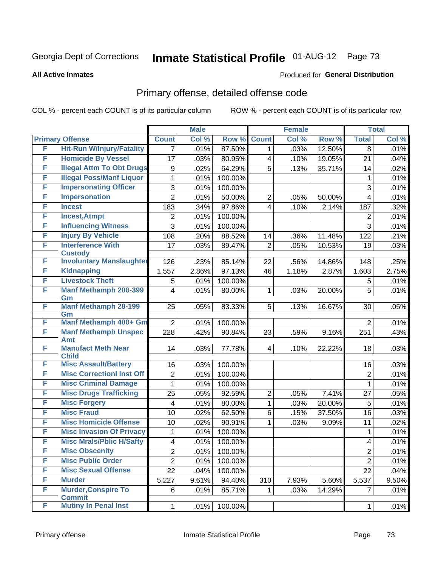#### **All Active Inmates**

### Produced for **General Distribution**

## Primary offense, detailed offense code

|   |                                         | <b>Male</b>     |       |         | <b>Female</b>           |       | <b>Total</b> |                         |       |
|---|-----------------------------------------|-----------------|-------|---------|-------------------------|-------|--------------|-------------------------|-------|
|   | <b>Primary Offense</b>                  | <b>Count</b>    | Col % | Row %   | <b>Count</b>            | Col % | Row %        | <b>Total</b>            | Col % |
| F | <b>Hit-Run W/Injury/Fatality</b>        | 7               | .01%  | 87.50%  | 1                       | .03%  | 12.50%       | 8                       | .01%  |
| F | <b>Homicide By Vessel</b>               | 17              | .03%  | 80.95%  | 4                       | .10%  | 19.05%       | 21                      | .04%  |
| F | <b>Illegal Attm To Obt Drugs</b>        | 9               | .02%  | 64.29%  | 5                       | .13%  | 35.71%       | 14                      | .02%  |
| F | <b>Illegal Poss/Manf Liquor</b>         | 1               | .01%  | 100.00% |                         |       |              | 1                       | .01%  |
| F | <b>Impersonating Officer</b>            | 3               | .01%  | 100.00% |                         |       |              | 3                       | .01%  |
| F | <b>Impersonation</b>                    | $\overline{2}$  | .01%  | 50.00%  | 2                       | .05%  | 50.00%       | 4                       | .01%  |
| F | <b>Incest</b>                           | 183             | .34%  | 97.86%  | 4                       | .10%  | 2.14%        | 187                     | .32%  |
| F | <b>Incest, Atmpt</b>                    | 2               | .01%  | 100.00% |                         |       |              | $\overline{2}$          | .01%  |
| F | <b>Influencing Witness</b>              | 3               | .01%  | 100.00% |                         |       |              | 3                       | .01%  |
| F | <b>Injury By Vehicle</b>                | 108             | .20%  | 88.52%  | 14                      | .36%  | 11.48%       | 122                     | .21%  |
| F | <b>Interference With</b>                | 17              | .03%  | 89.47%  | $\overline{2}$          | .05%  | 10.53%       | 19                      | .03%  |
|   | <b>Custody</b>                          |                 |       |         |                         |       |              |                         |       |
| F | <b>Involuntary Manslaughter</b>         | 126             | .23%  | 85.14%  | 22                      | .56%  | 14.86%       | 148                     | .25%  |
| F | <b>Kidnapping</b>                       | 1,557           | 2.86% | 97.13%  | 46                      | 1.18% | 2.87%        | 1,603                   | 2.75% |
| F | <b>Livestock Theft</b>                  | 5               | .01%  | 100.00% |                         |       |              | 5                       | .01%  |
| F | <b>Manf Methamph 200-399</b><br>Gm      | 4               | .01%  | 80.00%  | 1                       | .03%  | 20.00%       | 5                       | .01%  |
| F | <b>Manf Methamph 28-199</b>             | 25              | .05%  | 83.33%  | 5                       | .13%  | 16.67%       | 30                      | .05%  |
|   | Gm                                      |                 |       |         |                         |       |              |                         |       |
| F | Manf Methamph 400+ Gm                   | $\overline{2}$  | .01%  | 100.00% |                         |       |              | $\overline{2}$          | .01%  |
| F | <b>Manf Methamph Unspec</b>             | 228             | .42%  | 90.84%  | 23                      | .59%  | 9.16%        | 251                     | .43%  |
| F | <b>Amt</b><br><b>Manufact Meth Near</b> |                 |       |         |                         |       |              |                         |       |
|   | <b>Child</b>                            | 14              | .03%  | 77.78%  | $\overline{\mathbf{4}}$ | .10%  | 22.22%       | 18                      | .03%  |
| F | <b>Misc Assault/Battery</b>             | 16              | .03%  | 100.00% |                         |       |              | 16                      | .03%  |
| F | <b>Misc CorrectionI Inst Off</b>        | $\overline{2}$  | .01%  | 100.00% |                         |       |              | $\overline{2}$          | .01%  |
| F | <b>Misc Criminal Damage</b>             | $\mathbf{1}$    | .01%  | 100.00% |                         |       |              | 1                       | .01%  |
| F | <b>Misc Drugs Trafficking</b>           | 25              | .05%  | 92.59%  | $\overline{2}$          | .05%  | 7.41%        | 27                      | .05%  |
| F | <b>Misc Forgery</b>                     | 4               | .01%  | 80.00%  | 1                       | .03%  | 20.00%       | 5                       | .01%  |
| F | <b>Misc Fraud</b>                       | 10              | .02%  | 62.50%  | 6                       | .15%  | 37.50%       | 16                      | .03%  |
| F | <b>Misc Homicide Offense</b>            | 10              | .02%  | 90.91%  | 1                       | .03%  | 9.09%        | 11                      | .02%  |
| F | <b>Misc Invasion Of Privacy</b>         | 1               | .01%  | 100.00% |                         |       |              | 1                       | .01%  |
| F | <b>Misc Mrals/Pblic H/Safty</b>         | 4               | .01%  | 100.00% |                         |       |              | $\overline{\mathbf{4}}$ | .01%  |
| F | <b>Misc Obscenity</b>                   | $\overline{2}$  | .01%  | 100.00% |                         |       |              | $\overline{2}$          | .01%  |
| F | <b>Misc Public Order</b>                | $\overline{2}$  | .01%  | 100.00% |                         |       |              | $\overline{2}$          | .01%  |
| F | <b>Misc Sexual Offense</b>              | $\overline{22}$ | .04%  | 100.00% |                         |       |              | 22                      | .04%  |
| F | <b>Murder</b>                           | 5,227           | 9.61% | 94.40%  | 310                     | 7.93% | 5.60%        | 5,537                   | 9.50% |
| F | <b>Murder, Conspire To</b>              | 6               | .01%  | 85.71%  | 1                       | .03%  | 14.29%       | $\overline{7}$          | .01%  |
|   | <b>Commit</b>                           |                 |       |         |                         |       |              |                         |       |
| F | <b>Mutiny In Penal Inst</b>             | $\mathbf{1}$    | .01%  | 100.00% |                         |       |              | 1                       | .01%  |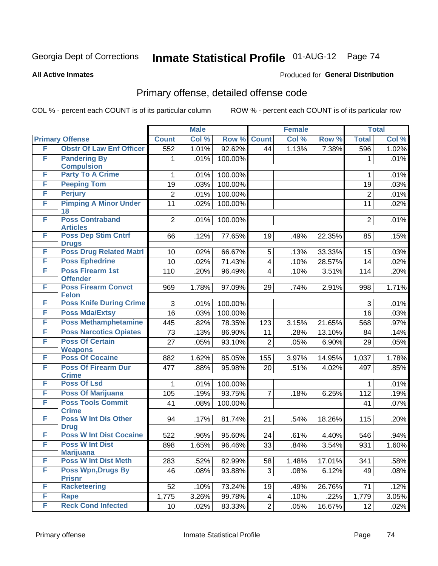**All Active Inmates**

### Produced for **General Distribution**

## Primary offense, detailed offense code

|   |                                            | <b>Male</b>    |       | <b>Female</b> |                |       | <b>Total</b> |                |       |
|---|--------------------------------------------|----------------|-------|---------------|----------------|-------|--------------|----------------|-------|
|   | <b>Primary Offense</b>                     | <b>Count</b>   | Col % | Row %         | <b>Count</b>   | Col % | Row %        | <b>Total</b>   | Col % |
| F | <b>Obstr Of Law Enf Officer</b>            | 552            | 1.01% | 92.62%        | 44             | 1.13% | 7.38%        | 596            | 1.02% |
| F | <b>Pandering By</b><br><b>Compulsion</b>   | 1              | .01%  | 100.00%       |                |       |              | 1              | .01%  |
| F | <b>Party To A Crime</b>                    | 1              | .01%  | 100.00%       |                |       |              | 1              | .01%  |
| F | <b>Peeping Tom</b>                         | 19             | .03%  | 100.00%       |                |       |              | 19             | .03%  |
| F | <b>Perjury</b>                             | $\overline{2}$ | .01%  | 100.00%       |                |       |              | $\overline{2}$ | .01%  |
| F | <b>Pimping A Minor Under</b><br>18         | 11             | .02%  | 100.00%       |                |       |              | 11             | .02%  |
| F | <b>Poss Contraband</b><br><b>Articles</b>  | $\overline{2}$ | .01%  | 100.00%       |                |       |              | $\overline{2}$ | .01%  |
| F | <b>Poss Dep Stim Cntrf</b><br><b>Drugs</b> | 66             | .12%  | 77.65%        | 19             | .49%  | 22.35%       | 85             | .15%  |
| F | <b>Poss Drug Related Matri</b>             | 10             | .02%  | 66.67%        | 5              | .13%  | 33.33%       | 15             | .03%  |
| F | <b>Poss Ephedrine</b>                      | 10             | .02%  | 71.43%        | 4              | .10%  | 28.57%       | 14             | .02%  |
| F | <b>Poss Firearm 1st</b><br><b>Offender</b> | 110            | .20%  | 96.49%        | 4              | .10%  | 3.51%        | 114            | .20%  |
| F | <b>Poss Firearm Convct</b><br><b>Felon</b> | 969            | 1.78% | 97.09%        | 29             | .74%  | 2.91%        | 998            | 1.71% |
| F | <b>Poss Knife During Crime</b>             | 3              | .01%  | 100.00%       |                |       |              | 3              | .01%  |
| F | <b>Poss Mda/Extsy</b>                      | 16             | .03%  | 100.00%       |                |       |              | 16             | .03%  |
| F | <b>Poss Methamphetamine</b>                | 445            | .82%  | 78.35%        | 123            | 3.15% | 21.65%       | 568            | .97%  |
| F | <b>Poss Narcotics Opiates</b>              | 73             | .13%  | 86.90%        | 11             | .28%  | 13.10%       | 84             | .14%  |
| F | <b>Poss Of Certain</b>                     | 27             | .05%  | 93.10%        | $\overline{2}$ | .05%  | 6.90%        | 29             | .05%  |
|   | <b>Weapons</b>                             |                |       |               |                |       |              |                |       |
| F | <b>Poss Of Cocaine</b>                     | 882            | 1.62% | 85.05%        | 155            | 3.97% | 14.95%       | 1,037          | 1.78% |
| F | <b>Poss Of Firearm Dur</b><br><b>Crime</b> | 477            | .88%  | 95.98%        | 20             | .51%  | 4.02%        | 497            | .85%  |
| F | <b>Poss Of Lsd</b>                         | 1              | .01%  | 100.00%       |                |       |              | 1              | .01%  |
| F | <b>Poss Of Marijuana</b>                   | 105            | .19%  | 93.75%        | $\overline{7}$ | .18%  | 6.25%        | 112            | .19%  |
| F | <b>Poss Tools Commit</b><br><b>Crime</b>   | 41             | .08%  | 100.00%       |                |       |              | 41             | .07%  |
| F | <b>Poss W Int Dis Other</b><br><b>Drug</b> | 94             | .17%  | 81.74%        | 21             | .54%  | 18.26%       | 115            | .20%  |
| F | <b>Poss W Int Dist Cocaine</b>             | 522            | .96%  | 95.60%        | 24             | .61%  | 4.40%        | 546            | .94%  |
| E | <b>Poss W Int Dist</b><br><b>Marijuana</b> | 898            | 1.65% | 96.46%        | 33             | .84%  | 3.54%        | 931            | 1.60% |
| F | <b>Poss W Int Dist Meth</b>                | 283            | .52%  | 82.99%        | 58             | 1.48% | 17.01%       | 341            | .58%  |
| F | <b>Poss Wpn, Drugs By</b><br><b>Prisnr</b> | 46             | .08%  | 93.88%        | 3              | .08%  | 6.12%        | 49             | .08%  |
| F | <b>Racketeering</b>                        | 52             | .10%  | 73.24%        | 19             | .49%  | 26.76%       | 71             | .12%  |
| F | Rape                                       | 1,775          | 3.26% | 99.78%        | 4              | .10%  | .22%         | 1,779          | 3.05% |
| F | <b>Reck Cond Infected</b>                  | 10             | .02%  | 83.33%        | $\mathbf{2}$   | .05%  | 16.67%       | 12             | .02%  |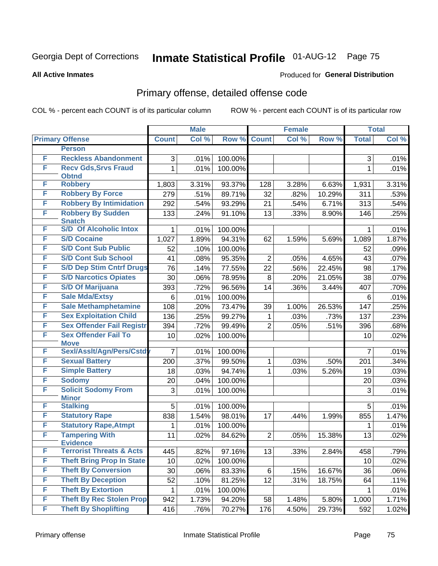#### **All Active Inmates**

### Produced for **General Distribution**

## Primary offense, detailed offense code

|   |                                                        | <b>Male</b>     |       |         | <b>Female</b>  |       | <b>Total</b> |                |                     |
|---|--------------------------------------------------------|-----------------|-------|---------|----------------|-------|--------------|----------------|---------------------|
|   | <b>Primary Offense</b>                                 | <b>Count</b>    | Col % | Row %   | <b>Count</b>   | Col % | Row %        | <b>Total</b>   | Col %               |
|   | <b>Person</b>                                          |                 |       |         |                |       |              |                |                     |
| F | <b>Reckless Abandonment</b>                            | 3               | .01%  | 100.00% |                |       |              | 3              | .01%                |
| F | <b>Recv Gds, Srvs Fraud</b><br><b>Obtnd</b>            | $\mathbf{1}$    | .01%  | 100.00% |                |       |              | 1              | .01%                |
| F | <b>Robbery</b>                                         | 1,803           | 3.31% | 93.37%  | 128            | 3.28% | 6.63%        | 1,931          | 3.31%               |
| F | <b>Robbery By Force</b>                                | 279             | .51%  | 89.71%  | 32             | .82%  | 10.29%       | 311            | .53%                |
| F | <b>Robbery By Intimidation</b>                         | 292             | .54%  | 93.29%  | 21             | .54%  | 6.71%        | 313            | .54%                |
| F | <b>Robbery By Sudden</b><br><b>Snatch</b>              | 133             | .24%  | 91.10%  | 13             | .33%  | 8.90%        | 146            | .25%                |
| F | <b>S/D Of Alcoholic Intox</b>                          | $\mathbf 1$     | .01%  | 100.00% |                |       |              | 1              | .01%                |
| F | <b>S/D Cocaine</b>                                     | 1,027           | 1.89% | 94.31%  | 62             | 1.59% | 5.69%        | 1,089          | 1.87%               |
| F | <b>S/D Cont Sub Public</b>                             | 52              | .10%  | 100.00% |                |       |              | 52             | .09%                |
| F | <b>S/D Cont Sub School</b>                             | 41              | .08%  | 95.35%  | $\overline{2}$ | .05%  | 4.65%        | 43             | .07%                |
| F | <b>S/D Dep Stim Cntrf Drugs</b>                        | 76              | .14%  | 77.55%  | 22             | .56%  | 22.45%       | 98             | .17%                |
| F | <b>S/D Narcotics Opiates</b>                           | 30              | .06%  | 78.95%  | 8              | .20%  | 21.05%       | 38             | .07%                |
| F | <b>S/D Of Marijuana</b>                                | 393             | .72%  | 96.56%  | 14             | .36%  | 3.44%        | 407            | .70%                |
| F | <b>Sale Mda/Extsy</b>                                  | 6               | .01%  | 100.00% |                |       |              | 6              | .01%                |
| F | <b>Sale Methamphetamine</b>                            | 108             | .20%  | 73.47%  | 39             | 1.00% | 26.53%       | 147            | .25%                |
| F | <b>Sex Exploitation Child</b>                          | 136             | .25%  | 99.27%  | $\mathbf{1}$   | .03%  | .73%         | 137            | .23%                |
| F | <b>Sex Offender Fail Registr</b>                       | 394             | .72%  | 99.49%  | $\overline{2}$ | .05%  | .51%         | 396            | .68%                |
| F | <b>Sex Offender Fail To</b>                            | 10              | .02%  | 100.00% |                |       |              | 10             | .02%                |
|   | <b>Move</b>                                            |                 |       |         |                |       |              |                |                     |
| F | Sexl/Asslt/Agn/Pers/Cstd                               | $\overline{7}$  | .01%  | 100.00% |                |       |              | $\overline{7}$ | .01%                |
| F | <b>Sexual Battery</b>                                  | 200             | .37%  | 99.50%  | $\mathbf 1$    | .03%  | .50%         | 201            | .34%                |
| F | <b>Simple Battery</b>                                  | 18              | .03%  | 94.74%  | $\mathbf{1}$   | .03%  | 5.26%        | 19             | .03%                |
| F | <b>Sodomy</b>                                          | 20              | .04%  | 100.00% |                |       |              | 20             | .03%                |
| F | <b>Solicit Sodomy From</b><br><b>Minor</b>             | 3               | .01%  | 100.00% |                |       |              | 3              | .01%                |
| F | <b>Stalking</b>                                        | 5               | .01%  | 100.00% |                |       |              | 5              | .01%                |
| F | <b>Statutory Rape</b>                                  | 838             | 1.54% | 98.01%  | 17             | .44%  | 1.99%        | 855            | 1.47%               |
| F | <b>Statutory Rape, Atmpt</b>                           | 1               | .01%  | 100.00% |                |       |              | $\mathbf 1$    | .01%                |
| F | <b>Tampering With</b>                                  | 11              | .02%  | 84.62%  | $\overline{2}$ | .05%  | 15.38%       | 13             | .02%                |
| F | <b>Evidence</b><br><b>Terrorist Threats &amp; Acts</b> |                 |       |         |                |       |              |                |                     |
| F | <b>Theft Bring Prop In State</b>                       | 445             | .82%  | 97.16%  | 13             | .33%  | 2.84%        | 458            | .79%                |
| F | <b>Theft By Conversion</b>                             | 10 <sup>1</sup> | .02%  | 100.00% |                |       |              | 10             | .02%                |
| F |                                                        | 30              | .06%  | 83.33%  | 6              | .15%  | 16.67%       | 36             | .06%                |
| F | <b>Theft By Deception</b><br><b>Theft By Extortion</b> | 52              | .10%  | 81.25%  | 12             | .31%  | 18.75%       | 64             | .11%                |
| F | <b>Theft By Rec Stolen Prop</b>                        | 1               | .01%  | 100.00% |                |       |              | $\mathbf{1}$   | .01%                |
| F | <b>Theft By Shoplifting</b>                            | 942             | 1.73% | 94.20%  | 58             | 1.48% | 5.80%        | 1,000          | 1.71%               |
|   |                                                        | 416             | .76%  | 70.27%  | 176            | 4.50% | 29.73%       | 592            | $\overline{1.02\%}$ |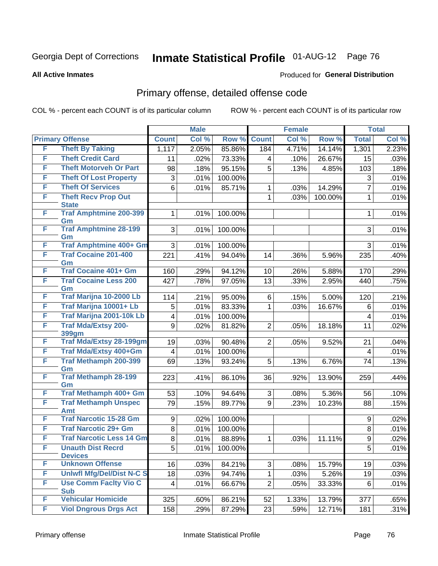**All Active Inmates**

### Produced for **General Distribution**

## Primary offense, detailed offense code

|   |                                            |                  | <b>Male</b> |         |                 | <b>Female</b>       |         | <b>Total</b>   |       |
|---|--------------------------------------------|------------------|-------------|---------|-----------------|---------------------|---------|----------------|-------|
|   | <b>Primary Offense</b>                     | <b>Count</b>     | Col %       | Row %   | <b>Count</b>    | Col %               | Row %   | <b>Total</b>   | Col % |
| F | <b>Theft By Taking</b>                     | 1,117            | 2.05%       | 85.86%  | 184             | 4.71%               | 14.14%  | 1,301          | 2.23% |
| F | <b>Theft Credit Card</b>                   | 11               | .02%        | 73.33%  | 4               | .10%                | 26.67%  | 15             | .03%  |
| F | <b>Theft Motorveh Or Part</b>              | 98               | .18%        | 95.15%  | 5               | .13%                | 4.85%   | 103            | .18%  |
| F | <b>Theft Of Lost Property</b>              | 3                | .01%        | 100.00% |                 |                     |         | 3              | .01%  |
| F | <b>Theft Of Services</b>                   | 6                | .01%        | 85.71%  | 1               | .03%                | 14.29%  | $\overline{7}$ | .01%  |
| F | <b>Theft Recv Prop Out</b><br><b>State</b> |                  |             |         | 1               | .03%                | 100.00% | 1              | .01%  |
| F | <b>Traf Amphtmine 200-399</b><br>Gm        | 1                | .01%        | 100.00% |                 |                     |         | 1              | .01%  |
| F | <b>Traf Amphtmine 28-199</b><br>Gm         | 3                | .01%        | 100.00% |                 |                     |         | 3              | .01%  |
| F | <b>Traf Amphtmine 400+ Gm</b>              | 3                | .01%        | 100.00% |                 |                     |         | 3              | .01%  |
| F | <b>Traf Cocaine 201-400</b><br>Gm          | 221              | .41%        | 94.04%  | 14              | .36%                | 5.96%   | 235            | .40%  |
| F | <b>Traf Cocaine 401+ Gm</b>                | 160              | .29%        | 94.12%  | 10 <sup>1</sup> | .26%                | 5.88%   | 170            | .29%  |
| F | <b>Traf Cocaine Less 200</b><br>Gm         | 427              | .78%        | 97.05%  | 13              | .33%                | 2.95%   | 440            | .75%  |
| F | <b>Traf Marijna 10-2000 Lb</b>             | 114              | .21%        | 95.00%  | 6               | .15%                | 5.00%   | 120            | .21%  |
| F | Traf Marijna 10001+ Lb                     | 5                | .01%        | 83.33%  | 1               | .03%                | 16.67%  | 6              | .01%  |
| F | Traf Marijna 2001-10k Lb                   | 4                | .01%        | 100.00% |                 |                     |         | $\overline{4}$ | .01%  |
| F | <b>Traf Mda/Extsy 200-</b><br>399gm        | $\boldsymbol{9}$ | .02%        | 81.82%  | $\overline{2}$  | .05%                | 18.18%  | 11             | .02%  |
| F | <b>Traf Mda/Extsy 28-199gm</b>             | 19               | .03%        | 90.48%  | $\overline{2}$  | .05%                | 9.52%   | 21             | .04%  |
| F | Traf Mda/Extsy 400+Gm                      | 4                | .01%        | 100.00% |                 |                     |         | 4              | .01%  |
| F | <b>Traf Methamph 200-399</b><br>Gm         | 69               | .13%        | 93.24%  | 5               | .13%                | 6.76%   | 74             | .13%  |
| F | <b>Traf Methamph 28-199</b><br>Gm          | 223              | .41%        | 86.10%  | 36              | .92%                | 13.90%  | 259            | .44%  |
| F | Traf Methamph 400+ Gm                      | 53               | .10%        | 94.64%  | 3 <sup>1</sup>  | .08%                | 5.36%   | 56             | .10%  |
| F | <b>Traf Methamph Unspec</b><br><b>Amt</b>  | 79               | .15%        | 89.77%  | 9               | .23%                | 10.23%  | 88             | .15%  |
| F | <b>Traf Narcotic 15-28 Gm</b>              | 9                | .02%        | 100.00% |                 |                     |         | $9\,$          | .02%  |
| F | <b>Traf Narcotic 29+ Gm</b>                | 8                | .01%        | 100.00% |                 |                     |         | 8              | .01%  |
| F | <b>Traf Narcotic Less 14 Gm</b>            | 8                | .01%        | 88.89%  | 1               | .03%                | 11.11%  | 9              | .02%  |
| F | <b>Unauth Dist Recrd</b><br><b>Devices</b> | $\overline{5}$   | .01%        | 100.00% |                 |                     |         | 5              | .01%  |
| F | <b>Unknown Offense</b>                     | 16               | .03%        | 84.21%  | 3 <sup>1</sup>  | .08%                | 15.79%  | 19             | .03%  |
| F | <b>Uniwfl Mfg/Del/Dist N-C S</b>           | 18               | .03%        | 94.74%  | $\mathbf{1}$    | .03%                | 5.26%   | 19             | .03%  |
| F | <b>Use Comm Facity Vio C</b><br><b>Sub</b> | 4                | .01%        | 66.67%  | $\overline{2}$  | .05%                | 33.33%  | 6              | .01%  |
| F | <b>Vehicular Homicide</b>                  | 325              | .60%        | 86.21%  | 52              | $\overline{1.33\%}$ | 13.79%  | 377            | .65%  |
| F | <b>Viol Dngrous Drgs Act</b>               | 158              | .29%        | 87.29%  | 23              | .59%                | 12.71%  | 181            | .31%  |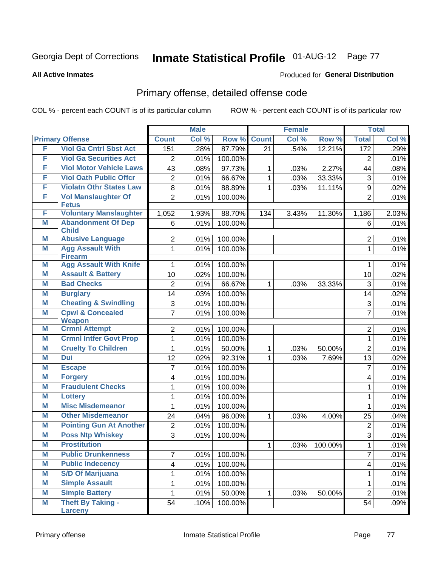#### **All Active Inmates**

### Produced for **General Distribution**

## Primary offense, detailed offense code

|   |                                              | <b>Male</b>    |       | <b>Female</b> |                 |       | <b>Total</b> |                  |       |
|---|----------------------------------------------|----------------|-------|---------------|-----------------|-------|--------------|------------------|-------|
|   | <b>Primary Offense</b>                       | <b>Count</b>   | Col % | Row %         | <b>Count</b>    | Col % | Row %        | <b>Total</b>     | Col % |
| F | <b>Viol Ga Cntrl Sbst Act</b>                | 151            | .28%  | 87.79%        | $\overline{21}$ | .54%  | 12.21%       | 172              | .29%  |
| F | <b>Viol Ga Securities Act</b>                | $\overline{2}$ | .01%  | 100.00%       |                 |       |              | 2                | .01%  |
| F | <b>Viol Motor Vehicle Laws</b>               | 43             | .08%  | 97.73%        | 1               | .03%  | 2.27%        | 44               | .08%  |
| F | <b>Viol Oath Public Offcr</b>                | $\overline{2}$ | .01%  | 66.67%        | 1               | .03%  | 33.33%       | $\mathfrak{S}$   | .01%  |
| F | <b>Violatn Othr States Law</b>               | 8              | .01%  | 88.89%        | 1               | .03%  | 11.11%       | 9                | .02%  |
| F | <b>Vol Manslaughter Of</b>                   | $\overline{2}$ | .01%  | 100.00%       |                 |       |              | $\overline{2}$   | .01%  |
|   | <b>Fetus</b>                                 |                |       |               |                 |       |              |                  |       |
| F | <b>Voluntary Manslaughter</b>                | 1,052          | 1.93% | 88.70%        | 134             | 3.43% | 11.30%       | 1,186            | 2.03% |
| M | <b>Abandonment Of Dep</b><br><b>Child</b>    | 6              | .01%  | 100.00%       |                 |       |              | 6                | .01%  |
| M | <b>Abusive Language</b>                      | $\overline{2}$ | .01%  | 100.00%       |                 |       |              | $\overline{2}$   | .01%  |
| M | <b>Agg Assault With</b>                      | 1              | .01%  | 100.00%       |                 |       |              | $\mathbf{1}$     | .01%  |
|   | <b>Firearm</b>                               |                |       |               |                 |       |              |                  |       |
| Μ | <b>Agg Assault With Knife</b>                | 1              | .01%  | 100.00%       |                 |       |              | 1                | .01%  |
| Μ | <b>Assault &amp; Battery</b>                 | 10             | .02%  | 100.00%       |                 |       |              | 10               | .02%  |
| M | <b>Bad Checks</b>                            | $\overline{2}$ | .01%  | 66.67%        | 1               | .03%  | 33.33%       | 3                | .01%  |
| Μ | <b>Burglary</b>                              | 14             | .03%  | 100.00%       |                 |       |              | 14               | .02%  |
| M | <b>Cheating &amp; Swindling</b>              | 3              | .01%  | 100.00%       |                 |       |              | 3                | .01%  |
| Μ | <b>Cpwl &amp; Concealed</b><br><b>Weapon</b> | 7              | .01%  | 100.00%       |                 |       |              | $\overline{7}$   | .01%  |
| Μ | <b>Crmnl Attempt</b>                         | $\overline{2}$ | .01%  | 100.00%       |                 |       |              | $\overline{2}$   | .01%  |
| Μ | <b>Crmnl Intfer Govt Prop</b>                | 1              | .01%  | 100.00%       |                 |       |              | $\mathbf{1}$     | .01%  |
| Μ | <b>Cruelty To Children</b>                   | 1              | .01%  | 50.00%        | 1               | .03%  | 50.00%       | $\overline{2}$   | .01%  |
| Μ | <b>Dui</b>                                   | 12             | .02%  | 92.31%        | 1               | .03%  | 7.69%        | 13               | .02%  |
| M | <b>Escape</b>                                | 7              | .01%  | 100.00%       |                 |       |              | $\overline{7}$   | .01%  |
| Μ | <b>Forgery</b>                               | 4              | .01%  | 100.00%       |                 |       |              | 4                | .01%  |
| M | <b>Fraudulent Checks</b>                     | 1              | .01%  | 100.00%       |                 |       |              | 1                | .01%  |
| Μ | <b>Lottery</b>                               | 1              | .01%  | 100.00%       |                 |       |              | 1                | .01%  |
| M | <b>Misc Misdemeanor</b>                      | 1              | .01%  | 100.00%       |                 |       |              | 1                | .01%  |
| Μ | <b>Other Misdemeanor</b>                     | 24             | .04%  | 96.00%        | 1               | .03%  | 4.00%        | 25               | .04%  |
| M | <b>Pointing Gun At Another</b>               | $\overline{2}$ | .01%  | 100.00%       |                 |       |              | $\boldsymbol{2}$ | .01%  |
| Μ | <b>Poss Ntp Whiskey</b>                      | $\overline{3}$ | .01%  | 100.00%       |                 |       |              | 3                | .01%  |
| M | <b>Prostitution</b>                          |                |       |               | $\mathbf{1}$    | .03%  | 100.00%      | $\overline{1}$   | .01%  |
| Μ | <b>Public Drunkenness</b>                    | 7              | .01%  | 100.00%       |                 |       |              | $\overline{7}$   | .01%  |
| M | <b>Public Indecency</b>                      | 4              | .01%  | 100.00%       |                 |       |              | 4                | .01%  |
| M | <b>S/D Of Marijuana</b>                      | 1              | .01%  | 100.00%       |                 |       |              | 1                | .01%  |
| M | <b>Simple Assault</b>                        | 1              | .01%  | 100.00%       |                 |       |              | $\mathbf{1}$     | .01%  |
| M | <b>Simple Battery</b>                        | 1              | .01%  | 50.00%        | 1               | .03%  | 50.00%       | $\overline{2}$   | .01%  |
| M | <b>Theft By Taking -</b>                     | 54             | .10%  | 100.00%       |                 |       |              | 54               | .09%  |
|   | <b>Larceny</b>                               |                |       |               |                 |       |              |                  |       |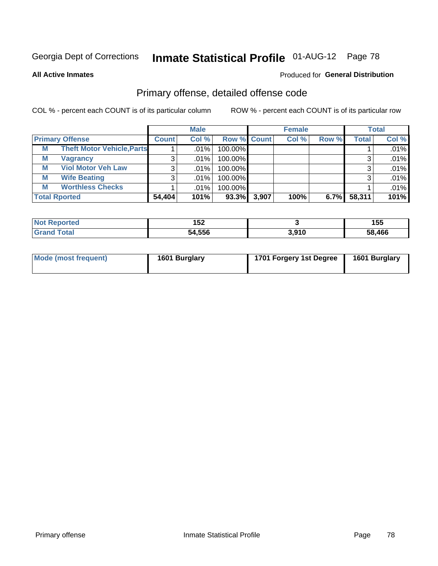**All Active Inmates**

### Produced for **General Distribution**

## Primary offense, detailed offense code

|                      |                                   | <b>Male</b>  |       |                    | <b>Female</b> |       |       | <b>Total</b> |       |
|----------------------|-----------------------------------|--------------|-------|--------------------|---------------|-------|-------|--------------|-------|
|                      | <b>Primary Offense</b>            | <b>Count</b> | Col % | <b>Row % Count</b> |               | Col % | Row % | <b>Total</b> | Col % |
| М                    | <b>Theft Motor Vehicle, Parts</b> |              | .01%  | 100.00%            |               |       |       |              | .01%  |
| М                    | <b>Vagrancy</b>                   | 3            | .01%  | 100.00%            |               |       |       |              | .01%  |
| М                    | <b>Viol Motor Veh Law</b>         |              | .01%  | 100.00%            |               |       |       |              | .01%  |
| М                    | <b>Wife Beating</b>               |              | .01%  | 100.00%            |               |       |       |              | .01%  |
| M                    | <b>Worthless Checks</b>           |              | .01%  | 100.00%            |               |       |       |              | .01%  |
| <b>Total Rported</b> |                                   | 54,404       | 101%  | 93.3%              | 3,907         | 100%  | 6.7%  | 58,311       | 101%  |

| <b>Not</b><br><b>ported</b> | 4 E 7<br>IJZ |       | 155    |
|-----------------------------|--------------|-------|--------|
| Total<br>Gra                | 54,556       | 3.910 | 58.466 |

| Mode (most frequent) | 1601 Burglary | 1701 Forgery 1st Degree | 1601 Burglary |
|----------------------|---------------|-------------------------|---------------|
|----------------------|---------------|-------------------------|---------------|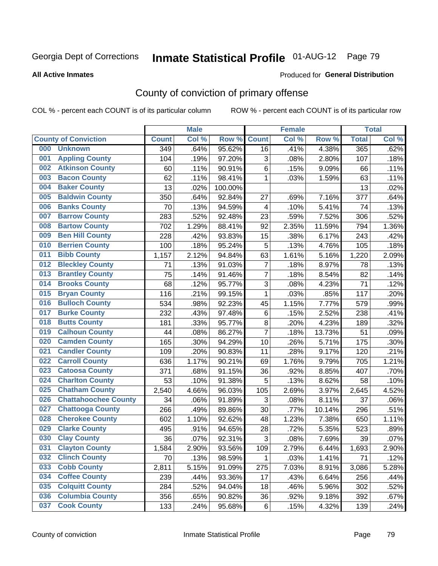#### **All Active Inmates**

### Produced for **General Distribution**

## County of conviction of primary offense

|     |                             |              | <b>Male</b> |         |                | <b>Female</b> |        |              | <b>Total</b> |
|-----|-----------------------------|--------------|-------------|---------|----------------|---------------|--------|--------------|--------------|
|     | <b>County of Conviction</b> | <b>Count</b> | Col %       | Row %   | <b>Count</b>   | Col %         | Row %  | <b>Total</b> | Col %        |
| 000 | <b>Unknown</b>              | 349          | .64%        | 95.62%  | 16             | .41%          | 4.38%  | 365          | .62%         |
| 001 | <b>Appling County</b>       | 104          | .19%        | 97.20%  | 3              | .08%          | 2.80%  | 107          | .18%         |
| 002 | <b>Atkinson County</b>      | 60           | .11%        | 90.91%  | 6              | .15%          | 9.09%  | 66           | .11%         |
| 003 | <b>Bacon County</b>         | 62           | .11%        | 98.41%  | 1              | .03%          | 1.59%  | 63           | .11%         |
| 004 | <b>Baker County</b>         | 13           | .02%        | 100.00% |                |               |        | 13           | .02%         |
| 005 | <b>Baldwin County</b>       | 350          | .64%        | 92.84%  | 27             | .69%          | 7.16%  | 377          | .64%         |
| 006 | <b>Banks County</b>         | 70           | .13%        | 94.59%  | $\overline{4}$ | .10%          | 5.41%  | 74           | .13%         |
| 007 | <b>Barrow County</b>        | 283          | .52%        | 92.48%  | 23             | .59%          | 7.52%  | 306          | .52%         |
| 008 | <b>Bartow County</b>        | 702          | 1.29%       | 88.41%  | 92             | 2.35%         | 11.59% | 794          | 1.36%        |
| 009 | <b>Ben Hill County</b>      | 228          | .42%        | 93.83%  | 15             | .38%          | 6.17%  | 243          | .42%         |
| 010 | <b>Berrien County</b>       | 100          | .18%        | 95.24%  | 5              | .13%          | 4.76%  | 105          | .18%         |
| 011 | <b>Bibb County</b>          | 1,157        | 2.12%       | 94.84%  | 63             | 1.61%         | 5.16%  | 1,220        | 2.09%        |
| 012 | <b>Bleckley County</b>      | 71           | .13%        | 91.03%  | $\overline{7}$ | .18%          | 8.97%  | 78           | .13%         |
| 013 | <b>Brantley County</b>      | 75           | .14%        | 91.46%  | $\overline{7}$ | .18%          | 8.54%  | 82           | .14%         |
| 014 | <b>Brooks County</b>        | 68           | .12%        | 95.77%  | 3              | .08%          | 4.23%  | 71           | .12%         |
| 015 | <b>Bryan County</b>         | 116          | .21%        | 99.15%  | $\mathbf{1}$   | .03%          | .85%   | 117          | .20%         |
| 016 | <b>Bulloch County</b>       | 534          | .98%        | 92.23%  | 45             | 1.15%         | 7.77%  | 579          | .99%         |
| 017 | <b>Burke County</b>         | 232          | .43%        | 97.48%  | $\,6$          | .15%          | 2.52%  | 238          | .41%         |
| 018 | <b>Butts County</b>         | 181          | .33%        | 95.77%  | $\bf 8$        | .20%          | 4.23%  | 189          | .32%         |
| 019 | <b>Calhoun County</b>       | 44           | .08%        | 86.27%  | $\overline{7}$ | .18%          | 13.73% | 51           | .09%         |
| 020 | <b>Camden County</b>        | 165          | .30%        | 94.29%  | 10             | .26%          | 5.71%  | 175          | .30%         |
| 021 | <b>Candler County</b>       | 109          | .20%        | 90.83%  | 11             | .28%          | 9.17%  | 120          | .21%         |
| 022 | <b>Carroll County</b>       | 636          | 1.17%       | 90.21%  | 69             | 1.76%         | 9.79%  | 705          | 1.21%        |
| 023 | <b>Catoosa County</b>       | 371          | .68%        | 91.15%  | 36             | .92%          | 8.85%  | 407          | .70%         |
| 024 | <b>Charlton County</b>      | 53           | .10%        | 91.38%  | 5              | .13%          | 8.62%  | 58           | .10%         |
| 025 | <b>Chatham County</b>       | 2,540        | 4.66%       | 96.03%  | 105            | 2.69%         | 3.97%  | 2,645        | 4.52%        |
| 026 | <b>Chattahoochee County</b> | 34           | .06%        | 91.89%  | 3              | .08%          | 8.11%  | 37           | .06%         |
| 027 | <b>Chattooga County</b>     | 266          | .49%        | 89.86%  | 30             | .77%          | 10.14% | 296          | .51%         |
| 028 | <b>Cherokee County</b>      | 602          | 1.10%       | 92.62%  | 48             | 1.23%         | 7.38%  | 650          | 1.11%        |
| 029 | <b>Clarke County</b>        | 495          | .91%        | 94.65%  | 28             | .72%          | 5.35%  | 523          | .89%         |
| 030 | <b>Clay County</b>          | 36           | .07%        | 92.31%  | 3              | .08%          | 7.69%  | 39           | .07%         |
| 031 | <b>Clayton County</b>       | 1,584        | 2.90%       | 93.56%  | 109            | 2.79%         | 6.44%  | 1,693        | 2.90%        |
| 032 | <b>Clinch County</b>        | 70           | .13%        | 98.59%  | 1              | .03%          | 1.41%  | 71           | .12%         |
| 033 | <b>Cobb County</b>          | 2,811        | 5.15%       | 91.09%  | 275            | 7.03%         | 8.91%  | 3,086        | 5.28%        |
| 034 | <b>Coffee County</b>        | 239          | .44%        | 93.36%  | 17             | .43%          | 6.64%  | 256          | .44%         |
| 035 | <b>Colquitt County</b>      | 284          | .52%        | 94.04%  | 18             | .46%          | 5.96%  | 302          | .52%         |
| 036 | <b>Columbia County</b>      | 356          | .65%        | 90.82%  | 36             | .92%          | 9.18%  | 392          | .67%         |
| 037 | <b>Cook County</b>          | 133          | .24%        | 95.68%  | 6              | .15%          | 4.32%  | 139          | .24%         |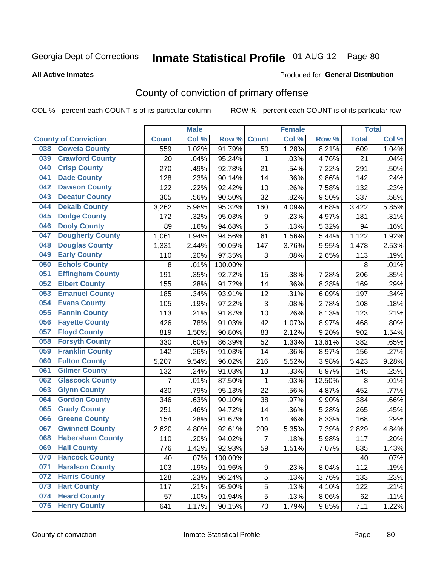#### **All Active Inmates**

#### Produced for **General Distribution**

## County of conviction of primary offense

|     |                             |                | <b>Male</b> |         |              | <b>Female</b> |        |              | <b>Total</b> |
|-----|-----------------------------|----------------|-------------|---------|--------------|---------------|--------|--------------|--------------|
|     | <b>County of Conviction</b> | <b>Count</b>   | Col %       | Row %   | <b>Count</b> | Col %         | Row %  | <b>Total</b> | Col %        |
| 038 | <b>Coweta County</b>        | 559            | 1.02%       | 91.79%  | 50           | 1.28%         | 8.21%  | 609          | 1.04%        |
| 039 | <b>Crawford County</b>      | 20             | .04%        | 95.24%  | 1            | .03%          | 4.76%  | 21           | .04%         |
| 040 | <b>Crisp County</b>         | 270            | .49%        | 92.78%  | 21           | .54%          | 7.22%  | 291          | .50%         |
| 041 | <b>Dade County</b>          | 128            | .23%        | 90.14%  | 14           | .36%          | 9.86%  | 142          | .24%         |
| 042 | <b>Dawson County</b>        | 122            | .22%        | 92.42%  | 10           | .26%          | 7.58%  | 132          | .23%         |
| 043 | <b>Decatur County</b>       | 305            | .56%        | 90.50%  | 32           | .82%          | 9.50%  | 337          | .58%         |
| 044 | <b>Dekalb County</b>        | 3,262          | 5.98%       | 95.32%  | 160          | 4.09%         | 4.68%  | 3,422        | 5.85%        |
| 045 | <b>Dodge County</b>         | 172            | .32%        | 95.03%  | 9            | .23%          | 4.97%  | 181          | .31%         |
| 046 | <b>Dooly County</b>         | 89             | .16%        | 94.68%  | 5            | .13%          | 5.32%  | 94           | .16%         |
| 047 | <b>Dougherty County</b>     | 1,061          | 1.94%       | 94.56%  | 61           | 1.56%         | 5.44%  | 1,122        | 1.92%        |
| 048 | <b>Douglas County</b>       | 1,331          | 2.44%       | 90.05%  | 147          | 3.76%         | 9.95%  | 1,478        | 2.53%        |
| 049 | <b>Early County</b>         | 110            | .20%        | 97.35%  | 3            | .08%          | 2.65%  | 113          | .19%         |
| 050 | <b>Echols County</b>        | 8              | .01%        | 100.00% |              |               |        | 8            | .01%         |
| 051 | <b>Effingham County</b>     | 191            | .35%        | 92.72%  | 15           | .38%          | 7.28%  | 206          | .35%         |
| 052 | <b>Elbert County</b>        | 155            | .28%        | 91.72%  | 14           | .36%          | 8.28%  | 169          | .29%         |
| 053 | <b>Emanuel County</b>       | 185            | .34%        | 93.91%  | 12           | .31%          | 6.09%  | 197          | .34%         |
| 054 | <b>Evans County</b>         | 105            | .19%        | 97.22%  | 3            | .08%          | 2.78%  | 108          | .18%         |
| 055 | <b>Fannin County</b>        | 113            | .21%        | 91.87%  | 10           | .26%          | 8.13%  | 123          | .21%         |
| 056 | <b>Fayette County</b>       | 426            | .78%        | 91.03%  | 42           | 1.07%         | 8.97%  | 468          | .80%         |
| 057 | <b>Floyd County</b>         | 819            | 1.50%       | 90.80%  | 83           | 2.12%         | 9.20%  | 902          | 1.54%        |
| 058 | <b>Forsyth County</b>       | 330            | .60%        | 86.39%  | 52           | 1.33%         | 13.61% | 382          | .65%         |
| 059 | <b>Franklin County</b>      | 142            | .26%        | 91.03%  | 14           | .36%          | 8.97%  | 156          | .27%         |
| 060 | <b>Fulton County</b>        | 5,207          | 9.54%       | 96.02%  | 216          | 5.52%         | 3.98%  | 5,423        | 9.28%        |
| 061 | <b>Gilmer County</b>        | 132            | .24%        | 91.03%  | 13           | .33%          | 8.97%  | 145          | .25%         |
| 062 | <b>Glascock County</b>      | $\overline{7}$ | .01%        | 87.50%  | 1            | .03%          | 12.50% | 8            | .01%         |
| 063 | <b>Glynn County</b>         | 430            | .79%        | 95.13%  | 22           | .56%          | 4.87%  | 452          | .77%         |
| 064 | <b>Gordon County</b>        | 346            | .63%        | 90.10%  | 38           | .97%          | 9.90%  | 384          | .66%         |
| 065 | <b>Grady County</b>         | 251            | .46%        | 94.72%  | 14           | .36%          | 5.28%  | 265          | .45%         |
| 066 | <b>Greene County</b>        | 154            | .28%        | 91.67%  | 14           | .36%          | 8.33%  | 168          | .29%         |
| 067 | <b>Gwinnett County</b>      | 2,620          | 4.80%       | 92.61%  | 209          | 5.35%         | 7.39%  | 2,829        | 4.84%        |
| 068 | <b>Habersham County</b>     | 110            | .20%        | 94.02%  | 7            | .18%          | 5.98%  | 117          | .20%         |
| 069 | <b>Hall County</b>          | 776            | 1.42%       | 92.93%  | 59           | 1.51%         | 7.07%  | 835          | 1.43%        |
| 070 | <b>Hancock County</b>       | 40             | .07%        | 100.00% |              |               |        | 40           | .07%         |
| 071 | <b>Haralson County</b>      | 103            | .19%        | 91.96%  | 9            | .23%          | 8.04%  | 112          | .19%         |
| 072 | <b>Harris County</b>        | 128            | .23%        | 96.24%  | 5            | .13%          | 3.76%  | 133          | .23%         |
| 073 | <b>Hart County</b>          | 117            | .21%        | 95.90%  | 5            | .13%          | 4.10%  | 122          | .21%         |
| 074 | <b>Heard County</b>         | 57             | .10%        | 91.94%  | 5            | .13%          | 8.06%  | 62           | .11%         |
| 075 | <b>Henry County</b>         | 641            | 1.17%       | 90.15%  | 70           | 1.79%         | 9.85%  | 711          | 1.22%        |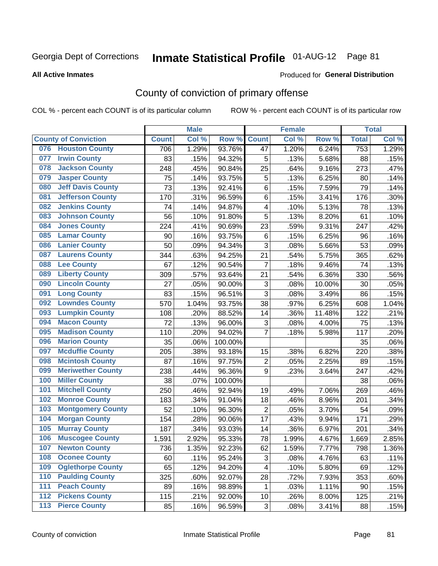#### **All Active Inmates**

#### Produced for **General Distribution**

## County of conviction of primary offense

|     |                             |              | <b>Male</b> |         |                           | <b>Female</b> |        |                  | <b>Total</b> |
|-----|-----------------------------|--------------|-------------|---------|---------------------------|---------------|--------|------------------|--------------|
|     | <b>County of Conviction</b> | <b>Count</b> | Col %       | Row %   | <b>Count</b>              | Col %         | Row %  | <b>Total</b>     | Col %        |
| 076 | <b>Houston County</b>       | 706          | 1.29%       | 93.76%  | 47                        | 1.20%         | 6.24%  | $\overline{753}$ | 1.29%        |
| 077 | <b>Irwin County</b>         | 83           | .15%        | 94.32%  | 5                         | .13%          | 5.68%  | 88               | .15%         |
| 078 | <b>Jackson County</b>       | 248          | .45%        | 90.84%  | 25                        | .64%          | 9.16%  | 273              | .47%         |
| 079 | <b>Jasper County</b>        | 75           | .14%        | 93.75%  | 5                         | .13%          | 6.25%  | 80               | .14%         |
| 080 | <b>Jeff Davis County</b>    | 73           | .13%        | 92.41%  | 6                         | .15%          | 7.59%  | 79               | .14%         |
| 081 | <b>Jefferson County</b>     | 170          | .31%        | 96.59%  | $\,6$                     | .15%          | 3.41%  | 176              | .30%         |
| 082 | <b>Jenkins County</b>       | 74           | .14%        | 94.87%  | $\overline{\mathbf{4}}$   | .10%          | 5.13%  | 78               | .13%         |
| 083 | <b>Johnson County</b>       | 56           | .10%        | 91.80%  | 5                         | .13%          | 8.20%  | 61               | .10%         |
| 084 | <b>Jones County</b>         | 224          | .41%        | 90.69%  | 23                        | .59%          | 9.31%  | 247              | .42%         |
| 085 | <b>Lamar County</b>         | 90           | .16%        | 93.75%  | 6                         | .15%          | 6.25%  | 96               | .16%         |
| 086 | <b>Lanier County</b>        | 50           | .09%        | 94.34%  | 3                         | .08%          | 5.66%  | 53               | .09%         |
| 087 | <b>Laurens County</b>       | 344          | .63%        | 94.25%  | 21                        | .54%          | 5.75%  | 365              | .62%         |
| 088 | <b>Lee County</b>           | 67           | .12%        | 90.54%  | $\overline{7}$            | .18%          | 9.46%  | 74               | .13%         |
| 089 | <b>Liberty County</b>       | 309          | .57%        | 93.64%  | 21                        | .54%          | 6.36%  | 330              | .56%         |
| 090 | <b>Lincoln County</b>       | 27           | .05%        | 90.00%  | $\ensuremath{\mathsf{3}}$ | .08%          | 10.00% | 30               | .05%         |
| 091 | <b>Long County</b>          | 83           | .15%        | 96.51%  | 3                         | .08%          | 3.49%  | 86               | .15%         |
| 092 | <b>Lowndes County</b>       | 570          | 1.04%       | 93.75%  | 38                        | .97%          | 6.25%  | 608              | 1.04%        |
| 093 | <b>Lumpkin County</b>       | 108          | .20%        | 88.52%  | 14                        | .36%          | 11.48% | 122              | .21%         |
| 094 | <b>Macon County</b>         | 72           | .13%        | 96.00%  | $\ensuremath{\mathsf{3}}$ | .08%          | 4.00%  | 75               | .13%         |
| 095 | <b>Madison County</b>       | 110          | .20%        | 94.02%  | $\overline{7}$            | .18%          | 5.98%  | 117              | .20%         |
| 096 | <b>Marion County</b>        | 35           | .06%        | 100.00% |                           |               |        | 35               | .06%         |
| 097 | <b>Mcduffie County</b>      | 205          | .38%        | 93.18%  | 15                        | .38%          | 6.82%  | 220              | .38%         |
| 098 | <b>Mcintosh County</b>      | 87           | .16%        | 97.75%  | $\boldsymbol{2}$          | .05%          | 2.25%  | 89               | .15%         |
| 099 | <b>Meriwether County</b>    | 238          | .44%        | 96.36%  | 9                         | .23%          | 3.64%  | 247              | .42%         |
| 100 | <b>Miller County</b>        | 38           | .07%        | 100.00% |                           |               |        | 38               | .06%         |
| 101 | <b>Mitchell County</b>      | 250          | .46%        | 92.94%  | 19                        | .49%          | 7.06%  | 269              | .46%         |
| 102 | <b>Monroe County</b>        | 183          | .34%        | 91.04%  | 18                        | .46%          | 8.96%  | 201              | .34%         |
| 103 | <b>Montgomery County</b>    | 52           | .10%        | 96.30%  | $\overline{2}$            | .05%          | 3.70%  | 54               | .09%         |
| 104 | <b>Morgan County</b>        | 154          | .28%        | 90.06%  | 17                        | .43%          | 9.94%  | 171              | .29%         |
| 105 | <b>Murray County</b>        | 187          | .34%        | 93.03%  | 14                        | .36%          | 6.97%  | 201              | .34%         |
| 106 | <b>Muscogee County</b>      | 1,591        | 2.92%       | 95.33%  | 78                        | 1.99%         | 4.67%  | 1,669            | 2.85%        |
| 107 | <b>Newton County</b>        | 736          | 1.35%       | 92.23%  | 62                        | 1.59%         | 7.77%  | 798              | 1.36%        |
| 108 | <b>Oconee County</b>        | 60           | .11%        | 95.24%  | 3                         | .08%          | 4.76%  | 63               | .11%         |
| 109 | <b>Oglethorpe County</b>    | 65           | .12%        | 94.20%  | 4                         | .10%          | 5.80%  | 69               | .12%         |
| 110 | <b>Paulding County</b>      | 325          | .60%        | 92.07%  | 28                        | .72%          | 7.93%  | 353              | .60%         |
| 111 | <b>Peach County</b>         | 89           | .16%        | 98.89%  | 1                         | .03%          | 1.11%  | 90               | .15%         |
| 112 | <b>Pickens County</b>       | 115          | .21%        | 92.00%  | 10                        | .26%          | 8.00%  | 125              | .21%         |
| 113 | <b>Pierce County</b>        | 85           | .16%        | 96.59%  | $\ensuremath{\mathsf{3}}$ | .08%          | 3.41%  | 88               | .15%         |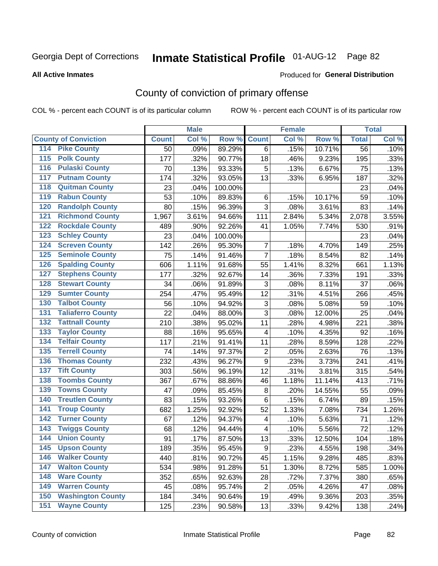#### **All Active Inmates**

#### Produced for **General Distribution**

## County of conviction of primary offense

|                                          |              | <b>Male</b> |         |                         | <b>Female</b> |        |                 | <b>Total</b> |
|------------------------------------------|--------------|-------------|---------|-------------------------|---------------|--------|-----------------|--------------|
| <b>County of Conviction</b>              | <b>Count</b> | Col %       | Row %   | <b>Count</b>            | Col %         | Row %  | <b>Total</b>    | Col %        |
| <b>Pike County</b><br>114                | 50           | .09%        | 89.29%  | 6                       | .15%          | 10.71% | $\overline{56}$ | .10%         |
| <b>Polk County</b><br>$\overline{115}$   | 177          | .32%        | 90.77%  | 18                      | .46%          | 9.23%  | 195             | .33%         |
| <b>Pulaski County</b><br>116             | 70           | .13%        | 93.33%  | 5                       | .13%          | 6.67%  | 75              | .13%         |
| <b>Putnam County</b><br>117              | 174          | .32%        | 93.05%  | 13                      | .33%          | 6.95%  | 187             | .32%         |
| <b>Quitman County</b><br>118             | 23           | .04%        | 100.00% |                         |               |        | 23              | .04%         |
| <b>Rabun County</b><br>119               | 53           | .10%        | 89.83%  | 6                       | .15%          | 10.17% | 59              | .10%         |
| <b>Randolph County</b><br>120            | 80           | .15%        | 96.39%  | 3                       | .08%          | 3.61%  | 83              | .14%         |
| <b>Richmond County</b><br>121            | 1,967        | 3.61%       | 94.66%  | 111                     | 2.84%         | 5.34%  | 2,078           | 3.55%        |
| <b>Rockdale County</b><br>122            | 489          | .90%        | 92.26%  | 41                      | 1.05%         | 7.74%  | 530             | .91%         |
| <b>Schley County</b><br>123              | 23           | .04%        | 100.00% |                         |               |        | 23              | .04%         |
| <b>Screven County</b><br>124             | 142          | .26%        | 95.30%  | $\overline{7}$          | .18%          | 4.70%  | 149             | .25%         |
| <b>Seminole County</b><br>125            | 75           | .14%        | 91.46%  | $\overline{7}$          | .18%          | 8.54%  | 82              | .14%         |
| <b>Spalding County</b><br>126            | 606          | 1.11%       | 91.68%  | 55                      | 1.41%         | 8.32%  | 661             | 1.13%        |
| <b>Stephens County</b><br>127            | 177          | .32%        | 92.67%  | 14                      | .36%          | 7.33%  | 191             | .33%         |
| <b>Stewart County</b><br>128             | 34           | .06%        | 91.89%  | 3                       | .08%          | 8.11%  | 37              | .06%         |
| <b>Sumter County</b><br>129              | 254          | .47%        | 95.49%  | 12                      | .31%          | 4.51%  | 266             | .45%         |
| <b>Talbot County</b><br>130              | 56           | .10%        | 94.92%  | 3                       | .08%          | 5.08%  | 59              | .10%         |
| <b>Taliaferro County</b><br>131          | 22           | .04%        | 88.00%  | 3                       | .08%          | 12.00% | 25              | .04%         |
| <b>Tattnall County</b><br>132            | 210          | .38%        | 95.02%  | 11                      | .28%          | 4.98%  | 221             | .38%         |
| <b>Taylor County</b><br>133              | 88           | .16%        | 95.65%  | $\overline{\mathbf{4}}$ | .10%          | 4.35%  | 92              | .16%         |
| <b>Telfair County</b><br>134             | 117          | .21%        | 91.41%  | 11                      | .28%          | 8.59%  | 128             | .22%         |
| <b>Terrell County</b><br>135             | 74           | .14%        | 97.37%  | $\mathbf 2$             | .05%          | 2.63%  | 76              | .13%         |
| <b>Thomas County</b><br>136              | 232          | .43%        | 96.27%  | $\mathsf g$             | .23%          | 3.73%  | 241             | .41%         |
| <b>Tift County</b><br>137                | 303          | .56%        | 96.19%  | 12                      | .31%          | 3.81%  | 315             | .54%         |
| <b>Toombs County</b><br>138              | 367          | .67%        | 88.86%  | 46                      | 1.18%         | 11.14% | 413             | .71%         |
| <b>Towns County</b><br>139               | 47           | .09%        | 85.45%  | 8                       | .20%          | 14.55% | 55              | .09%         |
| <b>Treutlen County</b><br>140            | 83           | .15%        | 93.26%  | 6                       | .15%          | 6.74%  | 89              | .15%         |
| <b>Troup County</b><br>141               | 682          | 1.25%       | 92.92%  | 52                      | 1.33%         | 7.08%  | 734             | 1.26%        |
| <b>Turner County</b><br>142              | 67           | .12%        | 94.37%  | 4                       | .10%          | 5.63%  | 71              | .12%         |
| <b>Twiggs County</b><br>$\overline{143}$ | 68           | .12%        | 94.44%  | 4                       | .10%          | 5.56%  | 72              | .12%         |
| <b>Union County</b><br>144               | 91           | .17%        | 87.50%  | 13                      | .33%          | 12.50% | 104             | .18%         |
| 145<br><b>Upson County</b>               | 189          | .35%        | 95.45%  | 9                       | .23%          | 4.55%  | 198             | .34%         |
| <b>Walker County</b><br>146              | 440          | .81%        | 90.72%  | 45                      | 1.15%         | 9.28%  | 485             | .83%         |
| <b>Walton County</b><br>147              | 534          | .98%        | 91.28%  | 51                      | 1.30%         | 8.72%  | 585             | 1.00%        |
| <b>Ware County</b><br>148                | 352          | .65%        | 92.63%  | 28                      | .72%          | 7.37%  | 380             | .65%         |
| <b>Warren County</b><br>149              | 45           | .08%        | 95.74%  | $\overline{2}$          | .05%          | 4.26%  | 47              | .08%         |
| <b>Washington County</b><br>150          | 184          | .34%        | 90.64%  | 19                      | .49%          | 9.36%  | 203             | .35%         |
| <b>Wayne County</b><br>151               | 125          | .23%        | 90.58%  | 13                      | .33%          | 9.42%  | 138             | .24%         |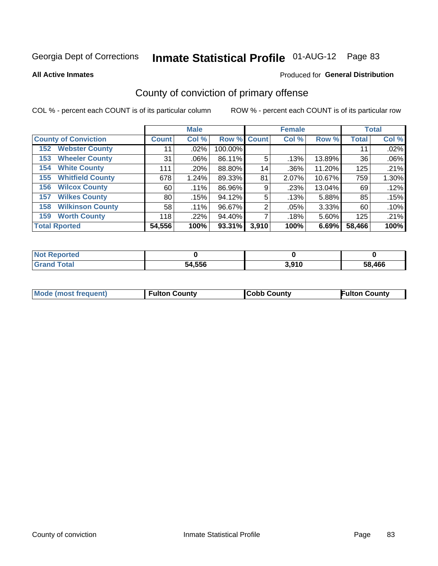**All Active Inmates**

### Produced for **General Distribution**

## County of conviction of primary offense

|                                |              | <b>Male</b> |             |       | <b>Female</b> |        |              | <b>Total</b> |
|--------------------------------|--------------|-------------|-------------|-------|---------------|--------|--------------|--------------|
| <b>County of Conviction</b>    | <b>Count</b> | Col %       | Row % Count |       | Col %         | Row %  | <b>Total</b> | Col %        |
| <b>Webster County</b><br>152   | 11           | $.02\%$     | 100.00%     |       |               |        | 11           | .02%         |
| <b>Wheeler County</b><br>153   | 31           | $.06\%$     | 86.11%      | 5     | .13%          | 13.89% | 36           | .06%         |
| <b>White County</b><br>154     | 111          | .20%        | 88.80%      | 14    | .36%          | 11.20% | 125          | .21%         |
| <b>Whitfield County</b><br>155 | 678          | 1.24%       | 89.33%      | 81    | 2.07%         | 10.67% | 759          | 1.30%        |
| <b>Wilcox County</b><br>156    | 60           | $.11\%$     | 86.96%      | 9     | .23%          | 13.04% | 69           | .12%         |
| <b>Wilkes County</b><br>157    | 80           | .15%        | 94.12%      | 5     | .13%          | 5.88%  | 85           | .15%         |
| <b>Wilkinson County</b><br>158 | 58           | .11%        | 96.67%      | 2     | .05%          | 3.33%  | 60           | .10%         |
| <b>Worth County</b><br>159     | 118          | $.22\%$     | 94.40%      |       | .18%          | 5.60%  | 125          | .21%         |
| <b>Total Rported</b>           | 54,556       | 100%        | 93.31%      | 3,910 | 100%          | 6.69%  | 58,466       | 100%         |

| <b>Not Reported</b> |        |       |        |
|---------------------|--------|-------|--------|
| <b>Grand Total</b>  | 54,556 | 3,910 | 58,466 |

| Mode (most frequent) | <b>Fulton County</b> | <b>Cobb County</b> | <b>Fulton County</b> |
|----------------------|----------------------|--------------------|----------------------|
|                      |                      |                    |                      |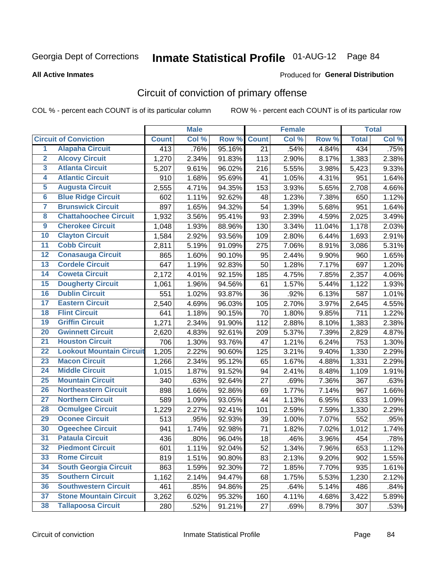#### **All Active Inmates**

#### Produced for **General Distribution**

## Circuit of conviction of primary offense

|                         |                                 |              | <b>Male</b> |        |              | <b>Female</b> |        |              | <b>Total</b> |
|-------------------------|---------------------------------|--------------|-------------|--------|--------------|---------------|--------|--------------|--------------|
|                         | <b>Circuit of Conviction</b>    | <b>Count</b> | Col %       | Row %  | <b>Count</b> | Col %         | Row %  | <b>Total</b> | Col %        |
| $\overline{1}$          | <b>Alapaha Circuit</b>          | 413          | .76%        | 95.16% | 21           | .54%          | 4.84%  | 434          | .75%         |
| $\overline{2}$          | <b>Alcovy Circuit</b>           | 1,270        | 2.34%       | 91.83% | 113          | 2.90%         | 8.17%  | 1,383        | 2.38%        |
| 3                       | <b>Atlanta Circuit</b>          | 5,207        | 9.61%       | 96.02% | 216          | 5.55%         | 3.98%  | 5,423        | 9.33%        |
| 4                       | <b>Atlantic Circuit</b>         | 910          | 1.68%       | 95.69% | 41           | 1.05%         | 4.31%  | 951          | 1.64%        |
| 5                       | <b>Augusta Circuit</b>          | 2,555        | 4.71%       | 94.35% | 153          | 3.93%         | 5.65%  | 2,708        | 4.66%        |
| $6\overline{6}$         | <b>Blue Ridge Circuit</b>       | 602          | 1.11%       | 92.62% | 48           | 1.23%         | 7.38%  | 650          | 1.12%        |
| $\overline{\mathbf{7}}$ | <b>Brunswick Circuit</b>        | 897          | 1.65%       | 94.32% | 54           | 1.39%         | 5.68%  | 951          | 1.64%        |
| 8                       | <b>Chattahoochee Circuit</b>    | 1,932        | 3.56%       | 95.41% | 93           | 2.39%         | 4.59%  | 2,025        | 3.49%        |
| $\overline{9}$          | <b>Cherokee Circuit</b>         | 1,048        | 1.93%       | 88.96% | 130          | 3.34%         | 11.04% | 1,178        | 2.03%        |
| 10                      | <b>Clayton Circuit</b>          | 1,584        | 2.92%       | 93.56% | 109          | 2.80%         | 6.44%  | 1,693        | 2.91%        |
| 11                      | <b>Cobb Circuit</b>             | 2,811        | 5.19%       | 91.09% | 275          | 7.06%         | 8.91%  | 3,086        | 5.31%        |
| 12                      | <b>Conasauga Circuit</b>        | 865          | 1.60%       | 90.10% | 95           | 2.44%         | 9.90%  | 960          | 1.65%        |
| 13                      | <b>Cordele Circuit</b>          | 647          | 1.19%       | 92.83% | 50           | 1.28%         | 7.17%  | 697          | 1.20%        |
| 14                      | <b>Coweta Circuit</b>           | 2,172        | 4.01%       | 92.15% | 185          | 4.75%         | 7.85%  | 2,357        | 4.06%        |
| 15                      | <b>Dougherty Circuit</b>        | 1,061        | 1.96%       | 94.56% | 61           | 1.57%         | 5.44%  | 1,122        | 1.93%        |
| 16                      | <b>Dublin Circuit</b>           | 551          | 1.02%       | 93.87% | 36           | .92%          | 6.13%  | 587          | 1.01%        |
| 17                      | <b>Eastern Circuit</b>          | 2,540        | 4.69%       | 96.03% | 105          | 2.70%         | 3.97%  | 2,645        | 4.55%        |
| 18                      | <b>Flint Circuit</b>            | 641          | 1.18%       | 90.15% | 70           | 1.80%         | 9.85%  | 711          | 1.22%        |
| 19                      | <b>Griffin Circuit</b>          | 1,271        | 2.34%       | 91.90% | 112          | 2.88%         | 8.10%  | 1,383        | 2.38%        |
| 20                      | <b>Gwinnett Circuit</b>         | 2,620        | 4.83%       | 92.61% | 209          | 5.37%         | 7.39%  | 2,829        | 4.87%        |
| $\overline{21}$         | <b>Houston Circuit</b>          | 706          | 1.30%       | 93.76% | 47           | 1.21%         | 6.24%  | 753          | 1.30%        |
| $\overline{22}$         | <b>Lookout Mountain Circuit</b> | 1,205        | 2.22%       | 90.60% | 125          | 3.21%         | 9.40%  | 1,330        | 2.29%        |
| 23                      | <b>Macon Circuit</b>            | 1,266        | 2.34%       | 95.12% | 65           | 1.67%         | 4.88%  | 1,331        | 2.29%        |
| 24                      | <b>Middle Circuit</b>           | 1,015        | 1.87%       | 91.52% | 94           | 2.41%         | 8.48%  | 1,109        | 1.91%        |
| 25                      | <b>Mountain Circuit</b>         | 340          | .63%        | 92.64% | 27           | .69%          | 7.36%  | 367          | .63%         |
| 26                      | <b>Northeastern Circuit</b>     | 898          | 1.66%       | 92.86% | 69           | 1.77%         | 7.14%  | 967          | 1.66%        |
| $\overline{27}$         | <b>Northern Circuit</b>         | 589          | 1.09%       | 93.05% | 44           | 1.13%         | 6.95%  | 633          | 1.09%        |
| 28                      | <b>Ocmulgee Circuit</b>         | 1,229        | 2.27%       | 92.41% | 101          | 2.59%         | 7.59%  | 1,330        | 2.29%        |
| 29                      | <b>Oconee Circuit</b>           | 513          | .95%        | 92.93% | 39           | 1.00%         | 7.07%  | 552          | .95%         |
| 30                      | <b>Ogeechee Circuit</b>         | 941          | 1.74%       | 92.98% | 71           | 1.82%         | 7.02%  | 1,012        | 1.74%        |
| $\overline{31}$         | <b>Pataula Circuit</b>          | 436          | .80%        | 96.04% | 18           | .46%          | 3.96%  | 454          | .78%         |
| 32                      | <b>Piedmont Circuit</b>         | 601          | 1.11%       | 92.04% | 52           | 1.34%         | 7.96%  | 653          | 1.12%        |
| 33                      | <b>Rome Circuit</b>             | 819          | 1.51%       | 90.80% | 83           | 2.13%         | 9.20%  | 902          | 1.55%        |
| 34                      | <b>South Georgia Circuit</b>    | 863          | 1.59%       | 92.30% | 72           | 1.85%         | 7.70%  | 935          | 1.61%        |
| 35                      | <b>Southern Circuit</b>         | 1,162        | 2.14%       | 94.47% | 68           | 1.75%         | 5.53%  | 1,230        | 2.12%        |
| 36                      | <b>Southwestern Circuit</b>     | 461          | .85%        | 94.86% | 25           | .64%          | 5.14%  | 486          | .84%         |
| 37                      | <b>Stone Mountain Circuit</b>   | 3,262        | 6.02%       | 95.32% | 160          | 4.11%         | 4.68%  | 3,422        | 5.89%        |
| 38                      | <b>Tallapoosa Circuit</b>       | 280          | .52%        | 91.21% | 27           | .69%          | 8.79%  | 307          | .53%         |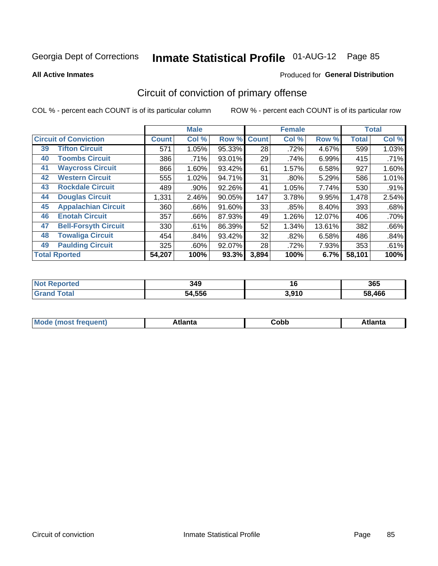**All Active Inmates**

### Produced for **General Distribution**

## Circuit of conviction of primary offense

|                      |                              |              | <b>Male</b> |        |              | <b>Female</b> |        |              | <b>Total</b> |
|----------------------|------------------------------|--------------|-------------|--------|--------------|---------------|--------|--------------|--------------|
|                      | <b>Circuit of Conviction</b> | <b>Count</b> | Col %       | Row %  | <b>Count</b> | Col %         | Row %  | <b>Total</b> | Col %        |
| 39                   | <b>Tifton Circuit</b>        | 571          | 1.05%       | 95.33% | 28           | .72%          | 4.67%  | 599          | 1.03%        |
| 40                   | <b>Toombs Circuit</b>        | 386          | .71%        | 93.01% | 29           | .74%          | 6.99%  | 415          | .71%         |
| 41                   | <b>Waycross Circuit</b>      | 866          | 1.60%       | 93.42% | 61           | 1.57%         | 6.58%  | 927          | 1.60%        |
| 42                   | <b>Western Circuit</b>       | 555          | 1.02%       | 94.71% | 31           | $.80\%$       | 5.29%  | 586          | 1.01%        |
| 43                   | <b>Rockdale Circuit</b>      | 489          | .90%        | 92.26% | 41           | 1.05%         | 7.74%  | 530          | .91%         |
| 44                   | <b>Douglas Circuit</b>       | 1,331        | 2.46%       | 90.05% | 147          | 3.78%         | 9.95%  | 1,478        | 2.54%        |
| 45                   | <b>Appalachian Circuit</b>   | 360          | .66%        | 91.60% | 33           | .85%          | 8.40%  | 393          | .68%         |
| 46                   | <b>Enotah Circuit</b>        | 357          | .66%        | 87.93% | 49           | 1.26%         | 12.07% | 406          | .70%         |
| 47                   | <b>Bell-Forsyth Circuit</b>  | 330          | .61%        | 86.39% | 52           | 1.34%         | 13.61% | 382          | .66%         |
| 48                   | <b>Towaliga Circuit</b>      | 454          | .84%        | 93.42% | 32           | .82%          | 6.58%  | 486          | .84%         |
| 49                   | <b>Paulding Circuit</b>      | 325          | $.60\%$     | 92.07% | 28           | .72%          | 7.93%  | 353          | .61%         |
| <b>Total Rported</b> |                              | 54,207       | 100%        | 93.3%  | 3,894        | 100%          | 6.7%   | 58,101       | 100%         |

| N<br>™ | 349    | 16    | 365            |
|--------|--------|-------|----------------|
|        | 54.556 | 3,910 | $^{\circ}$ 466 |

| Mc | <b>Innie</b> | ∩h⊦<br>⊂opp | $1 - 1$<br>™LC |
|----|--------------|-------------|----------------|
|----|--------------|-------------|----------------|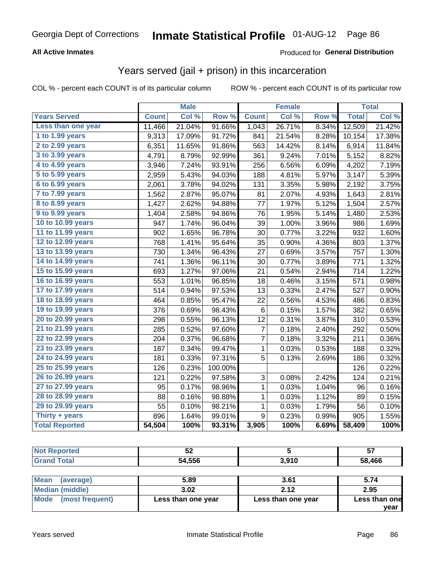### **All Active Inmates**

### Produced for **General Distribution**

### Years served (jail + prison) in this incarceration

|                        |              | <b>Male</b> |         |                | <b>Female</b> |       |              | <b>Total</b> |
|------------------------|--------------|-------------|---------|----------------|---------------|-------|--------------|--------------|
| <b>Years Served</b>    | <b>Count</b> | Col %       | Row %   | <b>Count</b>   | Col %         | Row % | <b>Total</b> | Col %        |
| Less than one year     | 11,466       | 21.04%      | 91.66%  | 1,043          | 26.71%        | 8.34% | 12,509       | 21.42%       |
| 1 to 1.99 years        | 9,313        | 17.09%      | 91.72%  | 841            | 21.54%        | 8.28% | 10,154       | 17.38%       |
| 2 to 2.99 years        | 6,351        | 11.65%      | 91.86%  | 563            | 14.42%        | 8.14% | 6,914        | 11.84%       |
| 3 to 3.99 years        | 4,791        | 8.79%       | 92.99%  | 361            | 9.24%         | 7.01% | 5,152        | 8.82%        |
| 4 to 4.99 years        | 3,946        | 7.24%       | 93.91%  | 256            | 6.56%         | 6.09% | 4,202        | 7.19%        |
| 5 to 5.99 years        | 2,959        | 5.43%       | 94.03%  | 188            | 4.81%         | 5.97% | 3,147        | 5.39%        |
| 6 to 6.99 years        | 2,061        | 3.78%       | 94.02%  | 131            | 3.35%         | 5.98% | 2,192        | 3.75%        |
| 7 to 7.99 years        | 1,562        | 2.87%       | 95.07%  | 81             | 2.07%         | 4.93% | 1,643        | 2.81%        |
| <b>8 to 8.99 years</b> | 1,427        | 2.62%       | 94.88%  | 77             | 1.97%         | 5.12% | 1,504        | 2.57%        |
| 9 to 9.99 years        | 1,404        | 2.58%       | 94.86%  | 76             | 1.95%         | 5.14% | 1,480        | 2.53%        |
| 10 to 10.99 years      | 947          | 1.74%       | 96.04%  | 39             | 1.00%         | 3.96% | 986          | 1.69%        |
| 11 to 11.99 years      | 902          | 1.65%       | 96.78%  | 30             | 0.77%         | 3.22% | 932          | 1.60%        |
| 12 to 12.99 years      | 768          | 1.41%       | 95.64%  | 35             | 0.90%         | 4.36% | 803          | 1.37%        |
| 13 to 13.99 years      | 730          | 1.34%       | 96.43%  | 27             | 0.69%         | 3.57% | 757          | 1.30%        |
| 14 to 14.99 years      | 741          | 1.36%       | 96.11%  | 30             | 0.77%         | 3.89% | 771          | 1.32%        |
| 15 to 15.99 years      | 693          | 1.27%       | 97.06%  | 21             | 0.54%         | 2.94% | 714          | 1.22%        |
| 16 to 16.99 years      | 553          | 1.01%       | 96.85%  | 18             | 0.46%         | 3.15% | 571          | 0.98%        |
| 17 to 17.99 years      | 514          | 0.94%       | 97.53%  | 13             | 0.33%         | 2.47% | 527          | 0.90%        |
| 18 to 18.99 years      | 464          | 0.85%       | 95.47%  | 22             | 0.56%         | 4.53% | 486          | 0.83%        |
| 19 to 19.99 years      | 376          | 0.69%       | 98.43%  | 6              | 0.15%         | 1.57% | 382          | 0.65%        |
| 20 to 20.99 years      | 298          | 0.55%       | 96.13%  | 12             | 0.31%         | 3.87% | 310          | 0.53%        |
| 21 to 21.99 years      | 285          | 0.52%       | 97.60%  | 7              | 0.18%         | 2.40% | 292          | 0.50%        |
| 22 to 22.99 years      | 204          | 0.37%       | 96.68%  | $\overline{7}$ | 0.18%         | 3.32% | 211          | 0.36%        |
| 23 to 23.99 years      | 187          | 0.34%       | 99.47%  | $\mathbf{1}$   | 0.03%         | 0.53% | 188          | 0.32%        |
| 24 to 24.99 years      | 181          | 0.33%       | 97.31%  | 5              | 0.13%         | 2.69% | 186          | 0.32%        |
| 25 to 25.99 years      | 126          | 0.23%       | 100.00% |                |               |       | 126          | 0.22%        |
| 26 to 26.99 years      | 121          | 0.22%       | 97.58%  | 3              | 0.08%         | 2.42% | 124          | 0.21%        |
| 27 to 27.99 years      | 95           | 0.17%       | 98.96%  | $\mathbf 1$    | 0.03%         | 1.04% | 96           | 0.16%        |
| 28 to 28.99 years      | 88           | 0.16%       | 98.88%  | $\mathbf 1$    | 0.03%         | 1.12% | 89           | 0.15%        |
| 29 to 29.99 years      | 55           | 0.10%       | 98.21%  | $\mathbf{1}$   | 0.03%         | 1.79% | 56           | 0.10%        |
| Thirty + years         | 896          | 1.64%       | 99.01%  | 9              | 0.23%         | 0.99% | 905          | 1.55%        |
| <b>Total Reported</b>  | 54,504       | 100%        | 93.31%  | 3,905          | 100%          | 6.69% | 58,409       | 100%         |

| ◡∠         |      | --<br>$\sim$<br>J. |
|------------|------|--------------------|
| .556<br>51 | 01 C | .466               |

| ∣Mean<br>(average)   | 5.89               | 3.61               | 5.74          |
|----------------------|--------------------|--------------------|---------------|
| Median (middle)      | 3.02               | 2.12               | 2.95          |
| Mode (most frequent) | Less than one year | Less than one year | Less than one |
|                      |                    |                    | vear          |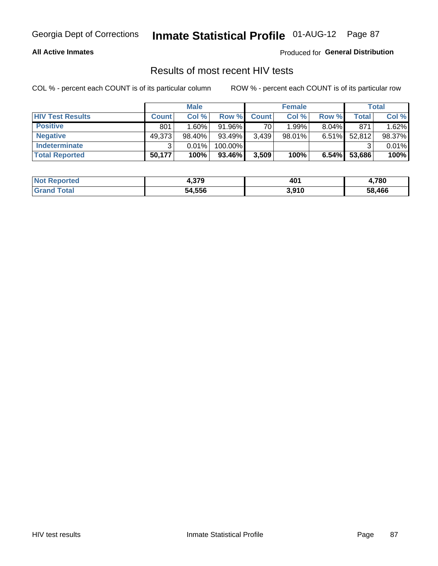### **All Active Inmates**

Produced for **General Distribution**

### Results of most recent HIV tests

|                         |              | <b>Male</b> |           |              | <b>Female</b> |          |        | Total  |
|-------------------------|--------------|-------------|-----------|--------------|---------------|----------|--------|--------|
| <b>HIV Test Results</b> | <b>Count</b> | Col %       | Row %I    | <b>Count</b> | Col %         | Row %    | Total  | Col %  |
| <b>Positive</b>         | 801          | 1.60%       | $91.96\%$ | 70           | 1.99%         | $8.04\%$ | 871    | 1.62%  |
| <b>Negative</b>         | 49,373       | $98.40\%$   | 93.49%    | 3,439        | $98.01\%$     | $6.51\%$ | 52,812 | 98.37% |
| Indeterminate           | ີ            | 0.01%       | 100.00%   |              |               |          |        | 0.01%  |
| <b>Total Reported</b>   | 50,177       | 100%        | 93.46%    | 3,509        | 100%          | 6.54%    | 53,686 | 100%   |

| <b>Not Reported</b> | 270<br>1.JIJ | 40 <sup>4</sup> | ,780   |
|---------------------|--------------|-----------------|--------|
| Total               | 54,556       | 3,910           | 58,466 |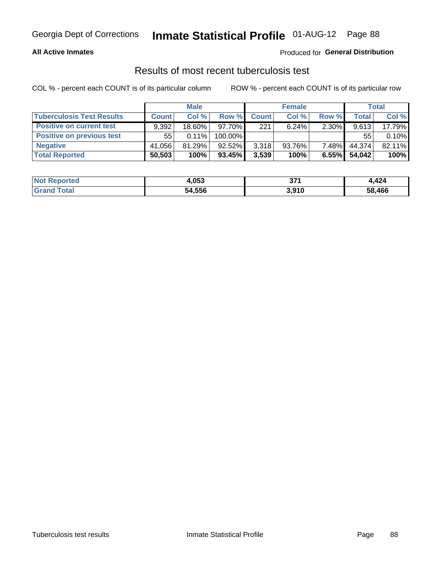### **All Active Inmates**

### Produced for **General Distribution**

### Results of most recent tuberculosis test

|                                  | <b>Male</b>  |           |           | <b>Female</b> |           |          | Total  |        |
|----------------------------------|--------------|-----------|-----------|---------------|-----------|----------|--------|--------|
| <b>Tuberculosis Test Results</b> | <b>Count</b> | Col%      | Row %I    | <b>Count</b>  | Col%      | Row %    | Total  | Col %  |
| <b>Positive on current test</b>  | 9.392        | $18.60\%$ | $97.70\%$ | 221           | 6.24%     | 2.30%    | 9,613  | 17.79% |
| <b>Positive on previous test</b> | 55           | $0.11\%$  | 100.00%   |               |           |          | 55     | 0.10%  |
| <b>Negative</b>                  | 41.056       | $81.29\%$ | $92.52\%$ | 3,318         | $93.76\%$ | $7.48\%$ | 44,374 | 82.11% |
| <b>Total Reported</b>            | 50,503       | 100%      | $93.45\%$ | 3,539         | 100%      | 6.55%    | 54.042 | 100%   |

| <b>Not Reported</b>     | 4,053  | クフィ<br>JI. | 4,424  |
|-------------------------|--------|------------|--------|
| <b>Total</b><br>' Grand | 54,556 | 3,910      | 58,466 |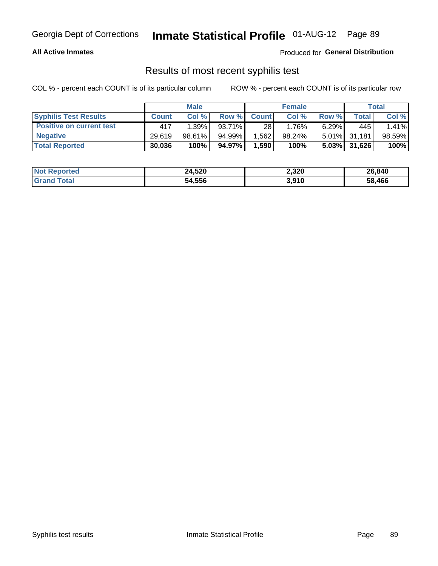### **All Active Inmates**

Produced for **General Distribution**

### Results of most recent syphilis test

|                                 | <b>Male</b>  |           |        | <b>Female</b> |        |          | Total        |        |
|---------------------------------|--------------|-----------|--------|---------------|--------|----------|--------------|--------|
| <b>Syphilis Test Results</b>    | <b>Count</b> | Col%      | Row %  | <b>Count</b>  | Col %  | Row %    | Total        | Col %  |
| <b>Positive on current test</b> | 417          | 1.39%     | 93.71% | 28            | 1.76%  | $6.29\%$ | 445          | 1.41%  |
| <b>Negative</b>                 | 29.619       | $98.61\%$ | 94.99% | .562          | 98.24% |          | 5.01% 31,181 | 98.59% |
| <b>Total Reported</b>           | 30,036       | 100%      | 94.97% | .590 ا        | 100%   | $5.03\%$ | 31,626       | 100%   |

| <b>Not Reported</b> | 24,520 | 2,320 | 26,840 |
|---------------------|--------|-------|--------|
| <b>Grand Total</b>  | 54,556 | 3,910 | 58.466 |